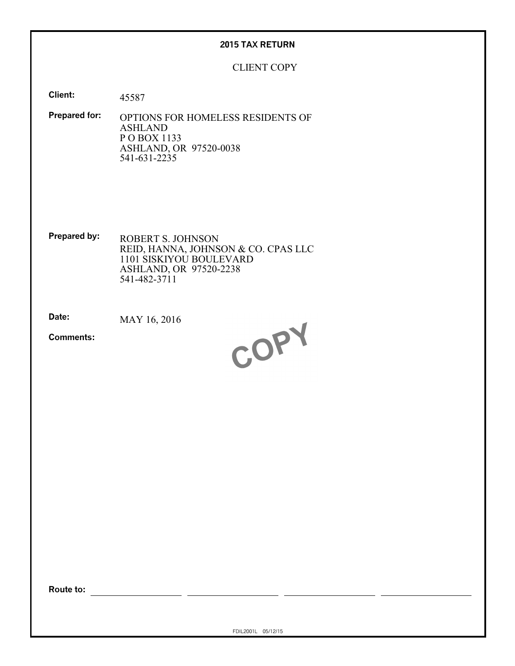### **2015 TAX RETURN**

### CLIENT COPY

**Client:** 45587

**Prepared for:** OPTIONS FOR HOMELESS RESIDENTS OF ASHLAND P O BOX 1133 ASHLAND, OR 97520-0038 541-631-2235

**Prepared by:** ROBERT S. JOHNSON REID, HANNA, JOHNSON & CO. CPAS LLC 1101 SISKIYOU BOULEVARD ASHLAND, OR 97520-2238 541-482-3711

**Date:** MAY 16, 2016

**Comments:**



**Route to:**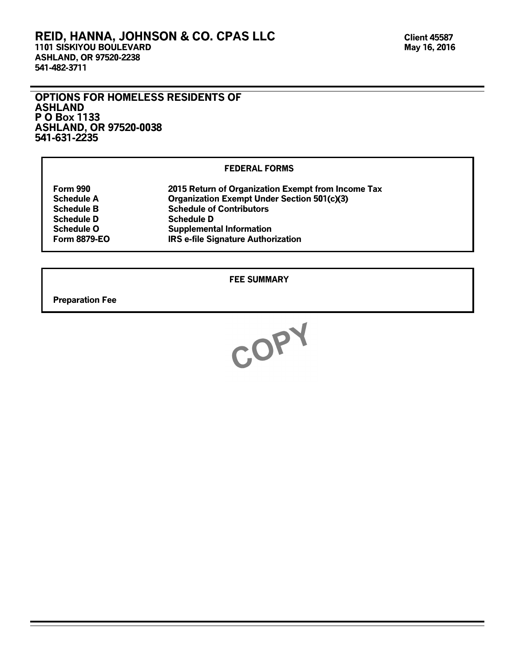### **REID, HANNA, JOHNSON & CO. CPAS LLC 1101 SISKIYOU BOULEVARD ASHLAND, OR 97520-2238 541-482-3711**

### **OPTIONS FOR HOMELESS RESIDENTS OF ASHLAND P O Box 1133 ASHLAND, OR 97520-0038 541-631-2235**

### **FEDERAL FORMS**

| Form 990            | 2015 Return of Organization Exempt from Income Tax |
|---------------------|----------------------------------------------------|
| <b>Schedule A</b>   | <b>Organization Exempt Under Section 501(c)(3)</b> |
| <b>Schedule B</b>   | <b>Schedule of Contributors</b>                    |
| <b>Schedule D</b>   | <b>Schedule D</b>                                  |
| <b>Schedule O</b>   | <b>Supplemental Information</b>                    |
| <b>Form 8879-EO</b> | <b>IRS e-file Signature Authorization</b>          |

### **FEE SUMMARY**

**Preparation Fee**

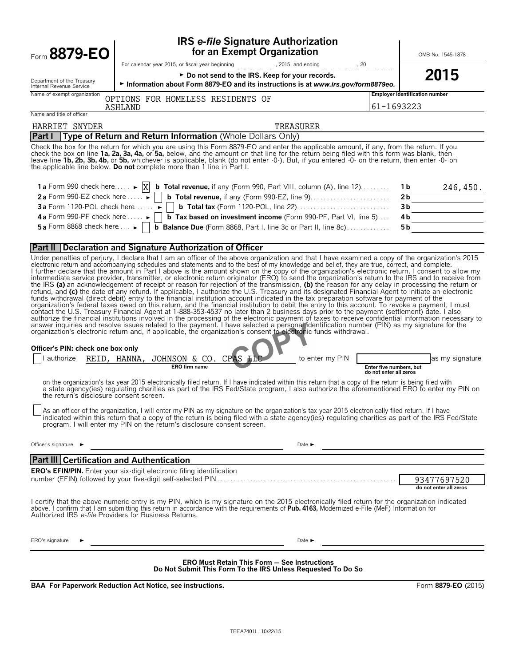| Form 8879-EO                                                                                                                           | <b>IRS e-file Signature Authorization</b><br>for an Exempt Organization                                                                                                                                                                                                                                                                                                                                                                                                                                                                                                                                                                                                                                                                                                                                                                                                                                                                                                                                                                                                                                                                                                                                                                                                                                                                                                                                                                                                                                                                                                                                                                                                                                                                                                                                                                                                                                                                                                                                                                                                                                                                                                                                                                                                                                                                                                                                                                                                                                                                                                                                                                    |                                                   | OMB No. 1545-1878                     |  |  |  |  |  |  |  |
|----------------------------------------------------------------------------------------------------------------------------------------|--------------------------------------------------------------------------------------------------------------------------------------------------------------------------------------------------------------------------------------------------------------------------------------------------------------------------------------------------------------------------------------------------------------------------------------------------------------------------------------------------------------------------------------------------------------------------------------------------------------------------------------------------------------------------------------------------------------------------------------------------------------------------------------------------------------------------------------------------------------------------------------------------------------------------------------------------------------------------------------------------------------------------------------------------------------------------------------------------------------------------------------------------------------------------------------------------------------------------------------------------------------------------------------------------------------------------------------------------------------------------------------------------------------------------------------------------------------------------------------------------------------------------------------------------------------------------------------------------------------------------------------------------------------------------------------------------------------------------------------------------------------------------------------------------------------------------------------------------------------------------------------------------------------------------------------------------------------------------------------------------------------------------------------------------------------------------------------------------------------------------------------------------------------------------------------------------------------------------------------------------------------------------------------------------------------------------------------------------------------------------------------------------------------------------------------------------------------------------------------------------------------------------------------------------------------------------------------------------------------------------------------------|---------------------------------------------------|---------------------------------------|--|--|--|--|--|--|--|
|                                                                                                                                        | For calendar year 2015, or fiscal year beginning _ _ _ _ _ _ _ , 2015, and ending _ _ _ _ _ _ ^20 _ _ _ _<br>► Do not send to the IRS. Keep for your records.                                                                                                                                                                                                                                                                                                                                                                                                                                                                                                                                                                                                                                                                                                                                                                                                                                                                                                                                                                                                                                                                                                                                                                                                                                                                                                                                                                                                                                                                                                                                                                                                                                                                                                                                                                                                                                                                                                                                                                                                                                                                                                                                                                                                                                                                                                                                                                                                                                                                              |                                                   | 2015                                  |  |  |  |  |  |  |  |
| Department of the Treasury<br>Internal Revenue Service                                                                                 | Information about Form 8879-EO and its instructions is at www.irs.gov/form8879eo.<br>OPTIONS FOR HOMELESS RESIDENTS OF<br>ASHLAND<br>Name and title of officer                                                                                                                                                                                                                                                                                                                                                                                                                                                                                                                                                                                                                                                                                                                                                                                                                                                                                                                                                                                                                                                                                                                                                                                                                                                                                                                                                                                                                                                                                                                                                                                                                                                                                                                                                                                                                                                                                                                                                                                                                                                                                                                                                                                                                                                                                                                                                                                                                                                                             |                                                   |                                       |  |  |  |  |  |  |  |
| Name of exempt organization                                                                                                            |                                                                                                                                                                                                                                                                                                                                                                                                                                                                                                                                                                                                                                                                                                                                                                                                                                                                                                                                                                                                                                                                                                                                                                                                                                                                                                                                                                                                                                                                                                                                                                                                                                                                                                                                                                                                                                                                                                                                                                                                                                                                                                                                                                                                                                                                                                                                                                                                                                                                                                                                                                                                                                            |                                                   | <b>Employer identification number</b> |  |  |  |  |  |  |  |
|                                                                                                                                        |                                                                                                                                                                                                                                                                                                                                                                                                                                                                                                                                                                                                                                                                                                                                                                                                                                                                                                                                                                                                                                                                                                                                                                                                                                                                                                                                                                                                                                                                                                                                                                                                                                                                                                                                                                                                                                                                                                                                                                                                                                                                                                                                                                                                                                                                                                                                                                                                                                                                                                                                                                                                                                            | 61-1693223                                        |                                       |  |  |  |  |  |  |  |
| HARRIET SNYDER                                                                                                                         |                                                                                                                                                                                                                                                                                                                                                                                                                                                                                                                                                                                                                                                                                                                                                                                                                                                                                                                                                                                                                                                                                                                                                                                                                                                                                                                                                                                                                                                                                                                                                                                                                                                                                                                                                                                                                                                                                                                                                                                                                                                                                                                                                                                                                                                                                                                                                                                                                                                                                                                                                                                                                                            |                                                   |                                       |  |  |  |  |  |  |  |
| Part I                                                                                                                                 | TREASURER<br>Type of Return and Return Information (Whole Dollars Only)                                                                                                                                                                                                                                                                                                                                                                                                                                                                                                                                                                                                                                                                                                                                                                                                                                                                                                                                                                                                                                                                                                                                                                                                                                                                                                                                                                                                                                                                                                                                                                                                                                                                                                                                                                                                                                                                                                                                                                                                                                                                                                                                                                                                                                                                                                                                                                                                                                                                                                                                                                    |                                                   |                                       |  |  |  |  |  |  |  |
|                                                                                                                                        | Check the box for the return for which you are using this Form 8879-EO and enter the applicable amount, if any, from the return. If you<br>check the box on line 1a, 2a, 3a, 4a, or 5a, below, and the amount on that line for the return being filed with this form was blank, then<br>leave line 1b, 2b, 3b, 4b, or 5b, whichever is applicable, blank (do not enter -0-). But, if you entered -0- on the return, then enter -0- on<br>the applicable line below. Do not complete more than 1 line in Part I.                                                                                                                                                                                                                                                                                                                                                                                                                                                                                                                                                                                                                                                                                                                                                                                                                                                                                                                                                                                                                                                                                                                                                                                                                                                                                                                                                                                                                                                                                                                                                                                                                                                                                                                                                                                                                                                                                                                                                                                                                                                                                                                            |                                                   |                                       |  |  |  |  |  |  |  |
|                                                                                                                                        | 1 a Form 990 check here $\dots$ $\blacktriangleright$ $\lfloor x \rfloor$ b Total revenue, if any (Form 990, Part VIII, column (A), line 12) $\dots$                                                                                                                                                                                                                                                                                                                                                                                                                                                                                                                                                                                                                                                                                                                                                                                                                                                                                                                                                                                                                                                                                                                                                                                                                                                                                                                                                                                                                                                                                                                                                                                                                                                                                                                                                                                                                                                                                                                                                                                                                                                                                                                                                                                                                                                                                                                                                                                                                                                                                       | 1 b                                               | 246,450.                              |  |  |  |  |  |  |  |
|                                                                                                                                        | 2a Form 990-EZ check here $\dots \rightarrow$   b Total revenue, if any (Form 990-EZ, line 9).                                                                                                                                                                                                                                                                                                                                                                                                                                                                                                                                                                                                                                                                                                                                                                                                                                                                                                                                                                                                                                                                                                                                                                                                                                                                                                                                                                                                                                                                                                                                                                                                                                                                                                                                                                                                                                                                                                                                                                                                                                                                                                                                                                                                                                                                                                                                                                                                                                                                                                                                             | 2 <sub>b</sub>                                    |                                       |  |  |  |  |  |  |  |
|                                                                                                                                        | <b>3a</b> Form 1120-POL check here $\dots$ $\blacktriangleright$   <b>b</b> Total tax (Form 1120-POL, line 22) $\dots$                                                                                                                                                                                                                                                                                                                                                                                                                                                                                                                                                                                                                                                                                                                                                                                                                                                                                                                                                                                                                                                                                                                                                                                                                                                                                                                                                                                                                                                                                                                                                                                                                                                                                                                                                                                                                                                                                                                                                                                                                                                                                                                                                                                                                                                                                                                                                                                                                                                                                                                     | 3 <sub>b</sub>                                    |                                       |  |  |  |  |  |  |  |
|                                                                                                                                        | 4 a Form 990-PF check here $\dots \rightarrow$ $\Box$ Tax based on investment income (Form 990-PF, Part VI, line 5)                                                                                                                                                                                                                                                                                                                                                                                                                                                                                                                                                                                                                                                                                                                                                                                                                                                                                                                                                                                                                                                                                                                                                                                                                                                                                                                                                                                                                                                                                                                                                                                                                                                                                                                                                                                                                                                                                                                                                                                                                                                                                                                                                                                                                                                                                                                                                                                                                                                                                                                        | 4b                                                |                                       |  |  |  |  |  |  |  |
|                                                                                                                                        | 5a Form 8868 check here $\dots \rightarrow$     $\overline{b}$ Balance Due (Form 8868, Part I, line 3c or Part II, line 8c)                                                                                                                                                                                                                                                                                                                                                                                                                                                                                                                                                                                                                                                                                                                                                                                                                                                                                                                                                                                                                                                                                                                                                                                                                                                                                                                                                                                                                                                                                                                                                                                                                                                                                                                                                                                                                                                                                                                                                                                                                                                                                                                                                                                                                                                                                                                                                                                                                                                                                                                | 5 b                                               |                                       |  |  |  |  |  |  |  |
|                                                                                                                                        | <b>Part II Declaration and Signature Authorization of Officer</b>                                                                                                                                                                                                                                                                                                                                                                                                                                                                                                                                                                                                                                                                                                                                                                                                                                                                                                                                                                                                                                                                                                                                                                                                                                                                                                                                                                                                                                                                                                                                                                                                                                                                                                                                                                                                                                                                                                                                                                                                                                                                                                                                                                                                                                                                                                                                                                                                                                                                                                                                                                          |                                                   |                                       |  |  |  |  |  |  |  |
| Officer's PIN: check one box only<br>authorize<br>the return's disclosure consent screen.<br>Officer's signature $\blacktriangleright$ | Under penalties of perjury, I declare that I am an officer of the above organization and that I have examined a copy of the organization's 2015<br>electronic return and accompanying schedules and statements and to the best of my knowledge and belief, they are true, correct, and complete.<br>I further declare that the amount in Part I above is the amount shown on the copy of the organization's electronic return. I consent to allow my intermediate service provider, transmitter, or electronic return originator (<br>the IRS (a) an acknowledgement of receipt or reason for rejection of the transmission, (b) the reason for any delay in processing the return or<br>refund, and (c) the date of any refund. If applicable, I authorize the U.S. Treasury and its designated Financial Agent to initiate an electronic<br>funds withdrawal (direct debit) entry to the financial institution account indicated in the tax preparation software for payment of the<br>organization's federal taxes owed on this return, and the financial institution to debit the entry to this account. To revoke a payment, I must<br>contact the U.S. Treasury Financial Agent at 1-888-353-4537 no later than 2 business days prior to the payment (settlement) date. I also<br>authorize the financial institutions involved in the processing of the electronic payment of taxes to receive confidential information necessary to<br>answer inquiries and resolve issues related to the payment. I have selected a personal identification number (PIN) as my signature for the<br>organization's electronic return and, if applicable, the organization's consent to electronic funds withdrawal.<br>REID, HANNA, JOHNSON & CO. CPAS<br>to enter my PIN<br><b>ERO</b> firm name<br>on the organization's tax year 2015 electronically filed return. If I have indicated within this return that a copy of the return is being filed with<br>a state agency(ies) regulating charities as part of the IRS Fed/State program, I also authorize the aforementioned ERO to enter my PIN on<br>As an officer of the organization, I will enter my PIN as my signature on the organization's tax year 2015 electronically filed return. If I have<br>indicated within this return that a copy of the return is being filed with a state agency(ies) regulating charities as part of the IRS Fed/State<br>program, I will enter my PIN on the return's disclosure consent screen.<br>Date $\blacktriangleright$<br><u> 1980 - Johann Stein, marwolaethau a bhann an t-Amhair an t-Amhair an t-Amhair an t-Amhair an t-Amhair an t-A</u> | Enter five numbers, but<br>do not enter all zeros | as my signature                       |  |  |  |  |  |  |  |
| <b>Part III Certification and Authentication</b>                                                                                       |                                                                                                                                                                                                                                                                                                                                                                                                                                                                                                                                                                                                                                                                                                                                                                                                                                                                                                                                                                                                                                                                                                                                                                                                                                                                                                                                                                                                                                                                                                                                                                                                                                                                                                                                                                                                                                                                                                                                                                                                                                                                                                                                                                                                                                                                                                                                                                                                                                                                                                                                                                                                                                            |                                                   |                                       |  |  |  |  |  |  |  |
|                                                                                                                                        | <b>ERO's EFIN/PIN.</b> Enter your six-digit electronic filing identification<br>I certify that the above numeric entry is my PIN, which is my signature on the 2015 electronically filed return for the organization indicated                                                                                                                                                                                                                                                                                                                                                                                                                                                                                                                                                                                                                                                                                                                                                                                                                                                                                                                                                                                                                                                                                                                                                                                                                                                                                                                                                                                                                                                                                                                                                                                                                                                                                                                                                                                                                                                                                                                                                                                                                                                                                                                                                                                                                                                                                                                                                                                                             |                                                   | 93477697520<br>do not enter all zeros |  |  |  |  |  |  |  |
| Authorized IRS e-file Providers for Business Returns.                                                                                  | above. I confirm that I am submitting this return in accordance with the requirements of Pub. 4163, Modernized e-File (MeF) Information for                                                                                                                                                                                                                                                                                                                                                                                                                                                                                                                                                                                                                                                                                                                                                                                                                                                                                                                                                                                                                                                                                                                                                                                                                                                                                                                                                                                                                                                                                                                                                                                                                                                                                                                                                                                                                                                                                                                                                                                                                                                                                                                                                                                                                                                                                                                                                                                                                                                                                                |                                                   |                                       |  |  |  |  |  |  |  |
| ERO's signature                                                                                                                        | Date $\blacktriangleright$                                                                                                                                                                                                                                                                                                                                                                                                                                                                                                                                                                                                                                                                                                                                                                                                                                                                                                                                                                                                                                                                                                                                                                                                                                                                                                                                                                                                                                                                                                                                                                                                                                                                                                                                                                                                                                                                                                                                                                                                                                                                                                                                                                                                                                                                                                                                                                                                                                                                                                                                                                                                                 |                                                   |                                       |  |  |  |  |  |  |  |
|                                                                                                                                        | <b>ERO Must Retain This Form - See Instructions</b><br>Do Not Submit This Form To the IRS Unless Requested To Do So                                                                                                                                                                                                                                                                                                                                                                                                                                                                                                                                                                                                                                                                                                                                                                                                                                                                                                                                                                                                                                                                                                                                                                                                                                                                                                                                                                                                                                                                                                                                                                                                                                                                                                                                                                                                                                                                                                                                                                                                                                                                                                                                                                                                                                                                                                                                                                                                                                                                                                                        |                                                   |                                       |  |  |  |  |  |  |  |
|                                                                                                                                        | BAA For Paperwork Reduction Act Notice, see instructions.                                                                                                                                                                                                                                                                                                                                                                                                                                                                                                                                                                                                                                                                                                                                                                                                                                                                                                                                                                                                                                                                                                                                                                                                                                                                                                                                                                                                                                                                                                                                                                                                                                                                                                                                                                                                                                                                                                                                                                                                                                                                                                                                                                                                                                                                                                                                                                                                                                                                                                                                                                                  |                                                   | Form 8879-EO (2015)                   |  |  |  |  |  |  |  |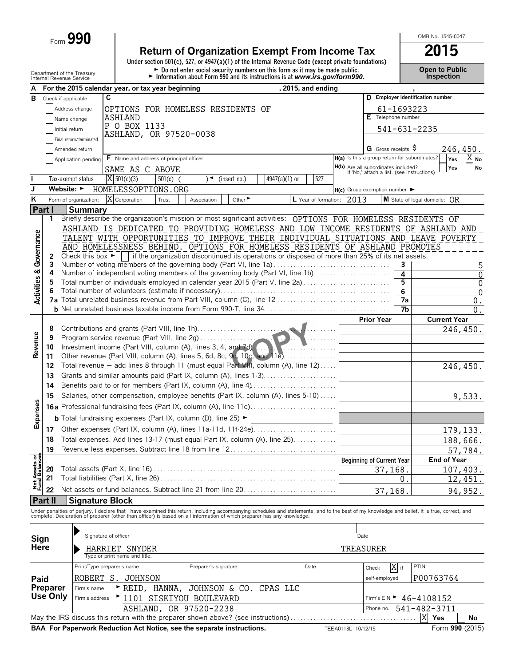Form **990**

# **Return of Organization Exempt From Income Tax**<br>
Under section 501(c), 527, or 4947(a)(1) of the Internal Revenue Code (except private foundations)

Department of the Treasury **Depen to Public**<br>Internal Revenue Service **Connect of the Connect of the Connect of the Connect of the Internal Revenue Service Connection** 

OMB No. 1545-0047

| А                              |                 |                                      | For the 2015 calendar year, or tax year beginning                                                                                                                                                                                 |                      |                                                                                                 | , 2015, and ending        |                                                                                   |                                  |            |                                               |
|--------------------------------|-----------------|--------------------------------------|-----------------------------------------------------------------------------------------------------------------------------------------------------------------------------------------------------------------------------------|----------------------|-------------------------------------------------------------------------------------------------|---------------------------|-----------------------------------------------------------------------------------|----------------------------------|------------|-----------------------------------------------|
| в                              |                 | Check if applicable:                 | C                                                                                                                                                                                                                                 |                      |                                                                                                 |                           |                                                                                   |                                  |            | D Employer identification number              |
|                                |                 | Address change                       | OPTIONS FOR HOMELESS RESIDENTS OF                                                                                                                                                                                                 |                      |                                                                                                 |                           |                                                                                   |                                  | 61-1693223 |                                               |
|                                |                 | Name change                          | ASHLAND                                                                                                                                                                                                                           |                      |                                                                                                 |                           |                                                                                   | $E$ Telephone number             |            |                                               |
|                                |                 | Initial return                       | P O BOX 1133                                                                                                                                                                                                                      |                      |                                                                                                 |                           |                                                                                   |                                  |            | 541-631-2235                                  |
|                                |                 | Final return/terminated              | ASHLAND, OR 97520-0038                                                                                                                                                                                                            |                      |                                                                                                 |                           |                                                                                   |                                  |            |                                               |
|                                |                 | Amended return                       |                                                                                                                                                                                                                                   |                      |                                                                                                 |                           |                                                                                   | G Gross receipts $\ddot{\theta}$ |            | 246,450.                                      |
|                                |                 | Application pending                  | <b>F</b> Name and address of principal officer:                                                                                                                                                                                   |                      |                                                                                                 |                           | H(a) Is this a group return for subordinates?                                     |                                  |            | $X_{\text{No}}$<br>Yes                        |
|                                |                 |                                      | SAME AS C ABOVE                                                                                                                                                                                                                   |                      |                                                                                                 |                           | H(b) Are all subordinates included?<br>If 'No,' attach a list. (see instructions) |                                  |            | Yes<br><b>No</b>                              |
|                                |                 | Tax-exempt status                    | X 501(c)(3)<br>$501(c)$ (                                                                                                                                                                                                         | )◄                   | 4947(a)(1) or<br>(insert no.)                                                                   | 527                       |                                                                                   |                                  |            |                                               |
| J                              |                 |                                      | Website: • HOMELESSOPTIONS.ORG                                                                                                                                                                                                    |                      |                                                                                                 |                           | $H(c)$ Group exemption number $\blacktriangleright$                               |                                  |            |                                               |
| Κ                              |                 | Form of organization:                | X Corporation<br>Trust                                                                                                                                                                                                            | Association          | Other <sup>&gt;</sup>                                                                           | L Year of formation: 2013 |                                                                                   |                                  |            | <b>M</b> State of legal domicile: $\bigcap R$ |
|                                | Part I          | Summary                              |                                                                                                                                                                                                                                   |                      |                                                                                                 |                           |                                                                                   |                                  |            |                                               |
|                                | 1               |                                      | Briefly describe the organization's mission or most significant activities: OPTIONS FOR HOMELESS RESIDENTS OF                                                                                                                     |                      |                                                                                                 |                           |                                                                                   |                                  |            |                                               |
|                                |                 |                                      | ASHLAND IS DEDICATED TO PROVIDING HOMELESS AND LOW INCOME RESIDENTS OF ASHLAND AND                                                                                                                                                |                      |                                                                                                 |                           |                                                                                   |                                  |            |                                               |
| Governance                     |                 |                                      | TALENT WITH OPPORTUNITIES TO IMPROVE THEIR INDIVIDUAL SITUATIONS AND LEAVE POVERTY                                                                                                                                                |                      |                                                                                                 |                           |                                                                                   |                                  |            |                                               |
|                                |                 |                                      | AND HOMELESSNESS BEHIND. OPTIONS FOR HOMELESS RESIDENTS OF ASHLAND PROMOTES                                                                                                                                                       |                      |                                                                                                 |                           |                                                                                   |                                  |            |                                               |
|                                | 2               | Check this box $\blacktriangleright$ |                                                                                                                                                                                                                                   |                      | if the organization discontinued its operations or disposed of more than 25% of its net assets. |                           |                                                                                   |                                  |            |                                               |
|                                | 3               |                                      | Number of voting members of the governing body (Part VI, line 1a)                                                                                                                                                                 |                      |                                                                                                 |                           |                                                                                   |                                  | 3          | 5                                             |
|                                | 4               |                                      | Number of independent voting members of the governing body (Part VI, line 1b)                                                                                                                                                     |                      |                                                                                                 |                           |                                                                                   |                                  | 4          | $\boldsymbol{0}$                              |
| <b>Activities &amp;</b>        |                 |                                      | Total number of individuals employed in calendar year 2015 (Part V, line 2a)                                                                                                                                                      |                      |                                                                                                 |                           |                                                                                   |                                  | 5<br>6     | $\boldsymbol{0}$<br>$\boldsymbol{0}$          |
|                                |                 |                                      |                                                                                                                                                                                                                                   |                      |                                                                                                 |                           |                                                                                   |                                  | 7a         | $0$ .                                         |
|                                |                 |                                      |                                                                                                                                                                                                                                   |                      |                                                                                                 |                           |                                                                                   |                                  | 7b         | $0$ .                                         |
|                                |                 |                                      |                                                                                                                                                                                                                                   |                      |                                                                                                 |                           |                                                                                   | <b>Prior Year</b>                |            | <b>Current Year</b>                           |
|                                | 8               |                                      |                                                                                                                                                                                                                                   |                      |                                                                                                 |                           |                                                                                   |                                  |            | 246,450.                                      |
| Revenue                        | 9               |                                      | Program service revenue (Part VIII, line 2g)                                                                                                                                                                                      |                      |                                                                                                 |                           |                                                                                   |                                  |            |                                               |
|                                | 10              |                                      | Investment income (Part VIII, column (A), lines 3, 4, and 7d).                                                                                                                                                                    |                      |                                                                                                 |                           |                                                                                   |                                  |            |                                               |
|                                | 11              |                                      | Other revenue (Part VIII, column (A), lines 5, 6d, 8c, 9c, 10c, and 11e)                                                                                                                                                          |                      |                                                                                                 |                           |                                                                                   |                                  |            |                                               |
|                                | 12              |                                      | Total revenue - add lines 8 through 11 (must equal Part VIII, column (A), line 12)                                                                                                                                                |                      |                                                                                                 |                           |                                                                                   |                                  |            | 246,450.                                      |
|                                | 13              |                                      | Grants and similar amounts paid (Part IX, column (A), lines 1-3)                                                                                                                                                                  |                      |                                                                                                 |                           |                                                                                   |                                  |            |                                               |
|                                | 14              |                                      | Benefits paid to or for members (Part IX, column (A), line 4)                                                                                                                                                                     |                      |                                                                                                 |                           |                                                                                   |                                  |            |                                               |
|                                | 15              |                                      | Salaries, other compensation, employee benefits (Part IX, column (A), lines 5-10)                                                                                                                                                 |                      |                                                                                                 |                           |                                                                                   |                                  |            | 9,533.                                        |
|                                |                 |                                      | <b>16a</b> Professional fundraising fees (Part IX, column (A), line 11e)                                                                                                                                                          |                      |                                                                                                 |                           |                                                                                   |                                  |            |                                               |
| Expenses                       |                 |                                      | <b>b</b> Total fundraising expenses (Part IX, column (D), line 25) $\blacktriangleright$                                                                                                                                          |                      |                                                                                                 |                           |                                                                                   |                                  |            |                                               |
|                                | 17 <sup>2</sup> |                                      | Other expenses (Part IX, column (A), lines 11a-11d, 11f-24e)                                                                                                                                                                      |                      |                                                                                                 |                           |                                                                                   |                                  |            | 179,133.                                      |
|                                | 18              |                                      | Total expenses. Add lines 13-17 (must equal Part IX, column (A), line 25)                                                                                                                                                         |                      |                                                                                                 |                           |                                                                                   |                                  |            | 188,666.                                      |
|                                | 19              |                                      |                                                                                                                                                                                                                                   |                      |                                                                                                 |                           |                                                                                   |                                  |            | 57,784.                                       |
|                                |                 |                                      |                                                                                                                                                                                                                                   |                      |                                                                                                 |                           | <b>Beginning of Current Year</b>                                                  |                                  |            | <b>End of Year</b>                            |
| Net Assets of<br>Fund Balances | 20              |                                      |                                                                                                                                                                                                                                   |                      |                                                                                                 |                           |                                                                                   | 37,168                           |            | 107,403.                                      |
|                                | 21              |                                      |                                                                                                                                                                                                                                   |                      |                                                                                                 |                           |                                                                                   |                                  | $0$ .      | 12,451.                                       |
|                                | 22              |                                      | Net assets or fund balances. Subtract line 21 from line 20                                                                                                                                                                        |                      |                                                                                                 |                           |                                                                                   | 37,168.                          |            | 94,952.                                       |
|                                | <b>Part II</b>  | <b>Signature Block</b>               |                                                                                                                                                                                                                                   |                      |                                                                                                 |                           |                                                                                   |                                  |            |                                               |
|                                |                 |                                      | Under penalties of perjury, I declare that I have examined this return, including accompanying schedules and statements, and to the best of my knowledge and belief, it is true, correct, and<br>complete. Declaration of prepare |                      |                                                                                                 |                           |                                                                                   |                                  |            |                                               |
|                                |                 |                                      |                                                                                                                                                                                                                                   |                      |                                                                                                 |                           |                                                                                   |                                  |            |                                               |
| Sign                           |                 |                                      | Signature of officer                                                                                                                                                                                                              |                      |                                                                                                 |                           | Date                                                                              |                                  |            |                                               |
| Here                           |                 |                                      | HARRIET SNYDER                                                                                                                                                                                                                    |                      |                                                                                                 |                           | TREASURER                                                                         |                                  |            |                                               |
|                                |                 |                                      | Type or print name and title.                                                                                                                                                                                                     |                      |                                                                                                 |                           |                                                                                   |                                  |            |                                               |
|                                |                 |                                      | Print/Type preparer's name                                                                                                                                                                                                        | Preparer's signature |                                                                                                 | Date                      |                                                                                   | Check                            | X if       | PTIN                                          |
| Paid                           |                 |                                      | ROBERT S. JOHNSON                                                                                                                                                                                                                 |                      |                                                                                                 |                           |                                                                                   | self-employed                    |            | P00763764                                     |
|                                | Preparer        | Firm's name                          | REID.<br>HANNA,                                                                                                                                                                                                                   | JOHNSON & CO.        | CPAS LLC                                                                                        |                           |                                                                                   |                                  |            |                                               |
|                                | Use Only        | Firm's address                       | 1101 SISKIYOU BOULEVARD                                                                                                                                                                                                           |                      |                                                                                                 |                           |                                                                                   |                                  |            | Firm's EIN $\blacktriangleright$ 46-4108152   |
|                                |                 |                                      | ASHLAND,                                                                                                                                                                                                                          | OR 97520-2238        |                                                                                                 |                           |                                                                                   | Phone no.                        |            | 541-482-3711                                  |
|                                |                 |                                      | May the IRS discuss this return with the preparer shown above? (see instructions)                                                                                                                                                 |                      |                                                                                                 |                           |                                                                                   |                                  |            | X Yes<br>No                                   |
|                                |                 |                                      | BAA For Paperwork Reduction Act Notice, see the separate instructions.                                                                                                                                                            |                      |                                                                                                 |                           | TEEA0113L 10/12/15                                                                |                                  |            | Form 990 (2015)                               |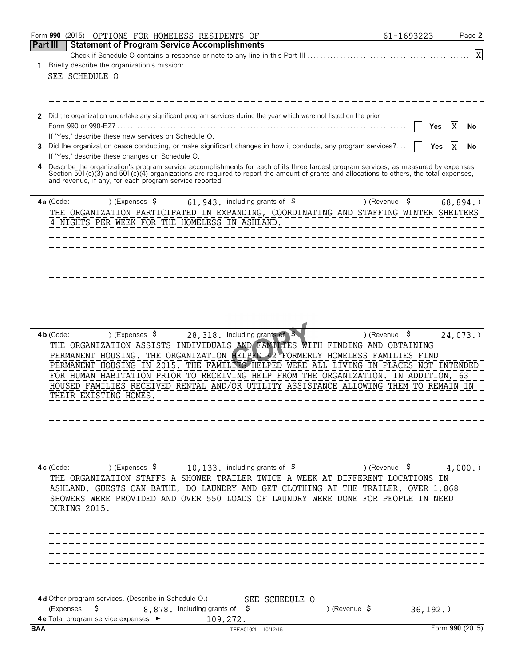|                                                                                                                                                                                                                                                                                                                                                                                                                                                                                                                                                                                                                                                                                                                                                                                                                                         | OPTIONS FOR HOMELESS RESIDENTS OF                                                                                                                                                                                                                                                                                                                                                                                                                                                                                                                                                                                                                                                                                                                                                                                                                                                                                                                                                    |  | Page 2          |  |  |
|-----------------------------------------------------------------------------------------------------------------------------------------------------------------------------------------------------------------------------------------------------------------------------------------------------------------------------------------------------------------------------------------------------------------------------------------------------------------------------------------------------------------------------------------------------------------------------------------------------------------------------------------------------------------------------------------------------------------------------------------------------------------------------------------------------------------------------------------|--------------------------------------------------------------------------------------------------------------------------------------------------------------------------------------------------------------------------------------------------------------------------------------------------------------------------------------------------------------------------------------------------------------------------------------------------------------------------------------------------------------------------------------------------------------------------------------------------------------------------------------------------------------------------------------------------------------------------------------------------------------------------------------------------------------------------------------------------------------------------------------------------------------------------------------------------------------------------------------|--|-----------------|--|--|
|                                                                                                                                                                                                                                                                                                                                                                                                                                                                                                                                                                                                                                                                                                                                                                                                                                         | <b>Statement of Program Service Accomplishments</b>                                                                                                                                                                                                                                                                                                                                                                                                                                                                                                                                                                                                                                                                                                                                                                                                                                                                                                                                  |  |                 |  |  |
|                                                                                                                                                                                                                                                                                                                                                                                                                                                                                                                                                                                                                                                                                                                                                                                                                                         |                                                                                                                                                                                                                                                                                                                                                                                                                                                                                                                                                                                                                                                                                                                                                                                                                                                                                                                                                                                      |  | X               |  |  |
| 1                                                                                                                                                                                                                                                                                                                                                                                                                                                                                                                                                                                                                                                                                                                                                                                                                                       | Briefly describe the organization's mission:                                                                                                                                                                                                                                                                                                                                                                                                                                                                                                                                                                                                                                                                                                                                                                                                                                                                                                                                         |  |                 |  |  |
|                                                                                                                                                                                                                                                                                                                                                                                                                                                                                                                                                                                                                                                                                                                                                                                                                                         | SEE SCHEDULE O                                                                                                                                                                                                                                                                                                                                                                                                                                                                                                                                                                                                                                                                                                                                                                                                                                                                                                                                                                       |  |                 |  |  |
|                                                                                                                                                                                                                                                                                                                                                                                                                                                                                                                                                                                                                                                                                                                                                                                                                                         |                                                                                                                                                                                                                                                                                                                                                                                                                                                                                                                                                                                                                                                                                                                                                                                                                                                                                                                                                                                      |  |                 |  |  |
|                                                                                                                                                                                                                                                                                                                                                                                                                                                                                                                                                                                                                                                                                                                                                                                                                                         |                                                                                                                                                                                                                                                                                                                                                                                                                                                                                                                                                                                                                                                                                                                                                                                                                                                                                                                                                                                      |  |                 |  |  |
|                                                                                                                                                                                                                                                                                                                                                                                                                                                                                                                                                                                                                                                                                                                                                                                                                                         |                                                                                                                                                                                                                                                                                                                                                                                                                                                                                                                                                                                                                                                                                                                                                                                                                                                                                                                                                                                      |  |                 |  |  |
| 2                                                                                                                                                                                                                                                                                                                                                                                                                                                                                                                                                                                                                                                                                                                                                                                                                                       | 61-1693223<br>Did the organization undertake any significant program services during the year which were not listed on the prior<br>Yes<br>If 'Yes,' describe these new services on Schedule O.<br>Did the organization cease conducting, or make significant changes in how it conducts, any program services?<br>3<br>Yes<br>If 'Yes,' describe these changes on Schedule O.<br>and revenue, if any, for each program service reported.<br>) (Expenses \$<br>61, 943. including grants of $$$<br>\$<br>4a (Code:<br>) (Revenue<br>4 NIGHTS PER WEEK FOR THE HOMELESS IN ASHLAND.<br>28, 318. including grants of \$<br>) (Revenue $\frac{1}{2}$<br>) (Expenses $\sqrt{5}$<br>$4b$ (Code:<br>THE ORGANIZATION ASSISTS INDIVIDUALS AND FAMILIES WITH FINDING AND OBTAINING<br>PERMANENT HOUSING. THE ORGANIZATION HELPED 42 FORMERLY HOMELESS FAMILIES FIND<br>THEIR EXISTING HOMES.<br>10,133. including grants of \$<br>) (Revenue $\frac{1}{2}$<br>) (Expenses \$<br>DURING 2015. |  |                 |  |  |
|                                                                                                                                                                                                                                                                                                                                                                                                                                                                                                                                                                                                                                                                                                                                                                                                                                         |                                                                                                                                                                                                                                                                                                                                                                                                                                                                                                                                                                                                                                                                                                                                                                                                                                                                                                                                                                                      |  | No              |  |  |
|                                                                                                                                                                                                                                                                                                                                                                                                                                                                                                                                                                                                                                                                                                                                                                                                                                         |                                                                                                                                                                                                                                                                                                                                                                                                                                                                                                                                                                                                                                                                                                                                                                                                                                                                                                                                                                                      |  |                 |  |  |
| Form 990 (2015)<br><b>Part III</b><br>$4c$ (Code:<br>THE ORGANIZATION STAFFS A SHOWER TRAILER TWICE A WEEK AT DIFFERENT LOCATIONS IN<br>ASHLAND. GUESTS CAN BATHE, DO LAUNDRY AND GET CLOTHING AT THE TRAILER. OVER 1,868<br>SHOWERS WERE PROVIDED AND OVER 550 LOADS OF LAUNDRY WERE DONE FOR PEOPLE IN NEED                                                                                                                                                                                                                                                                                                                                                                                                                                                                                                                           |                                                                                                                                                                                                                                                                                                                                                                                                                                                                                                                                                                                                                                                                                                                                                                                                                                                                                                                                                                                      |  |                 |  |  |
|                                                                                                                                                                                                                                                                                                                                                                                                                                                                                                                                                                                                                                                                                                                                                                                                                                         |                                                                                                                                                                                                                                                                                                                                                                                                                                                                                                                                                                                                                                                                                                                                                                                                                                                                                                                                                                                      |  |                 |  |  |
|                                                                                                                                                                                                                                                                                                                                                                                                                                                                                                                                                                                                                                                                                                                                                                                                                                         |                                                                                                                                                                                                                                                                                                                                                                                                                                                                                                                                                                                                                                                                                                                                                                                                                                                                                                                                                                                      |  |                 |  |  |
|                                                                                                                                                                                                                                                                                                                                                                                                                                                                                                                                                                                                                                                                                                                                                                                                                                         |                                                                                                                                                                                                                                                                                                                                                                                                                                                                                                                                                                                                                                                                                                                                                                                                                                                                                                                                                                                      |  |                 |  |  |
|                                                                                                                                                                                                                                                                                                                                                                                                                                                                                                                                                                                                                                                                                                                                                                                                                                         |                                                                                                                                                                                                                                                                                                                                                                                                                                                                                                                                                                                                                                                                                                                                                                                                                                                                                                                                                                                      |  |                 |  |  |
|                                                                                                                                                                                                                                                                                                                                                                                                                                                                                                                                                                                                                                                                                                                                                                                                                                         |                                                                                                                                                                                                                                                                                                                                                                                                                                                                                                                                                                                                                                                                                                                                                                                                                                                                                                                                                                                      |  |                 |  |  |
|                                                                                                                                                                                                                                                                                                                                                                                                                                                                                                                                                                                                                                                                                                                                                                                                                                         |                                                                                                                                                                                                                                                                                                                                                                                                                                                                                                                                                                                                                                                                                                                                                                                                                                                                                                                                                                                      |  |                 |  |  |
|                                                                                                                                                                                                                                                                                                                                                                                                                                                                                                                                                                                                                                                                                                                                                                                                                                         |                                                                                                                                                                                                                                                                                                                                                                                                                                                                                                                                                                                                                                                                                                                                                                                                                                                                                                                                                                                      |  |                 |  |  |
| No<br>Describe the organization's program service accomplishments for each of its three largest program services, as measured by expenses.<br>Section 501(c)(3) and 501(c)(4) organizations are required to report the amount of grants and allocations to others, the total expenses,<br>68,894.<br>THE ORGANIZATION PARTICIPATED IN EXPANDING, COORDINATING AND STAFFING WINTER SHELTERS<br>PERMANENT HOUSING IN 2015. THE FAMILIES HELPED WERE ALL LIVING IN PLACES NOT INTENDED<br>FOR HUMAN HABITATION PRIOR TO RECEIVING HELP FROM THE ORGANIZATION. IN ADDITION, 63<br>HOUSED FAMILIES RECEIVED RENTAL AND/OR UTILITY ASSISTANCE ALLOWING THEM TO REMAIN IN<br>4d Other program services. (Describe in Schedule O.)<br>SEE SCHEDULE O<br>\$<br>(Expenses<br>8,878. including grants of<br>S<br>) (Revenue $\sqrt{5}$<br>36, 192. |                                                                                                                                                                                                                                                                                                                                                                                                                                                                                                                                                                                                                                                                                                                                                                                                                                                                                                                                                                                      |  |                 |  |  |
|                                                                                                                                                                                                                                                                                                                                                                                                                                                                                                                                                                                                                                                                                                                                                                                                                                         |                                                                                                                                                                                                                                                                                                                                                                                                                                                                                                                                                                                                                                                                                                                                                                                                                                                                                                                                                                                      |  |                 |  |  |
|                                                                                                                                                                                                                                                                                                                                                                                                                                                                                                                                                                                                                                                                                                                                                                                                                                         |                                                                                                                                                                                                                                                                                                                                                                                                                                                                                                                                                                                                                                                                                                                                                                                                                                                                                                                                                                                      |  |                 |  |  |
|                                                                                                                                                                                                                                                                                                                                                                                                                                                                                                                                                                                                                                                                                                                                                                                                                                         |                                                                                                                                                                                                                                                                                                                                                                                                                                                                                                                                                                                                                                                                                                                                                                                                                                                                                                                                                                                      |  |                 |  |  |
|                                                                                                                                                                                                                                                                                                                                                                                                                                                                                                                                                                                                                                                                                                                                                                                                                                         |                                                                                                                                                                                                                                                                                                                                                                                                                                                                                                                                                                                                                                                                                                                                                                                                                                                                                                                                                                                      |  |                 |  |  |
|                                                                                                                                                                                                                                                                                                                                                                                                                                                                                                                                                                                                                                                                                                                                                                                                                                         |                                                                                                                                                                                                                                                                                                                                                                                                                                                                                                                                                                                                                                                                                                                                                                                                                                                                                                                                                                                      |  |                 |  |  |
|                                                                                                                                                                                                                                                                                                                                                                                                                                                                                                                                                                                                                                                                                                                                                                                                                                         |                                                                                                                                                                                                                                                                                                                                                                                                                                                                                                                                                                                                                                                                                                                                                                                                                                                                                                                                                                                      |  |                 |  |  |
|                                                                                                                                                                                                                                                                                                                                                                                                                                                                                                                                                                                                                                                                                                                                                                                                                                         |                                                                                                                                                                                                                                                                                                                                                                                                                                                                                                                                                                                                                                                                                                                                                                                                                                                                                                                                                                                      |  |                 |  |  |
|                                                                                                                                                                                                                                                                                                                                                                                                                                                                                                                                                                                                                                                                                                                                                                                                                                         |                                                                                                                                                                                                                                                                                                                                                                                                                                                                                                                                                                                                                                                                                                                                                                                                                                                                                                                                                                                      |  |                 |  |  |
|                                                                                                                                                                                                                                                                                                                                                                                                                                                                                                                                                                                                                                                                                                                                                                                                                                         |                                                                                                                                                                                                                                                                                                                                                                                                                                                                                                                                                                                                                                                                                                                                                                                                                                                                                                                                                                                      |  |                 |  |  |
|                                                                                                                                                                                                                                                                                                                                                                                                                                                                                                                                                                                                                                                                                                                                                                                                                                         |                                                                                                                                                                                                                                                                                                                                                                                                                                                                                                                                                                                                                                                                                                                                                                                                                                                                                                                                                                                      |  |                 |  |  |
|                                                                                                                                                                                                                                                                                                                                                                                                                                                                                                                                                                                                                                                                                                                                                                                                                                         |                                                                                                                                                                                                                                                                                                                                                                                                                                                                                                                                                                                                                                                                                                                                                                                                                                                                                                                                                                                      |  | $24,073.$ )     |  |  |
|                                                                                                                                                                                                                                                                                                                                                                                                                                                                                                                                                                                                                                                                                                                                                                                                                                         |                                                                                                                                                                                                                                                                                                                                                                                                                                                                                                                                                                                                                                                                                                                                                                                                                                                                                                                                                                                      |  |                 |  |  |
|                                                                                                                                                                                                                                                                                                                                                                                                                                                                                                                                                                                                                                                                                                                                                                                                                                         |                                                                                                                                                                                                                                                                                                                                                                                                                                                                                                                                                                                                                                                                                                                                                                                                                                                                                                                                                                                      |  |                 |  |  |
|                                                                                                                                                                                                                                                                                                                                                                                                                                                                                                                                                                                                                                                                                                                                                                                                                                         |                                                                                                                                                                                                                                                                                                                                                                                                                                                                                                                                                                                                                                                                                                                                                                                                                                                                                                                                                                                      |  |                 |  |  |
|                                                                                                                                                                                                                                                                                                                                                                                                                                                                                                                                                                                                                                                                                                                                                                                                                                         |                                                                                                                                                                                                                                                                                                                                                                                                                                                                                                                                                                                                                                                                                                                                                                                                                                                                                                                                                                                      |  |                 |  |  |
|                                                                                                                                                                                                                                                                                                                                                                                                                                                                                                                                                                                                                                                                                                                                                                                                                                         |                                                                                                                                                                                                                                                                                                                                                                                                                                                                                                                                                                                                                                                                                                                                                                                                                                                                                                                                                                                      |  |                 |  |  |
|                                                                                                                                                                                                                                                                                                                                                                                                                                                                                                                                                                                                                                                                                                                                                                                                                                         |                                                                                                                                                                                                                                                                                                                                                                                                                                                                                                                                                                                                                                                                                                                                                                                                                                                                                                                                                                                      |  |                 |  |  |
|                                                                                                                                                                                                                                                                                                                                                                                                                                                                                                                                                                                                                                                                                                                                                                                                                                         |                                                                                                                                                                                                                                                                                                                                                                                                                                                                                                                                                                                                                                                                                                                                                                                                                                                                                                                                                                                      |  |                 |  |  |
|                                                                                                                                                                                                                                                                                                                                                                                                                                                                                                                                                                                                                                                                                                                                                                                                                                         |                                                                                                                                                                                                                                                                                                                                                                                                                                                                                                                                                                                                                                                                                                                                                                                                                                                                                                                                                                                      |  |                 |  |  |
|                                                                                                                                                                                                                                                                                                                                                                                                                                                                                                                                                                                                                                                                                                                                                                                                                                         |                                                                                                                                                                                                                                                                                                                                                                                                                                                                                                                                                                                                                                                                                                                                                                                                                                                                                                                                                                                      |  |                 |  |  |
|                                                                                                                                                                                                                                                                                                                                                                                                                                                                                                                                                                                                                                                                                                                                                                                                                                         |                                                                                                                                                                                                                                                                                                                                                                                                                                                                                                                                                                                                                                                                                                                                                                                                                                                                                                                                                                                      |  |                 |  |  |
|                                                                                                                                                                                                                                                                                                                                                                                                                                                                                                                                                                                                                                                                                                                                                                                                                                         |                                                                                                                                                                                                                                                                                                                                                                                                                                                                                                                                                                                                                                                                                                                                                                                                                                                                                                                                                                                      |  |                 |  |  |
|                                                                                                                                                                                                                                                                                                                                                                                                                                                                                                                                                                                                                                                                                                                                                                                                                                         |                                                                                                                                                                                                                                                                                                                                                                                                                                                                                                                                                                                                                                                                                                                                                                                                                                                                                                                                                                                      |  |                 |  |  |
|                                                                                                                                                                                                                                                                                                                                                                                                                                                                                                                                                                                                                                                                                                                                                                                                                                         |                                                                                                                                                                                                                                                                                                                                                                                                                                                                                                                                                                                                                                                                                                                                                                                                                                                                                                                                                                                      |  | 4,000.          |  |  |
|                                                                                                                                                                                                                                                                                                                                                                                                                                                                                                                                                                                                                                                                                                                                                                                                                                         |                                                                                                                                                                                                                                                                                                                                                                                                                                                                                                                                                                                                                                                                                                                                                                                                                                                                                                                                                                                      |  |                 |  |  |
|                                                                                                                                                                                                                                                                                                                                                                                                                                                                                                                                                                                                                                                                                                                                                                                                                                         |                                                                                                                                                                                                                                                                                                                                                                                                                                                                                                                                                                                                                                                                                                                                                                                                                                                                                                                                                                                      |  |                 |  |  |
|                                                                                                                                                                                                                                                                                                                                                                                                                                                                                                                                                                                                                                                                                                                                                                                                                                         |                                                                                                                                                                                                                                                                                                                                                                                                                                                                                                                                                                                                                                                                                                                                                                                                                                                                                                                                                                                      |  |                 |  |  |
|                                                                                                                                                                                                                                                                                                                                                                                                                                                                                                                                                                                                                                                                                                                                                                                                                                         |                                                                                                                                                                                                                                                                                                                                                                                                                                                                                                                                                                                                                                                                                                                                                                                                                                                                                                                                                                                      |  |                 |  |  |
|                                                                                                                                                                                                                                                                                                                                                                                                                                                                                                                                                                                                                                                                                                                                                                                                                                         |                                                                                                                                                                                                                                                                                                                                                                                                                                                                                                                                                                                                                                                                                                                                                                                                                                                                                                                                                                                      |  |                 |  |  |
|                                                                                                                                                                                                                                                                                                                                                                                                                                                                                                                                                                                                                                                                                                                                                                                                                                         |                                                                                                                                                                                                                                                                                                                                                                                                                                                                                                                                                                                                                                                                                                                                                                                                                                                                                                                                                                                      |  |                 |  |  |
|                                                                                                                                                                                                                                                                                                                                                                                                                                                                                                                                                                                                                                                                                                                                                                                                                                         |                                                                                                                                                                                                                                                                                                                                                                                                                                                                                                                                                                                                                                                                                                                                                                                                                                                                                                                                                                                      |  |                 |  |  |
|                                                                                                                                                                                                                                                                                                                                                                                                                                                                                                                                                                                                                                                                                                                                                                                                                                         |                                                                                                                                                                                                                                                                                                                                                                                                                                                                                                                                                                                                                                                                                                                                                                                                                                                                                                                                                                                      |  |                 |  |  |
|                                                                                                                                                                                                                                                                                                                                                                                                                                                                                                                                                                                                                                                                                                                                                                                                                                         |                                                                                                                                                                                                                                                                                                                                                                                                                                                                                                                                                                                                                                                                                                                                                                                                                                                                                                                                                                                      |  |                 |  |  |
|                                                                                                                                                                                                                                                                                                                                                                                                                                                                                                                                                                                                                                                                                                                                                                                                                                         |                                                                                                                                                                                                                                                                                                                                                                                                                                                                                                                                                                                                                                                                                                                                                                                                                                                                                                                                                                                      |  |                 |  |  |
|                                                                                                                                                                                                                                                                                                                                                                                                                                                                                                                                                                                                                                                                                                                                                                                                                                         |                                                                                                                                                                                                                                                                                                                                                                                                                                                                                                                                                                                                                                                                                                                                                                                                                                                                                                                                                                                      |  |                 |  |  |
|                                                                                                                                                                                                                                                                                                                                                                                                                                                                                                                                                                                                                                                                                                                                                                                                                                         |                                                                                                                                                                                                                                                                                                                                                                                                                                                                                                                                                                                                                                                                                                                                                                                                                                                                                                                                                                                      |  |                 |  |  |
|                                                                                                                                                                                                                                                                                                                                                                                                                                                                                                                                                                                                                                                                                                                                                                                                                                         |                                                                                                                                                                                                                                                                                                                                                                                                                                                                                                                                                                                                                                                                                                                                                                                                                                                                                                                                                                                      |  |                 |  |  |
|                                                                                                                                                                                                                                                                                                                                                                                                                                                                                                                                                                                                                                                                                                                                                                                                                                         |                                                                                                                                                                                                                                                                                                                                                                                                                                                                                                                                                                                                                                                                                                                                                                                                                                                                                                                                                                                      |  |                 |  |  |
|                                                                                                                                                                                                                                                                                                                                                                                                                                                                                                                                                                                                                                                                                                                                                                                                                                         | <b>4e</b> Total program service expenses<br>109,272.                                                                                                                                                                                                                                                                                                                                                                                                                                                                                                                                                                                                                                                                                                                                                                                                                                                                                                                                 |  |                 |  |  |
| <b>BAA</b>                                                                                                                                                                                                                                                                                                                                                                                                                                                                                                                                                                                                                                                                                                                                                                                                                              | TEEA0102L 10/12/15                                                                                                                                                                                                                                                                                                                                                                                                                                                                                                                                                                                                                                                                                                                                                                                                                                                                                                                                                                   |  | Form 990 (2015) |  |  |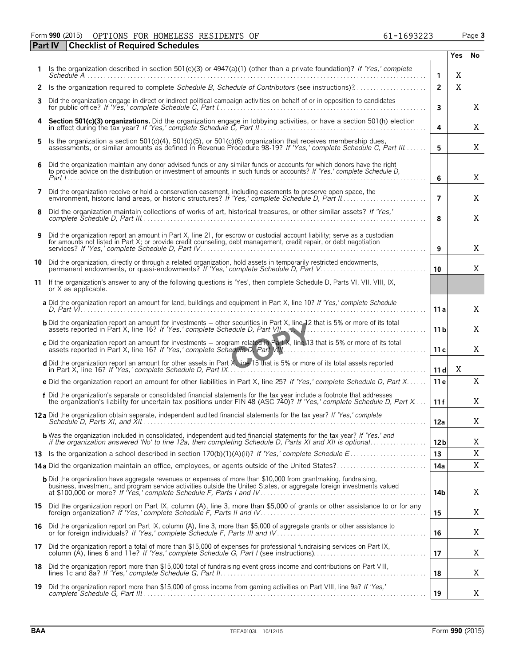### Form **990** (2015) OPTIONS FOR HOMELESS RESIDENTS OF 61-1693223 Page **3 Part IV Checklist of Required Schedules**

|    |                                                                                                                                                                                                                                                    |                 | <b>Yes</b> | No          |
|----|----------------------------------------------------------------------------------------------------------------------------------------------------------------------------------------------------------------------------------------------------|-----------------|------------|-------------|
|    | Is the organization described in section 501(c)(3) or $4947(a)(1)$ (other than a private foundation)? If 'Yes,' complete                                                                                                                           | 1               | X          |             |
|    |                                                                                                                                                                                                                                                    | $\overline{2}$  | X          |             |
| 3  | Did the organization engage in direct or indirect political campaign activities on behalf of or in opposition to candidates                                                                                                                        | 3               |            | Χ           |
|    | 4 Section 501(c)(3) organizations. Did the organization engage in lobbying activities, or have a section 501(h) election                                                                                                                           | 4               |            | Χ           |
| 5. | Is the organization a section 501(c)(4), 501(c)(5), or 501(c)(6) organization that receives membership dues,<br>assessments, or similar amounts as defined in Revenue Procedure 98-19? If 'Yes,' complete Schedule C, Part III                     | 5               |            | X           |
| 6  | Did the organization maintain any donor advised funds or any similar funds or accounts for which donors have the right<br>to provide advice on the distribution or investment of amounts in such funds or accounts? If 'Yes,' complete Schedule D, | 6               |            | Χ           |
| 7  | Did the organization receive or hold a conservation easement, including easements to preserve open space, the                                                                                                                                      | $\overline{7}$  |            | X           |
| 8  | Did the organization maintain collections of works of art, historical treasures, or other similar assets? If 'Yes,'                                                                                                                                | 8               |            | X           |
| 9  | Did the organization report an amount in Part X, line 21, for escrow or custodial account liability; serve as a custodian<br>for amounts not listed in Part X; or provide credit counseling, debt management, credit repair, or debt negotiation   | 9               |            | Χ           |
| 10 | Did the organization, directly or through a related organization, hold assets in temporarily restricted endowments,<br>permanent endowments, or quasi-endowments? If 'Yes,' complete Schedule D. Part V                                            | 10              |            | X           |
| 11 | If the organization's answer to any of the following questions is 'Yes', then complete Schedule D, Parts VI, VII, VIII, IX,<br>or X as applicable.                                                                                                 |                 |            |             |
|    | a Did the organization report an amount for land, buildings and equipment in Part X, line 10? If 'Yes,' complete Schedule                                                                                                                          | 11 a            |            | X           |
|    | <b>b</b> Did the organization report an amount for investments – other securities in Part X, line 12 that is 5% or more of its total                                                                                                               | 11 <sub>b</sub> |            | X           |
|    | c Did the organization report an amount for investments – program related in Part X, line 13 that is 5% or more of its total                                                                                                                       | 11 c            |            | X           |
|    | d Did the organization report an amount for other assets in Part X, line 15 that is 5% or more of its total assets reported                                                                                                                        | 11d             | Χ          |             |
|    | e Did the organization report an amount for other liabilities in Part X, line 25? If 'Yes,' complete Schedule D, Part X                                                                                                                            | 11 e            |            | X           |
|    | f Did the organization's separate or consolidated financial statements for the tax year include a footnote that addresses<br>the organization's liability for uncertain tax positions under FIN 48 (ASC 740)? If 'Yes,' complete                   | 11 f            |            | X           |
|    | 12 a Did the organization obtain separate, independent audited financial statements for the tax year? If 'Yes,' complete                                                                                                                           | 12a             |            | X           |
|    | <b>b</b> Was the organization included in consolidated, independent audited financial statements for the tax year? If 'Yes,' and<br>if the organization answered 'No' to line 12a, then completing Schedule D, Parts XI and XII is optional        | 12 <sub>b</sub> |            | Χ           |
|    |                                                                                                                                                                                                                                                    | 13              |            | $\mathbf X$ |
|    | 14a Did the organization maintain an office, employees, or agents outside of the United States?                                                                                                                                                    | 14a             |            | X           |
|    | <b>b</b> Did the organization have aggregate revenues or expenses of more than \$10,000 from grantmaking, fundraising,<br>business, investment, and program service activities outside the United States, or aggregate foreign investments valued  | 14b             |            | X           |
|    | 15 Did the organization report on Part IX, column (A), line 3, more than \$5,000 of grants or other assistance to or for any                                                                                                                       | 15              |            | X           |
|    | 16 Did the organization report on Part IX, column (A), line 3, more than \$5,000 of aggregate grants or other assistance to<br>or for foreign individuals? If 'Yes,' complete Schedule F, Parts III and IV                                         | 16              |            | X           |
|    | 17 Did the organization report a total of more than \$15,000 of expenses for professional fundraising services on Part IX,                                                                                                                         | 17              |            | X           |
| 18 | Did the organization report more than \$15,000 total of fundraising event gross income and contributions on Part VIII,                                                                                                                             | 18              |            | X           |
| 19 | Did the organization report more than \$15,000 of gross income from gaming activities on Part VIII, line 9a? If 'Yes,'                                                                                                                             | 19              |            | X           |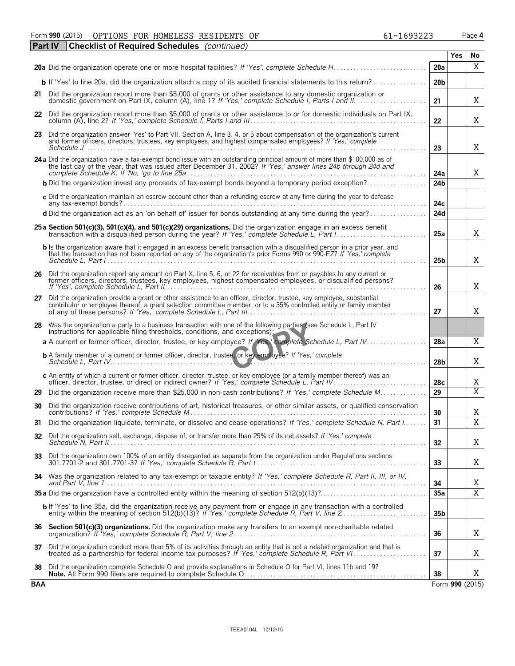Form **990** (2015) OPTIONS FOR HOMELESS RESIDENTS OF 61-1693223 Page **4** OPTIONS FOR HOMELESS RESIDENTS OF  $61-1693223$ 

|            | <b>Checklist of Required Schedules</b> (continued)<br>l Part IV                                                                                                                                                                                              |                 |            |                 |
|------------|--------------------------------------------------------------------------------------------------------------------------------------------------------------------------------------------------------------------------------------------------------------|-----------------|------------|-----------------|
|            |                                                                                                                                                                                                                                                              |                 | <b>Yes</b> | No              |
|            |                                                                                                                                                                                                                                                              | 20a             |            | X               |
|            |                                                                                                                                                                                                                                                              | 20 <sub>b</sub> |            |                 |
|            | 21 Did the organization report more than \$5,000 of grants or other assistance to any domestic organization or                                                                                                                                               | 21              |            | Χ               |
|            | 22 Did the organization report more than \$5,000 of grants or other assistance to or for domestic individuals on Part IX,                                                                                                                                    | 22              |            | Χ               |
|            | 23 Did the organization answer 'Yes' to Part VII, Section A, line 3, 4, or 5 about compensation of the organization's current<br>and former officers, directors, trustees, key employees, and highest compensated employees? If 'Yes,' complete              | 23              |            | X               |
|            |                                                                                                                                                                                                                                                              |                 |            |                 |
|            | 24 a Did the organization have a tax-exempt bond issue with an outstanding principal amount of more than \$100,000 as of the last day of the year, that was issued after December 31, 2002? If 'Yes,' answer lines 24b through                               | 24a             |            | X               |
|            | <b>b</b> Did the organization invest any proceeds of tax-exempt bonds beyond a temporary period exception?                                                                                                                                                   | 24 <sub>b</sub> |            |                 |
|            | c Did the organization maintain an escrow account other than a refunding escrow at any time during the year to defease                                                                                                                                       | 24c             |            |                 |
|            | d Did the organization act as an 'on behalf of' issuer for bonds outstanding at any time during the year?                                                                                                                                                    | 24d             |            |                 |
|            | 25 a Section 501(c)(3), 501(c)(4), and 501(c)(29) organizations. Did the organization engage in an excess benefit<br>transaction with a disqualified person during the year? If 'Yes,' complete Schedule L, Part I                                           | 25a             |            | X               |
|            | <b>b</b> Is the organization aware that it engaged in an excess benefit transaction with a disqualified person in a prior year, and<br>that the transaction has not been reported on any of the organization's prior Forms 990 or 990-EZ? If 'Yes,' complete | 25 <sub>b</sub> |            | X               |
| 26         | Did the organization report any amount on Part X, line 5, 6, or 22 for receivables from or payables to any current or                                                                                                                                        |                 |            |                 |
|            | former officers, directors, trustees, key employees, highest compensated employees, or disqualified persons?                                                                                                                                                 | 26              |            | X               |
| 27         | Did the organization provide a grant or other assistance to an officer, director, trustee, key employee, substantial<br>contributor or employee thereof, a grant selection committee member, or to a 35% controlled entity or family member                  | 27              |            | Χ               |
|            | 28 Was the organization a party to a business transaction with one of the following parties (see Schedule L, Part IV<br>instructions for applicable filing thresholds, conditions, and exceptions):                                                          |                 |            |                 |
|            | a A current or former officer, director, trustee, or key employee? If Yes, complete Schedule L, Part IV                                                                                                                                                      | 28a             |            | Χ               |
|            | <b>b</b> A family member of a current or former officer, director, trustee, or key employee? If 'Yes,' complete                                                                                                                                              | 28 <sub>b</sub> |            | X               |
|            | c An entity of which a current or former officer, director, trustee, or key employee (or a family member thereof) was an<br>officer, director, trustee, or direct or indirect owner? If 'Yes,' complete Schedule L, Part IV.                                 | 28 <sub>c</sub> |            | Χ               |
| 29         | Did the organization receive more than \$25,000 in non-cash contributions? If 'Yes,' complete Schedule M                                                                                                                                                     | 29              |            | $\overline{X}$  |
| 30         | Did the organization receive contributions of art, historical treasures, or other similar assets, or qualified conservation                                                                                                                                  | 30              |            | Χ               |
|            | Did the organization liquidate, terminate, or dissolve and cease operations? If 'Yes,' complete Schedule N, Part I                                                                                                                                           | 31              |            | $\overline{X}$  |
| 32         | Did the organization sell, exchange, dispose of, or transfer more than 25% of its net assets? If 'Yes,' complete                                                                                                                                             | 32              |            | Χ               |
| 33         | Did the organization own 100% of an entity disregarded as separate from the organization under Regulations sections                                                                                                                                          | 33              |            | Χ               |
|            | 34 Was the organization related to any tax-exempt or taxable entity? If 'Yes,' complete Schedule R, Part II, III, or IV,                                                                                                                                     | 34              |            | Χ               |
|            |                                                                                                                                                                                                                                                              | 35a             |            | $\overline{X}$  |
|            | b If 'Yes' to line 35a, did the organization receive any payment from or engage in any transaction with a controlled<br>entity within the meaning of section 512(b)(13)? If 'Yes,' complete Schedule R, Part V, line 2                                       | 35 <sub>b</sub> |            |                 |
| 36         | Section 501(c)(3) organizations. Did the organization make any transfers to an exempt non-charitable related                                                                                                                                                 | 36              |            | X               |
| 37         | Did the organization conduct more than 5% of its activities through an entity that is not a related organization and that is<br>treated as a partnership for federal income tax purposes? If 'Yes,' complete Schedule R, Part VI                             | 37              |            | Χ               |
| 38         | Did the organization complete Schedule O and provide explanations in Schedule O for Part VI, lines 11b and 19?                                                                                                                                               | 38              |            | X               |
| <b>BAA</b> |                                                                                                                                                                                                                                                              |                 |            | Form 990 (2015) |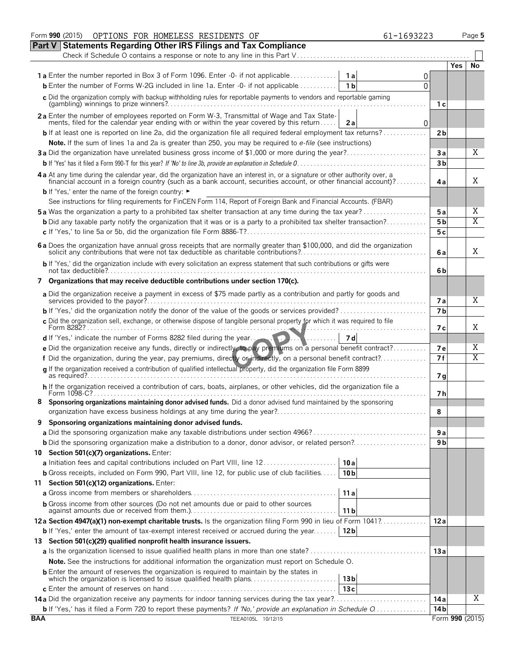|            | Form 990 (2015)<br>OPTIONS FOR HOMELESS RESIDENTS OF                                                                                                                                                                                                                                                                                                                                                                                                                                                                                                                                                                                                                                                                                                                                                                                                                                                                                                                                                                                                                                                                                                                                                                                                                                                                   |                | Page 5 |
|------------|------------------------------------------------------------------------------------------------------------------------------------------------------------------------------------------------------------------------------------------------------------------------------------------------------------------------------------------------------------------------------------------------------------------------------------------------------------------------------------------------------------------------------------------------------------------------------------------------------------------------------------------------------------------------------------------------------------------------------------------------------------------------------------------------------------------------------------------------------------------------------------------------------------------------------------------------------------------------------------------------------------------------------------------------------------------------------------------------------------------------------------------------------------------------------------------------------------------------------------------------------------------------------------------------------------------------|----------------|--------|
|            | <b>Part V Statements Regarding Other IRS Filings and Tax Compliance</b>                                                                                                                                                                                                                                                                                                                                                                                                                                                                                                                                                                                                                                                                                                                                                                                                                                                                                                                                                                                                                                                                                                                                                                                                                                                |                |        |
|            | Check if Schedule O contains a response or note to any line in this Part V                                                                                                                                                                                                                                                                                                                                                                                                                                                                                                                                                                                                                                                                                                                                                                                                                                                                                                                                                                                                                                                                                                                                                                                                                                             |                |        |
|            |                                                                                                                                                                                                                                                                                                                                                                                                                                                                                                                                                                                                                                                                                                                                                                                                                                                                                                                                                                                                                                                                                                                                                                                                                                                                                                                        |                | No     |
|            | 0                                                                                                                                                                                                                                                                                                                                                                                                                                                                                                                                                                                                                                                                                                                                                                                                                                                                                                                                                                                                                                                                                                                                                                                                                                                                                                                      |                |        |
|            | $\Omega$                                                                                                                                                                                                                                                                                                                                                                                                                                                                                                                                                                                                                                                                                                                                                                                                                                                                                                                                                                                                                                                                                                                                                                                                                                                                                                               |                |        |
|            | c Did the organization comply with backup withholding rules for reportable payments to vendors and reportable gaming                                                                                                                                                                                                                                                                                                                                                                                                                                                                                                                                                                                                                                                                                                                                                                                                                                                                                                                                                                                                                                                                                                                                                                                                   | 1 с            |        |
|            | 2a Enter the number of employees reported on Form W-3, Transmittal of Wage and Tax State-                                                                                                                                                                                                                                                                                                                                                                                                                                                                                                                                                                                                                                                                                                                                                                                                                                                                                                                                                                                                                                                                                                                                                                                                                              |                |        |
|            |                                                                                                                                                                                                                                                                                                                                                                                                                                                                                                                                                                                                                                                                                                                                                                                                                                                                                                                                                                                                                                                                                                                                                                                                                                                                                                                        |                |        |
|            |                                                                                                                                                                                                                                                                                                                                                                                                                                                                                                                                                                                                                                                                                                                                                                                                                                                                                                                                                                                                                                                                                                                                                                                                                                                                                                                        |                |        |
|            |                                                                                                                                                                                                                                                                                                                                                                                                                                                                                                                                                                                                                                                                                                                                                                                                                                                                                                                                                                                                                                                                                                                                                                                                                                                                                                                        |                |        |
|            |                                                                                                                                                                                                                                                                                                                                                                                                                                                                                                                                                                                                                                                                                                                                                                                                                                                                                                                                                                                                                                                                                                                                                                                                                                                                                                                        |                |        |
|            |                                                                                                                                                                                                                                                                                                                                                                                                                                                                                                                                                                                                                                                                                                                                                                                                                                                                                                                                                                                                                                                                                                                                                                                                                                                                                                                        |                |        |
|            |                                                                                                                                                                                                                                                                                                                                                                                                                                                                                                                                                                                                                                                                                                                                                                                                                                                                                                                                                                                                                                                                                                                                                                                                                                                                                                                        | 4a             | Χ      |
|            | <b>b</b> If 'Yes,' enter the name of the foreign country: ►                                                                                                                                                                                                                                                                                                                                                                                                                                                                                                                                                                                                                                                                                                                                                                                                                                                                                                                                                                                                                                                                                                                                                                                                                                                            |                |        |
|            | See instructions for filing requirements for FinCEN Form 114, Report of Foreign Bank and Financial Accounts. (FBAR)                                                                                                                                                                                                                                                                                                                                                                                                                                                                                                                                                                                                                                                                                                                                                                                                                                                                                                                                                                                                                                                                                                                                                                                                    |                |        |
|            | <b>5a</b> Was the organization a party to a prohibited tax shelter transaction at any time during the tax year?                                                                                                                                                                                                                                                                                                                                                                                                                                                                                                                                                                                                                                                                                                                                                                                                                                                                                                                                                                                                                                                                                                                                                                                                        | 5 a            | Χ      |
|            | <b>b</b> Did any taxable party notify the organization that it was or is a party to a prohibited tax shelter transaction?                                                                                                                                                                                                                                                                                                                                                                                                                                                                                                                                                                                                                                                                                                                                                                                                                                                                                                                                                                                                                                                                                                                                                                                              | 5 <sub>b</sub> |        |
|            |                                                                                                                                                                                                                                                                                                                                                                                                                                                                                                                                                                                                                                                                                                                                                                                                                                                                                                                                                                                                                                                                                                                                                                                                                                                                                                                        |                |        |
|            | 6 a Does the organization have annual gross receipts that are normally greater than \$100,000, and did the organization solicit any contributions that were not tax deductible as charitable contributions?                                                                                                                                                                                                                                                                                                                                                                                                                                                                                                                                                                                                                                                                                                                                                                                                                                                                                                                                                                                                                                                                                                            | 6a             | Χ      |
|            | b If 'Yes,' did the organization include with every solicitation an express statement that such contributions or gifts were                                                                                                                                                                                                                                                                                                                                                                                                                                                                                                                                                                                                                                                                                                                                                                                                                                                                                                                                                                                                                                                                                                                                                                                            |                |        |
|            | 7 Organizations that may receive deductible contributions under section 170(c).                                                                                                                                                                                                                                                                                                                                                                                                                                                                                                                                                                                                                                                                                                                                                                                                                                                                                                                                                                                                                                                                                                                                                                                                                                        |                |        |
|            | a Did the organization receive a payment in excess of \$75 made partly as a contribution and partly for goods and                                                                                                                                                                                                                                                                                                                                                                                                                                                                                                                                                                                                                                                                                                                                                                                                                                                                                                                                                                                                                                                                                                                                                                                                      | <b>7a</b>      | X      |
|            |                                                                                                                                                                                                                                                                                                                                                                                                                                                                                                                                                                                                                                                                                                                                                                                                                                                                                                                                                                                                                                                                                                                                                                                                                                                                                                                        | 7 <sub>b</sub> |        |
|            | c Did the organization sell, exchange, or otherwise dispose of tangible personal property for which it was required to file                                                                                                                                                                                                                                                                                                                                                                                                                                                                                                                                                                                                                                                                                                                                                                                                                                                                                                                                                                                                                                                                                                                                                                                            | 7 с            | Χ      |
|            | d If 'Yes,' indicate the number of Forms 8282 filed during the year.<br>7 d<br>a a a a a a a a a                                                                                                                                                                                                                                                                                                                                                                                                                                                                                                                                                                                                                                                                                                                                                                                                                                                                                                                                                                                                                                                                                                                                                                                                                       |                |        |
|            | e Did the organization receive any funds, directly or indirectly, to pay premiums on a personal benefit contract?                                                                                                                                                                                                                                                                                                                                                                                                                                                                                                                                                                                                                                                                                                                                                                                                                                                                                                                                                                                                                                                                                                                                                                                                      | 7e             | Χ      |
|            | f Did the organization, during the year, pay premiums, directly or indirectly, on a personal benefit contract?                                                                                                                                                                                                                                                                                                                                                                                                                                                                                                                                                                                                                                                                                                                                                                                                                                                                                                                                                                                                                                                                                                                                                                                                         | 7f             | Χ      |
|            | q If the organization received a contribution of qualified intellectual property, did the organization file Form 8899                                                                                                                                                                                                                                                                                                                                                                                                                                                                                                                                                                                                                                                                                                                                                                                                                                                                                                                                                                                                                                                                                                                                                                                                  | 7g             |        |
|            | h If the organization received a contribution of cars, boats, airplanes, or other vehicles, did the organization file a                                                                                                                                                                                                                                                                                                                                                                                                                                                                                                                                                                                                                                                                                                                                                                                                                                                                                                                                                                                                                                                                                                                                                                                                |                |        |
|            |                                                                                                                                                                                                                                                                                                                                                                                                                                                                                                                                                                                                                                                                                                                                                                                                                                                                                                                                                                                                                                                                                                                                                                                                                                                                                                                        |                |        |
|            |                                                                                                                                                                                                                                                                                                                                                                                                                                                                                                                                                                                                                                                                                                                                                                                                                                                                                                                                                                                                                                                                                                                                                                                                                                                                                                                        | 8              |        |
| 9          | Sponsoring organizations maintaining donor advised funds.                                                                                                                                                                                                                                                                                                                                                                                                                                                                                                                                                                                                                                                                                                                                                                                                                                                                                                                                                                                                                                                                                                                                                                                                                                                              |                |        |
|            |                                                                                                                                                                                                                                                                                                                                                                                                                                                                                                                                                                                                                                                                                                                                                                                                                                                                                                                                                                                                                                                                                                                                                                                                                                                                                                                        | 9а             |        |
|            |                                                                                                                                                                                                                                                                                                                                                                                                                                                                                                                                                                                                                                                                                                                                                                                                                                                                                                                                                                                                                                                                                                                                                                                                                                                                                                                        | 9 b            |        |
|            | 10 Section 501(c)(7) organizations. Enter:                                                                                                                                                                                                                                                                                                                                                                                                                                                                                                                                                                                                                                                                                                                                                                                                                                                                                                                                                                                                                                                                                                                                                                                                                                                                             |                |        |
|            | a Initiation fees and capital contributions included on Part VIII, line 12<br>10a                                                                                                                                                                                                                                                                                                                                                                                                                                                                                                                                                                                                                                                                                                                                                                                                                                                                                                                                                                                                                                                                                                                                                                                                                                      |                |        |
|            | <b>b</b> Gross receipts, included on Form 990, Part VIII, line 12, for public use of club facilities<br>10 <sub>b</sub>                                                                                                                                                                                                                                                                                                                                                                                                                                                                                                                                                                                                                                                                                                                                                                                                                                                                                                                                                                                                                                                                                                                                                                                                |                |        |
|            | 11 Section 501(c)(12) organizations. Enter:                                                                                                                                                                                                                                                                                                                                                                                                                                                                                                                                                                                                                                                                                                                                                                                                                                                                                                                                                                                                                                                                                                                                                                                                                                                                            |                |        |
|            | 11a                                                                                                                                                                                                                                                                                                                                                                                                                                                                                                                                                                                                                                                                                                                                                                                                                                                                                                                                                                                                                                                                                                                                                                                                                                                                                                                    |                |        |
|            | <b>b</b> Gross income from other sources (Do not net amounts due or paid to other sources<br>11 <sub>b</sub>                                                                                                                                                                                                                                                                                                                                                                                                                                                                                                                                                                                                                                                                                                                                                                                                                                                                                                                                                                                                                                                                                                                                                                                                           |                |        |
|            | 12a Section 4947(a)(1) non-exempt charitable trusts. Is the organization filing Form 990 in lieu of Form 1041?                                                                                                                                                                                                                                                                                                                                                                                                                                                                                                                                                                                                                                                                                                                                                                                                                                                                                                                                                                                                                                                                                                                                                                                                         | 12a            |        |
|            | <b>b</b> If 'Yes,' enter the amount of tax-exempt interest received or accrued during the year<br>12 <sub>b</sub>                                                                                                                                                                                                                                                                                                                                                                                                                                                                                                                                                                                                                                                                                                                                                                                                                                                                                                                                                                                                                                                                                                                                                                                                      |                |        |
|            | 13 Section 501(c)(29) qualified nonprofit health insurance issuers.                                                                                                                                                                                                                                                                                                                                                                                                                                                                                                                                                                                                                                                                                                                                                                                                                                                                                                                                                                                                                                                                                                                                                                                                                                                    |                |        |
|            |                                                                                                                                                                                                                                                                                                                                                                                                                                                                                                                                                                                                                                                                                                                                                                                                                                                                                                                                                                                                                                                                                                                                                                                                                                                                                                                        | 13 a           |        |
|            | Note. See the instructions for additional information the organization must report on Schedule O.                                                                                                                                                                                                                                                                                                                                                                                                                                                                                                                                                                                                                                                                                                                                                                                                                                                                                                                                                                                                                                                                                                                                                                                                                      |                |        |
|            |                                                                                                                                                                                                                                                                                                                                                                                                                                                                                                                                                                                                                                                                                                                                                                                                                                                                                                                                                                                                                                                                                                                                                                                                                                                                                                                        |                |        |
|            |                                                                                                                                                                                                                                                                                                                                                                                                                                                                                                                                                                                                                                                                                                                                                                                                                                                                                                                                                                                                                                                                                                                                                                                                                                                                                                                        |                |        |
|            |                                                                                                                                                                                                                                                                                                                                                                                                                                                                                                                                                                                                                                                                                                                                                                                                                                                                                                                                                                                                                                                                                                                                                                                                                                                                                                                        |                |        |
|            |                                                                                                                                                                                                                                                                                                                                                                                                                                                                                                                                                                                                                                                                                                                                                                                                                                                                                                                                                                                                                                                                                                                                                                                                                                                                                                                        |                |        |
| <b>BAA</b> |                                                                                                                                                                                                                                                                                                                                                                                                                                                                                                                                                                                                                                                                                                                                                                                                                                                                                                                                                                                                                                                                                                                                                                                                                                                                                                                        |                |        |
|            | 61-1693223<br><b>Yes</b><br><b>1a</b> Enter the number reported in Box 3 of Form 1096. Enter -0- if not applicable<br>1a<br><b>b</b> Enter the number of Forms W-2G included in line 1a. Enter -0- if not applicable<br>1 <sub>b</sub><br>ments, filed for the calendar year ending with or within the year covered by this return<br>0<br>2a<br><b>b</b> If at least one is reported on line 2a, did the organization file all required federal employment tax returns?<br>2b<br>Note. If the sum of lines 1a and 2a is greater than 250, you may be required to e-file (see instructions)<br>Χ<br>3a Did the organization have unrelated business gross income of \$1,000 or more during the year?<br>Зa<br>3 <sub>b</sub><br>4 a At any time during the calendar year, did the organization have an interest in, or a signature or other authority over, a financial account in a foreign country (such as a bank account, securities account, or other fin<br>Χ<br>5c<br>6b<br>7h<br>Sponsoring organizations maintaining donor advised funds. Did a donor advised fund maintained by the sponsoring<br>13 <sub>b</sub><br>13c<br>X<br>14 a<br><b>b</b> If 'Yes,' has it filed a Form 720 to report these payments? If 'No,' provide an explanation in Schedule O<br>14 b<br>Form 990 (2015)<br>TEEA0105L 10/12/15 |                |        |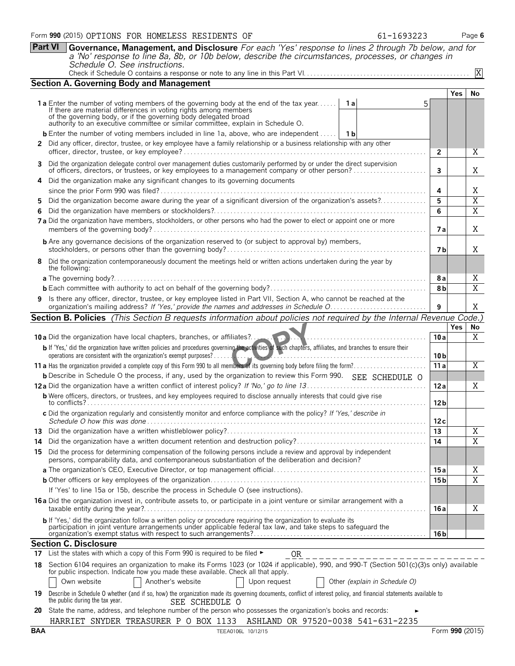|     | <b>Part VI</b> | Governance, Management, and Disclosure For each 'Yes' response to lines 2 through 7b below, and for                                                                                                                                                    |                 |            |                         |
|-----|----------------|--------------------------------------------------------------------------------------------------------------------------------------------------------------------------------------------------------------------------------------------------------|-----------------|------------|-------------------------|
|     |                | a 'No' response to line 8a, 8b, or 10b below, describe the circumstances, processes, or changes in<br>Schedule O. See instructions.                                                                                                                    |                 |            |                         |
|     |                |                                                                                                                                                                                                                                                        |                 |            | X                       |
|     |                | <b>Section A. Governing Body and Management</b>                                                                                                                                                                                                        |                 |            |                         |
|     |                |                                                                                                                                                                                                                                                        |                 | <b>Yes</b> | No                      |
|     |                | <b>1a</b> Enter the number of voting members of the governing body at the end of the tax year<br><b>1a</b>                                                                                                                                             |                 |            |                         |
|     |                | If there are material differences in voting rights among members<br>of the governing body, or if the governing body delegated broad<br>authority to an executive committee or similar committee, explain in Schedule O.                                |                 |            |                         |
|     |                |                                                                                                                                                                                                                                                        |                 |            |                         |
|     |                | <b>b</b> Enter the number of voting members included in line 1a, above, who are independent<br>- 1 b                                                                                                                                                   |                 |            |                         |
|     |                | 2 Did any officer, director, trustee, or key employee have a family relationship or a business relationship with any other                                                                                                                             | $\overline{2}$  |            | Χ                       |
|     |                | 3 Did the organization delegate control over management duties customarily performed by or under the direct supervision                                                                                                                                |                 |            |                         |
|     |                | of officers, directors, or trustees, or key employees to a management company or other person?<br>Did the organization make any significant changes to its governing documents                                                                         | 3               |            | Χ                       |
|     |                |                                                                                                                                                                                                                                                        | 4               |            | Χ                       |
| 5.  |                | Did the organization become aware during the year of a significant diversion of the organization's assets?                                                                                                                                             | 5               |            | X                       |
|     |                |                                                                                                                                                                                                                                                        | 6               |            | X                       |
|     |                | 7a Did the organization have members, stockholders, or other persons who had the power to elect or appoint one or more                                                                                                                                 | 7а              |            | X                       |
|     |                | <b>b</b> Are any governance decisions of the organization reserved to (or subject to approval by) members,                                                                                                                                             |                 |            |                         |
|     |                |                                                                                                                                                                                                                                                        | 7 b             |            | X                       |
|     |                | 8 Did the organization contemporaneously document the meetings held or written actions undertaken during the year by<br>the following:                                                                                                                 |                 |            |                         |
|     |                |                                                                                                                                                                                                                                                        | 8a              |            | Χ                       |
|     |                |                                                                                                                                                                                                                                                        | 8b              |            | X                       |
|     |                | 9 Is there any officer, director, trustee, or key employee listed in Part VII, Section A, who cannot be reached at the                                                                                                                                 | 9               |            | Χ                       |
|     |                | Section B. Policies (This Section B requests information about policies not required by the Internal Revenue Code.)                                                                                                                                    |                 |            |                         |
|     |                |                                                                                                                                                                                                                                                        |                 | <b>Yes</b> | No                      |
|     |                | 10 a Did the organization have local chapters, branches, or affiliates?                                                                                                                                                                                | 10a             |            | Χ                       |
|     |                | b If 'Yes,' did the organization have written policies and procedures governing the activities of such chapters, affiliates, and branches to ensure their<br>operations are consistent with the organization's exempt purposes?                        | 10 <sub>b</sub> |            |                         |
|     |                |                                                                                                                                                                                                                                                        | 11a             |            | Χ                       |
|     |                | <b>b</b> Describe in Schedule O the process, if any, used by the organization to review this Form 990. SEE SCHEDULE O                                                                                                                                  |                 |            |                         |
|     |                |                                                                                                                                                                                                                                                        | 12a             |            | Χ                       |
|     |                | <b>b</b> Were officers, directors, or trustees, and key employees required to disclose annually interests that could give rise<br>to conflicts?                                                                                                        | 12 <sub>b</sub> |            |                         |
|     |                | c Did the organization regularly and consistently monitor and enforce compliance with the policy? If 'Yes,' describe in                                                                                                                                | 12c             |            |                         |
| 13  |                |                                                                                                                                                                                                                                                        | 13              |            | X                       |
| 14  |                |                                                                                                                                                                                                                                                        | 14              |            | $\overline{X}$          |
|     |                | 15 Did the process for determining compensation of the following persons include a review and approval by independent<br>persons, comparability data, and contemporaneous substantiation of the deliberation and decision?                             |                 |            |                         |
|     |                |                                                                                                                                                                                                                                                        | 15 a            |            | Χ                       |
|     |                |                                                                                                                                                                                                                                                        | 15 <sub>b</sub> |            | $\overline{\mathbf{X}}$ |
|     |                | If 'Yes' to line 15a or 15b, describe the process in Schedule O (see instructions).                                                                                                                                                                    |                 |            |                         |
|     |                | 16a Did the organization invest in, contribute assets to, or participate in a joint venture or similar arrangement with a                                                                                                                              | 16 a            |            | Χ                       |
|     |                | b If 'Yes,' did the organization follow a written policy or procedure requiring the organization to evaluate its<br>participation in joint venture arrangements under applicable federal tax law, and take steps to safeguard the                      |                 |            |                         |
|     |                | <b>Section C. Disclosure</b>                                                                                                                                                                                                                           | 16 b            |            |                         |
| 17  |                | List the states with which a copy of this Form 990 is required to be filed ►<br>OR                                                                                                                                                                     |                 |            |                         |
| 18. |                | ____________________<br>Section 6104 requires an organization to make its Forms 1023 (or 1024 if applicable), 990, and 990-T (Section 501(c)(3)s only) available                                                                                       |                 |            |                         |
|     |                | for public inspection. Indicate how you made these available. Check all that apply.                                                                                                                                                                    |                 |            |                         |
| 19  |                | Own website<br>Another's website<br>Other (explain in Schedule O)<br>Upon request<br>Describe in Schedule O whether (and if so, how) the organization made its governing documents, conflict of interest policy, and financial statements available to |                 |            |                         |
|     |                | the public during the tax year.<br>SEE SCHEDULE O                                                                                                                                                                                                      |                 |            |                         |
| 20  |                | State the name, address, and telephone number of the person who possesses the organization's books and records:                                                                                                                                        |                 |            |                         |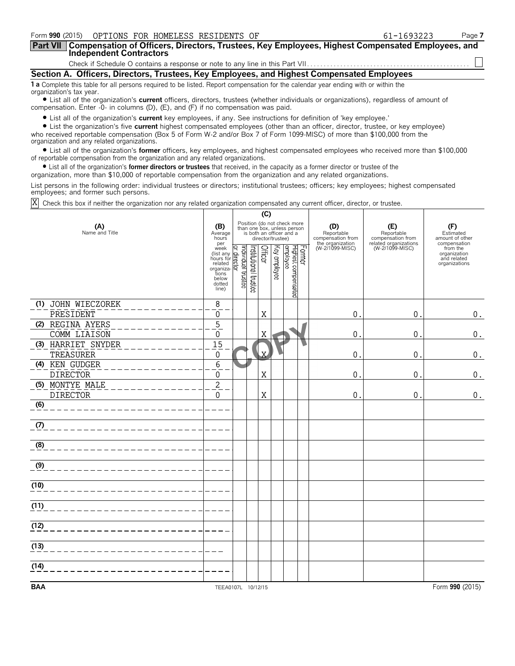|                          |                                | Form 990 (2015) OPTIONS FOR HOMELESS RESIDENTS OF                                    |                                                                                                                                                                                                                                                        | 61-1693223 | Page 7 |
|--------------------------|--------------------------------|--------------------------------------------------------------------------------------|--------------------------------------------------------------------------------------------------------------------------------------------------------------------------------------------------------------------------------------------------------|------------|--------|
| <b>Part VII</b>          | <b>Independent Contractors</b> |                                                                                      | Compensation of Officers, Directors, Trustees, Key Employees, Highest Compensated Employees, and                                                                                                                                                       |            |        |
|                          |                                |                                                                                      |                                                                                                                                                                                                                                                        |            |        |
|                          |                                |                                                                                      | Section A. Officers, Directors, Trustees, Key Employees, and Highest Compensated Employees                                                                                                                                                             |            |        |
| organization's tax year. |                                |                                                                                      | 1 a Complete this table for all persons required to be listed. Report compensation for the calendar year ending with or within the                                                                                                                     |            |        |
|                          |                                | compensation. Enter $-0$ - in columns (D), (E), and (F) if no compensation was paid. | • List all of the organization's current officers, directors, trustees (whether individuals or organizations), regardless of amount of                                                                                                                 |            |        |
|                          |                                |                                                                                      | • List all of the organization's current key employees, if any. See instructions for definition of 'key employee.'<br>• List the organization's five current highest compensated employees (other than an officer, director, trustee, or key employee) |            |        |

who received reportable compensation (Box 5 of Form W-2 and/or Box 7 of Form 1099-MISC) of more than \$100,000 from the organization and any related organizations.

? List all of the organization's **former** officers, key employees, and highest compensated employees who received more than \$100,000 of reportable compensation from the organization and any related organizations.

? List all of the organization's **former directors or trustees** that received, in the capacity as a former director or trustee of the

organization, more than \$10,000 of reportable compensation from the organization and any related organizations.

List persons in the following order: individual trustees or directors; institutional trustees; officers; key employees; highest compensated employees; and former such persons.

Check this box if neither the organization nor any related organization compensated any current officer, director, or trustee. X

|                                    |                                                                                             |                                |                                                                                                             | (C)                     |              |                                 |        |                                        |                                          |                                                          |
|------------------------------------|---------------------------------------------------------------------------------------------|--------------------------------|-------------------------------------------------------------------------------------------------------------|-------------------------|--------------|---------------------------------|--------|----------------------------------------|------------------------------------------|----------------------------------------------------------|
| (A)<br>Name and Title              | (B)<br>Average<br>hours<br>per                                                              |                                | Position (do not check more<br>than one box, unless person<br>is both an officer and a<br>director/trustee) |                         |              |                                 |        | (D)<br>Reportable<br>compensation from | (E)<br>Reportable<br>compensation from   | (F)<br>Estimated<br>amount of other<br>compensation      |
|                                    | week<br>(list any<br>hours for<br>related<br>organiza-<br>tions<br>below<br>dotted<br>line) | Individual trustee<br>director | Institutional trustee                                                                                       | Officer                 | Key employee | Highest compensated<br>employee | Former | the organization<br>(W-2/1099-MISC)    | related organizations<br>(W-2/1099-MISC) | from the<br>organization<br>and related<br>organizations |
| (1) JOHN WIECZOREK                 | 8                                                                                           |                                |                                                                                                             |                         |              |                                 |        |                                        |                                          |                                                          |
| PRESIDENT                          | 0<br>$\overline{5}$                                                                         |                                |                                                                                                             | Χ                       |              |                                 |        | 0                                      | $\pmb{0}$                                | 0.                                                       |
| (2) REGINA AYERS<br>COMM LIAISON   | $\overline{0}$                                                                              |                                |                                                                                                             | $\mathbf X$             |              |                                 |        | 0                                      | 0                                        | $\mathbf 0$ .                                            |
| (3) HARRIET SNYDER<br>TREASURER    | 15<br>$\Omega$                                                                              |                                |                                                                                                             | $\overline{\mathbf{X}}$ |              |                                 |        | 0                                      | 0                                        | $\mathbf 0$ .                                            |
| (4) KEN GUDGER<br><b>DIRECTOR</b>  | $\overline{6}$<br>$\mathbf 0$                                                               |                                |                                                                                                             | Χ                       |              |                                 |        | 0                                      | 0                                        | 0.                                                       |
| (5) MONTYE MALE<br><b>DIRECTOR</b> | $\overline{2}$<br>$\overline{0}$                                                            |                                |                                                                                                             | Χ                       |              |                                 |        | 0                                      | 0                                        | $0$ .                                                    |
| (6)                                |                                                                                             |                                |                                                                                                             |                         |              |                                 |        |                                        |                                          |                                                          |
| (7)                                |                                                                                             |                                |                                                                                                             |                         |              |                                 |        |                                        |                                          |                                                          |
| (8)                                |                                                                                             |                                |                                                                                                             |                         |              |                                 |        |                                        |                                          |                                                          |
| (9)                                |                                                                                             |                                |                                                                                                             |                         |              |                                 |        |                                        |                                          |                                                          |
| (10)                               |                                                                                             |                                |                                                                                                             |                         |              |                                 |        |                                        |                                          |                                                          |
| (11)                               |                                                                                             |                                |                                                                                                             |                         |              |                                 |        |                                        |                                          |                                                          |
| (12)                               |                                                                                             |                                |                                                                                                             |                         |              |                                 |        |                                        |                                          |                                                          |
| (13)                               |                                                                                             |                                |                                                                                                             |                         |              |                                 |        |                                        |                                          |                                                          |
| (14)                               |                                                                                             |                                |                                                                                                             |                         |              |                                 |        |                                        |                                          |                                                          |
| <b>BAA</b>                         | TEEA0107L 10/12/15                                                                          |                                |                                                                                                             |                         |              |                                 |        |                                        |                                          | Form 990 (2015)                                          |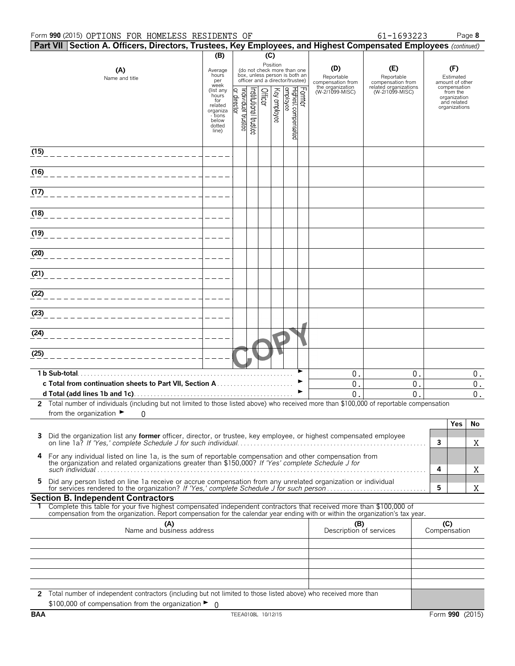#### Form **990** (2015) Page **8** OPTIONS FOR HOMELESS RESIDENTS OF 61-1693223

| 61-1693223 |  |
|------------|--|
|            |  |

| Part VII Section A. Officers, Directors, Trustees, Key Employees, and Highest Compensated Employees (continued)                                                                                                                                        |                                      |                               |                                                                                                 |              |                                 |        |                                        |                                          |   |                                                     |
|--------------------------------------------------------------------------------------------------------------------------------------------------------------------------------------------------------------------------------------------------------|--------------------------------------|-------------------------------|-------------------------------------------------------------------------------------------------|--------------|---------------------------------|--------|----------------------------------------|------------------------------------------|---|-----------------------------------------------------|
|                                                                                                                                                                                                                                                        | (B)                                  |                               |                                                                                                 | (C)          |                                 |        |                                        |                                          |   |                                                     |
| (A)<br>Name and title                                                                                                                                                                                                                                  | Average<br>hours<br>per<br>week      |                               | (do not check more than one<br>box, unless person is both an<br>officer and a director/trustee) | Position     |                                 |        | (D)<br>Reportable<br>compensation from | (E)<br>Reportable<br>compensation from   |   | (F)<br>Estimated<br>amount of other<br>compensation |
|                                                                                                                                                                                                                                                        | (list any<br>hours<br>for<br>related | ndividual trustee<br>director | nstitutional trustee<br>Officer                                                                 | Key employee | Highest compensated<br>employee | Former | the organization<br>(W-2/1099-MISC)    | related organizations<br>(W-2/1099-MISC) |   | from the<br>organization<br>and related             |
|                                                                                                                                                                                                                                                        | organiza<br>- tions<br>below         |                               |                                                                                                 |              |                                 |        |                                        |                                          |   | organizations                                       |
|                                                                                                                                                                                                                                                        | dotted<br>line)                      |                               |                                                                                                 |              |                                 |        |                                        |                                          |   |                                                     |
| (15)                                                                                                                                                                                                                                                   |                                      |                               |                                                                                                 |              |                                 |        |                                        |                                          |   |                                                     |
| (16)                                                                                                                                                                                                                                                   |                                      |                               |                                                                                                 |              |                                 |        |                                        |                                          |   |                                                     |
| (17)                                                                                                                                                                                                                                                   |                                      |                               |                                                                                                 |              |                                 |        |                                        |                                          |   |                                                     |
| (18)                                                                                                                                                                                                                                                   |                                      |                               |                                                                                                 |              |                                 |        |                                        |                                          |   |                                                     |
| (19)                                                                                                                                                                                                                                                   |                                      |                               |                                                                                                 |              |                                 |        |                                        |                                          |   |                                                     |
| (20)                                                                                                                                                                                                                                                   |                                      |                               |                                                                                                 |              |                                 |        |                                        |                                          |   |                                                     |
| (21)                                                                                                                                                                                                                                                   |                                      |                               |                                                                                                 |              |                                 |        |                                        |                                          |   |                                                     |
| (22)                                                                                                                                                                                                                                                   |                                      |                               |                                                                                                 |              |                                 |        |                                        |                                          |   |                                                     |
| (23)                                                                                                                                                                                                                                                   |                                      |                               |                                                                                                 |              |                                 |        |                                        |                                          |   |                                                     |
| (24)                                                                                                                                                                                                                                                   |                                      |                               |                                                                                                 |              |                                 |        |                                        |                                          |   |                                                     |
| (25)                                                                                                                                                                                                                                                   |                                      |                               |                                                                                                 |              |                                 |        |                                        |                                          |   |                                                     |
| 1 b Sub-total.                                                                                                                                                                                                                                         |                                      |                               |                                                                                                 |              |                                 |        | $\mathbf 0$                            | 0.                                       |   | $0$ .                                               |
|                                                                                                                                                                                                                                                        |                                      |                               |                                                                                                 |              |                                 |        | 0<br>0                                 | 0.<br>0                                  |   | 0.<br>$0$ .                                         |
| 2 Total number of individuals (including but not limited to those listed above) who received more than \$100,000 of reportable compensation<br>from the organization $\blacktriangleright$<br>0                                                        |                                      |                               |                                                                                                 |              |                                 |        |                                        |                                          |   |                                                     |
|                                                                                                                                                                                                                                                        |                                      |                               |                                                                                                 |              |                                 |        |                                        |                                          |   | Yes<br>No                                           |
| Did the organization list any former officer, director, or trustee, key employee, or highest compensated employee                                                                                                                                      |                                      |                               |                                                                                                 |              |                                 |        |                                        |                                          | 3 | X                                                   |
| 4<br>For any individual listed on line 1a, is the sum of reportable compensation and other compensation from the organization and related organizations greater than \$150,000? If 'Yes' complete Schedule J for                                       |                                      |                               |                                                                                                 |              |                                 |        |                                        |                                          | 4 | X                                                   |
| Did any person listed on line 1a receive or accrue compensation from any unrelated organization or individual<br>5.                                                                                                                                    |                                      |                               |                                                                                                 |              |                                 |        |                                        |                                          | 5 | Χ                                                   |
| <b>Section B. Independent Contractors</b>                                                                                                                                                                                                              |                                      |                               |                                                                                                 |              |                                 |        |                                        |                                          |   |                                                     |
| Complete this table for your five highest compensated independent contractors that received more than \$100,000 of<br>compensation from the organization. Report compensation for the calendar year ending with or within the organization's tax year. |                                      |                               |                                                                                                 |              |                                 |        |                                        |                                          |   |                                                     |
| (A)<br>Name and business address                                                                                                                                                                                                                       |                                      |                               |                                                                                                 |              |                                 |        | (B)<br>Description of services         |                                          |   | (C)<br>Compensation                                 |
|                                                                                                                                                                                                                                                        |                                      |                               |                                                                                                 |              |                                 |        |                                        |                                          |   |                                                     |
|                                                                                                                                                                                                                                                        |                                      |                               |                                                                                                 |              |                                 |        |                                        |                                          |   |                                                     |
|                                                                                                                                                                                                                                                        |                                      |                               |                                                                                                 |              |                                 |        |                                        |                                          |   |                                                     |
| 2 Total number of independent contractors (including but not limited to those listed above) who received more than                                                                                                                                     |                                      |                               |                                                                                                 |              |                                 |        |                                        |                                          |   |                                                     |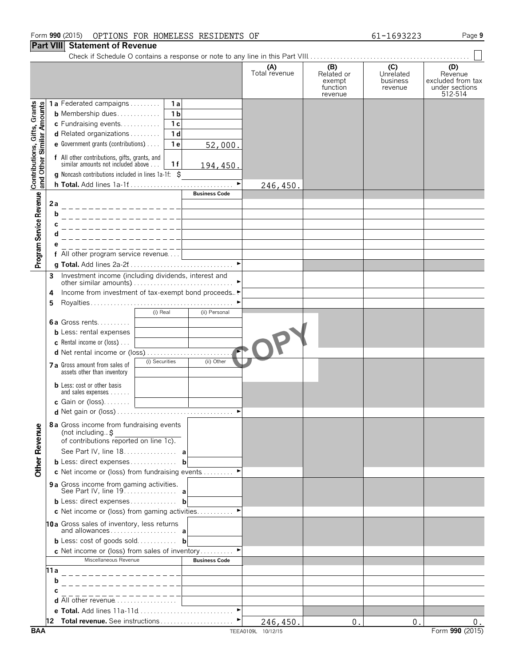### Form **990** (2015) Page **9** OPTIONS FOR HOMELESS RESIDENTS OF 61-1693223

### **Part VIII Statement of Revenue**

|                                                           |      |                                                                                           |                       | (A)<br>Total revenue | (B)<br>Related or<br>exempt<br>function<br>revenue | (C)<br>Unrelated<br>business<br>revenue | (D)<br>Revenue<br>excluded from tax<br>under sections<br>512-514 |
|-----------------------------------------------------------|------|-------------------------------------------------------------------------------------------|-----------------------|----------------------|----------------------------------------------------|-----------------------------------------|------------------------------------------------------------------|
|                                                           |      | <b>1a</b> Federated campaigns<br>1a                                                       |                       |                      |                                                    |                                         |                                                                  |
|                                                           |      | 1 <sub>b</sub><br><b>b</b> Membership dues                                                |                       |                      |                                                    |                                         |                                                                  |
|                                                           |      | c Fundraising events<br>1 <sub>c</sub>                                                    |                       |                      |                                                    |                                         |                                                                  |
|                                                           |      | d Related organizations<br>1 <sub>d</sub>                                                 |                       |                      |                                                    |                                         |                                                                  |
|                                                           |      | <b>e</b> Government grants (contributions) $\ldots$<br>1e                                 | 52,000.               |                      |                                                    |                                         |                                                                  |
| Contributions, Gifts, Grants<br>and Other Similar Amounts |      | f All other contributions, gifts, grants, and<br>similar amounts not included above<br>1f |                       |                      |                                                    |                                         |                                                                  |
|                                                           |      |                                                                                           | 194,450.              |                      |                                                    |                                         |                                                                  |
|                                                           |      | <b>g</b> Noncash contributions included in lines $1a-1f$ : $\zeta$                        | $\blacktriangleright$ |                      |                                                    |                                         |                                                                  |
|                                                           |      |                                                                                           | <b>Business Code</b>  | 246,450.             |                                                    |                                         |                                                                  |
| Program Service Revenue                                   |      |                                                                                           |                       |                      |                                                    |                                         |                                                                  |
|                                                           | 2a   |                                                                                           |                       |                      |                                                    |                                         |                                                                  |
|                                                           | b    |                                                                                           |                       |                      |                                                    |                                         |                                                                  |
|                                                           |      |                                                                                           |                       |                      |                                                    |                                         |                                                                  |
|                                                           |      |                                                                                           |                       |                      |                                                    |                                         |                                                                  |
|                                                           |      |                                                                                           |                       |                      |                                                    |                                         |                                                                  |
|                                                           |      | f All other program service revenue                                                       |                       |                      |                                                    |                                         |                                                                  |
|                                                           |      |                                                                                           |                       |                      |                                                    |                                         |                                                                  |
|                                                           | 3    |                                                                                           |                       |                      |                                                    |                                         |                                                                  |
|                                                           |      |                                                                                           |                       |                      |                                                    |                                         |                                                                  |
|                                                           | 4    | Income from investment of tax-exempt bond proceeds                                        |                       |                      |                                                    |                                         |                                                                  |
|                                                           | 5    |                                                                                           |                       |                      |                                                    |                                         |                                                                  |
|                                                           |      | (i) Real                                                                                  | (ii) Personal         |                      |                                                    |                                         |                                                                  |
|                                                           |      | 6a Gross rents                                                                            |                       |                      |                                                    |                                         |                                                                  |
|                                                           |      | <b>b</b> Less: rental expenses                                                            |                       |                      |                                                    |                                         |                                                                  |
|                                                           |      | <b>c</b> Rental income or (loss) $\ldots$                                                 |                       |                      |                                                    |                                         |                                                                  |
|                                                           |      |                                                                                           |                       |                      |                                                    |                                         |                                                                  |
|                                                           |      | (i) Securities<br>7 a Gross amount from sales of<br>assets other than inventory           | (ii) Other            |                      |                                                    |                                         |                                                                  |
|                                                           |      | <b>b</b> Less: cost or other basis                                                        |                       |                      |                                                    |                                         |                                                                  |
|                                                           |      | and sales expenses<br>c Gain or (loss). $\ldots$                                          |                       |                      |                                                    |                                         |                                                                  |
|                                                           |      |                                                                                           |                       |                      |                                                    |                                         |                                                                  |
| <b>Other Revenue</b>                                      |      | <b>8a</b> Gross income from fundraising events<br>(not including. $\uparrow$              |                       |                      |                                                    |                                         |                                                                  |
|                                                           |      | of contributions reported on line 1c).                                                    |                       |                      |                                                    |                                         |                                                                  |
|                                                           |      | See Part IV, line 18. a                                                                   |                       |                      |                                                    |                                         |                                                                  |
|                                                           |      | <b>b</b> Less: direct expenses <b>b</b>                                                   |                       |                      |                                                    |                                         |                                                                  |
|                                                           |      | c Net income or (loss) from fundraising events                                            |                       |                      |                                                    |                                         |                                                                  |
|                                                           |      | 9 a Gross income from gaming activities.<br>See Part IV, line 19. <b>a</b>                |                       |                      |                                                    |                                         |                                                                  |
|                                                           |      | <b>b</b> Less: direct expenses <b>b</b>                                                   |                       |                      |                                                    |                                         |                                                                  |
|                                                           |      | c Net income or (loss) from gaming activities                                             |                       |                      |                                                    |                                         |                                                                  |
|                                                           |      |                                                                                           |                       |                      |                                                    |                                         |                                                                  |
|                                                           |      | 10a Gross sales of inventory, less returns                                                |                       |                      |                                                    |                                         |                                                                  |
|                                                           |      | <b>b</b> Less: cost of goods sold <b>b</b>                                                |                       |                      |                                                    |                                         |                                                                  |
|                                                           |      | <b>c</b> Net income or (loss) from sales of inventory                                     |                       |                      |                                                    |                                         |                                                                  |
|                                                           |      | Miscellaneous Revenue                                                                     | <b>Business Code</b>  |                      |                                                    |                                         |                                                                  |
|                                                           | 11 a | _________________                                                                         |                       |                      |                                                    |                                         |                                                                  |
|                                                           | b    |                                                                                           |                       |                      |                                                    |                                         |                                                                  |
|                                                           | C    |                                                                                           |                       |                      |                                                    |                                         |                                                                  |
|                                                           |      | <b>d</b> All other revenue $\ldots$ , $\ldots$                                            |                       |                      |                                                    |                                         |                                                                  |
|                                                           |      | e Total. Add lines 11a-11d                                                                | $\blacktriangleright$ |                      |                                                    |                                         |                                                                  |
|                                                           |      |                                                                                           |                       | 246,450.             | 0.                                                 | 0.                                      | $0$ .                                                            |
|                                                           |      |                                                                                           |                       |                      |                                                    |                                         |                                                                  |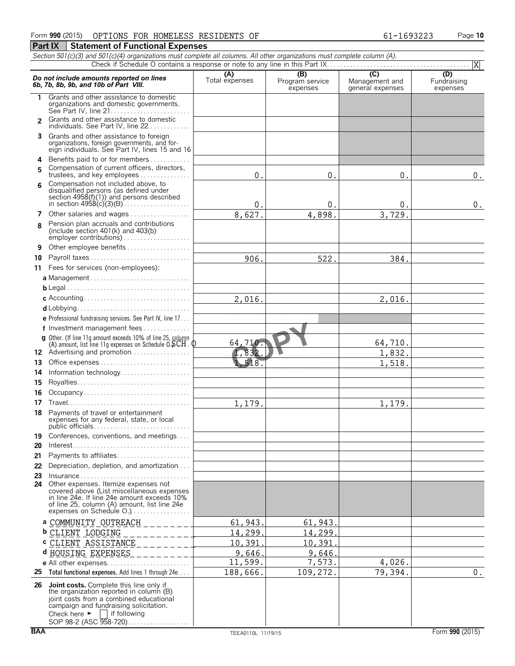*Section 501(c)(3) and 501(c)(4) organizations must complete all columns. All other organizations must complete column (A).*

**Part IX Statement of Functional Expenses** 

#### Check if Schedule O contains a response or note to any line in this Part IX.. Do not include amounts reported on lines<br> **6b, 7b, 8b, 9b, and 10b of Part VIII.**<br> **6b, 7b, 8b, 9b, and 10b of Part VIII.**<br>
expenses and the VIII. **1** Grants and other assistance to domestic organizations and domestic governments. See Part IV, line 21. . . . . . . . . . . . . . . . . . . . . . . . 2 Grants and other assistance to domestic individuals. See Part IV, line 22. . . . . . . . **3** Grants and other assistance to foreign organizations, foreign governments, and for-eign individuals. See Part IV, lines 15 and 16 **4** Benefits paid to or for members. . . . . . . . . . . . . Compensation of current officers, directors, **<sup>5</sup>** trustees, and key employees. . . . . . . . . . . . . . . . Compensation not included above, to **<sup>6</sup>** disqualified persons (as defined under section 4958(f)(1)) and persons described in section 4958(c)(3)(B). . . . . . . . . . . . . . . . . . . . **7** Other salaries and wages................. Pension plan accruals and contributions **<sup>8</sup>** (include section 401(k) and 403(b) employer contributions) . . . . . . . . . . **9** Other employee benefits . . . . . . . . **10** Payroll taxes . . . . . . . . . . . . . . . . . . . . . . . . . . . . . . **11** Fees for services (non-employees): **a** Management . . . . . . . . . . . . . . . . . . . . . . . . . . . . . . **b** Legal. . . . . . . . . . . . . . . . . . . . . . . . . . . . . . . . . . . . . . **c** Accounting. . . . . . . . . . . . . . . . . . . . . . . . . . . . . . . . **d** Lobbying. . . . . . . . . . . . . . . . . . . . . . . . . . . . . . . . . . **e** Professional fundraising services. See Part IV, line 17. . . **f** Investment management fees. . . . . . . . . . . . . . . **g** Other. (If line 11g amount exceeds 10% of line 25, column  $(A)$  amount, list line 11g expenses on Schedule  $0.$   $\overline{\text{SCH}}$  .  $\underline{\text{O}}$ 12 Advertising and promotion................. **13** Office expenses. . . . . . . . . . . . . . . . . . . . . . . . . . . . 14 Information technology............... **15** Royalties. . . . . . . . . . . . . . . . . . . . . . . . . . . . . . . . . . **16** Occupancy . . . . . . . . . . . . . **17** Travel. . . . . . . . . . . . . . . . . . . . . . . . . . . . . . . . . . . . . **18** Payments of travel or entertainment expenses for any federal, state, or local public officials. . . . . . . . . . . . . . . . . . . . . . . . . . . . . **19** Conferences, conventions, and meetings.... **20** Interest. . . . . . . . . . . . . . . . . . . . . . . . . . . . . . . . . . . . **21** Payments to affiliates. . . . . . . . . . . . . . . . . . . . . . **22** Depreciation, depletion, and amortization. . . . **23** Insurance . . . . . . . . . . . . . . . . . . . . . . . . . . . . . . . . . **24** Other expenses. Itemize expenses not covered above (List miscellaneous expenses in line 24e. If line 24e amount exceeds 10% of line 25, column (A) amount, list line 24e expenses on Schedule O.).................. **a** COMMUNITY OUTREACH **b** CLIENT LODGING **c** CLIENT ASSISTANCE **d** HOUSING EXPENSES **e** All other expenses. . . . . . . . . . . . . **25 Total functional expenses.** Add lines 1 through 24e. . . . **<sup>26</sup> Joint costs.** Complete this line only if the organization reported in column (B) joint costs from a combined educational campaign and fundraising solicitation.<br>Check here  $\blacktriangleright \Box$  if following  $\Box$  if following SOP 98-2 (ASC 958-720). . . . . . . . . . . . X  $0.$  0. 0. 0. 0.  $0.$  0. 0. 0. 0. 8,627. 4,898. 3,729. 906. 522. 522. 384. 2,016. 2,016. 64,710. 64,710.  $832.$  1,832. 1,518. 1,518. 1,179. 1,179. 61,943. 61,943. 14,299. 14,299. 10,391. 10,391. 9,646. 9,646. 11,599. 7,573. 4,026 188,666. 109,272. 79,394. 0.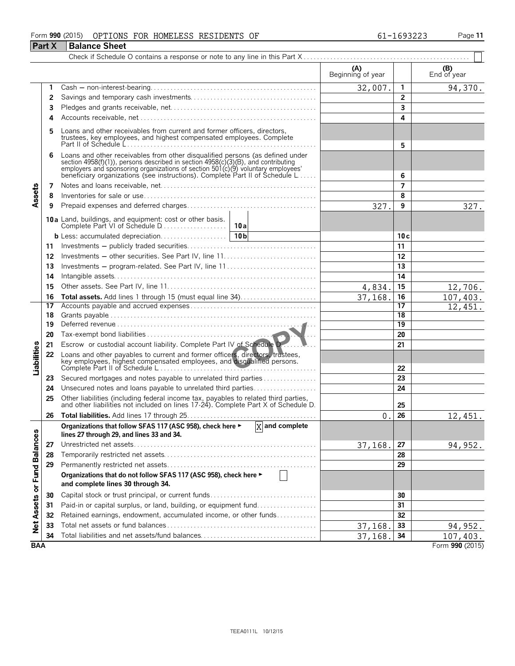### Form **990** (2015) OPTIONS FOR HOMELESS RESIDENTS OF 61-1693223 Page 11

|                             | <b>Part X</b> | <b>Balance Sheet</b>                                                                                                                                                                                                                                                                                                 |                          |                 |                    |
|-----------------------------|---------------|----------------------------------------------------------------------------------------------------------------------------------------------------------------------------------------------------------------------------------------------------------------------------------------------------------------------|--------------------------|-----------------|--------------------|
|                             |               |                                                                                                                                                                                                                                                                                                                      |                          |                 |                    |
|                             |               |                                                                                                                                                                                                                                                                                                                      | (A)<br>Beginning of year |                 | (B)<br>End of year |
|                             | 1.            |                                                                                                                                                                                                                                                                                                                      | 32,007.                  | 1               | 94,370.            |
|                             | 2             |                                                                                                                                                                                                                                                                                                                      |                          | 2               |                    |
|                             | 3             |                                                                                                                                                                                                                                                                                                                      |                          | 3               |                    |
|                             | 4             |                                                                                                                                                                                                                                                                                                                      |                          | 4               |                    |
|                             | 5             | Loans and other receivables from current and former officers, directors, trustees, key employees, and highest compensated employees. Complete                                                                                                                                                                        |                          | 5               |                    |
|                             | 6             | Loans and other receivables from other disqualified persons (as defined under<br>section 4958(f)(1)), persons described in section 4958(c)(3)(B), and contributing<br>employers and sponsoring organizations of section 501(c)(9) voluntary employees<br>beneficiary organizations (see instructions). Complete Part |                          | 6               |                    |
|                             | 7             |                                                                                                                                                                                                                                                                                                                      |                          | 7               |                    |
| Assets                      | 8             |                                                                                                                                                                                                                                                                                                                      |                          | 8               |                    |
|                             | 9             |                                                                                                                                                                                                                                                                                                                      | 327.                     | 9               | 327.               |
|                             |               | <b>10a</b> Land, buildings, and equipment: cost or other basis.<br>Complete Part VI of Schedule D<br>10a                                                                                                                                                                                                             |                          |                 |                    |
|                             |               | b Less: accumulated depreciation<br>10 <sub>b</sub>                                                                                                                                                                                                                                                                  |                          | 10c             |                    |
|                             | 11            |                                                                                                                                                                                                                                                                                                                      |                          | 11              |                    |
|                             | 12            |                                                                                                                                                                                                                                                                                                                      |                          | 12              |                    |
|                             | 13            | Investments – program-related. See Part IV, line 11                                                                                                                                                                                                                                                                  |                          | 13              |                    |
|                             | 14            |                                                                                                                                                                                                                                                                                                                      |                          | 14              |                    |
|                             | 15            |                                                                                                                                                                                                                                                                                                                      | 4,834.                   | 15              | 12,706.            |
|                             | 16            |                                                                                                                                                                                                                                                                                                                      | 37,168.                  | 16              | 107,403.           |
|                             | 17            |                                                                                                                                                                                                                                                                                                                      |                          | 17              | 12,451.            |
|                             | 18            |                                                                                                                                                                                                                                                                                                                      |                          | 18              |                    |
|                             | 19            |                                                                                                                                                                                                                                                                                                                      |                          | $\overline{19}$ |                    |
|                             | 20            |                                                                                                                                                                                                                                                                                                                      |                          | 20              |                    |
|                             | 21            | Escrow or custodial account liability. Complete Part IV of Schedule D.                                                                                                                                                                                                                                               |                          | 21              |                    |
| Liabilities                 | 22            | Loans and other payables to current and former officers, directors, trustees, key employees, highest compensated employees, and disqualified persons.                                                                                                                                                                |                          | 22              |                    |
|                             | 23            | Secured mortgages and notes payable to unrelated third parties                                                                                                                                                                                                                                                       |                          | 23              |                    |
|                             | 24            | Unsecured notes and loans payable to unrelated third parties                                                                                                                                                                                                                                                         |                          | 24              |                    |
|                             | 25            | Other liabilities (including federal income tax, payables to related third parties, and other liabilities not included on lines 17-24). Complete Part X of Schedule D.                                                                                                                                               |                          | 25              |                    |
|                             |               |                                                                                                                                                                                                                                                                                                                      | 0                        | 26              | 12,451             |
|                             |               | Organizations that follow SFAS 117 (ASC 958), check here ►<br>$\overline{X}$ and complete<br>lines 27 through 29, and lines 33 and 34.                                                                                                                                                                               |                          |                 |                    |
|                             | 27            |                                                                                                                                                                                                                                                                                                                      | <u>37,168.</u>           | 27              | 94,952.            |
|                             | 28            |                                                                                                                                                                                                                                                                                                                      |                          | 28              |                    |
|                             | 29            |                                                                                                                                                                                                                                                                                                                      |                          | 29              |                    |
| Net Assets or Fund Balances |               | Organizations that do not follow SFAS 117 (ASC 958), check here ►<br>and complete lines 30 through 34.                                                                                                                                                                                                               |                          |                 |                    |
|                             | 30            |                                                                                                                                                                                                                                                                                                                      |                          | 30              |                    |
|                             | 31            | Paid-in or capital surplus, or land, building, or equipment fund                                                                                                                                                                                                                                                     |                          | 31              |                    |
|                             | 32            | Retained earnings, endowment, accumulated income, or other funds                                                                                                                                                                                                                                                     |                          | 32              |                    |
|                             | 33            |                                                                                                                                                                                                                                                                                                                      | 37,168.                  | 33              | 94,952.            |
|                             | 34            |                                                                                                                                                                                                                                                                                                                      | 37,168.                  | 34              | 107,403.           |
| <b>BAA</b>                  |               |                                                                                                                                                                                                                                                                                                                      |                          |                 | Form 990 (2015)    |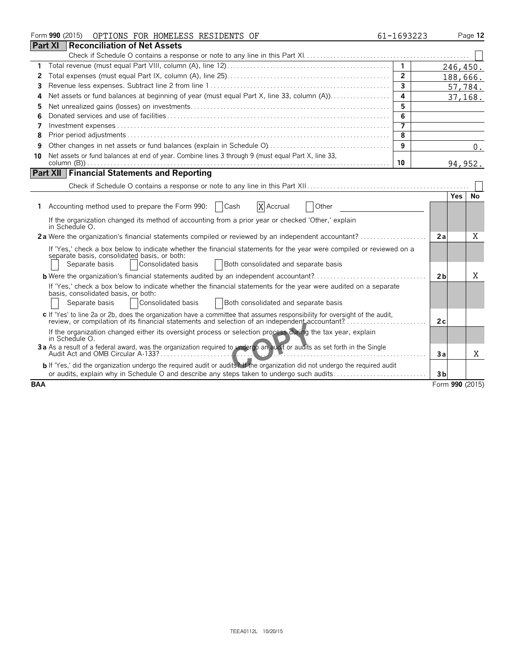|            | Form 990 (2015)<br>OPTIONS FOR HOMELESS RESIDENTS OF                                                                                                                                                                                    | 61-1693223     |                 |            | Page 12  |
|------------|-----------------------------------------------------------------------------------------------------------------------------------------------------------------------------------------------------------------------------------------|----------------|-----------------|------------|----------|
|            | <b>Part XI</b><br>Reconciliation of Net Assets                                                                                                                                                                                          |                |                 |            |          |
|            |                                                                                                                                                                                                                                         |                |                 |            |          |
| 1          |                                                                                                                                                                                                                                         | $\mathbf{1}$   |                 |            | 246,450. |
| 2          |                                                                                                                                                                                                                                         | $\overline{2}$ |                 |            | 188,666. |
| 3          |                                                                                                                                                                                                                                         | $\overline{3}$ |                 |            | 57,784.  |
| 4          | Net assets or fund balances at beginning of year (must equal Part X, line 33, column (A))                                                                                                                                               | 4              |                 |            | 37,168.  |
| 5          |                                                                                                                                                                                                                                         | 5              |                 |            |          |
| 6          |                                                                                                                                                                                                                                         | 6              |                 |            |          |
| 7          |                                                                                                                                                                                                                                         | 7              |                 |            |          |
| 8          |                                                                                                                                                                                                                                         | 8              |                 |            |          |
| 9          |                                                                                                                                                                                                                                         | 9              |                 |            | $0$ .    |
| 10         | Net assets or fund balances at end of year. Combine lines 3 through 9 (must equal Part X, line 33,                                                                                                                                      |                |                 |            |          |
|            |                                                                                                                                                                                                                                         | 10             |                 |            | 94, 952. |
|            | <b>Part XII Financial Statements and Reporting</b>                                                                                                                                                                                      |                |                 |            |          |
|            |                                                                                                                                                                                                                                         |                |                 |            |          |
|            |                                                                                                                                                                                                                                         |                |                 | <b>Yes</b> | No       |
|            | 1 Accounting method used to prepare the Form 990:   Cash<br>X Accrual<br>Other                                                                                                                                                          |                |                 |            |          |
|            | If the organization changed its method of accounting from a prior year or checked 'Other,' explain<br>in Schedule O.                                                                                                                    |                |                 |            |          |
|            | 2a Were the organization's financial statements compiled or reviewed by an independent accountant?                                                                                                                                      |                | 2a              |            | Χ        |
|            | If 'Yes,' check a box below to indicate whether the financial statements for the year were compiled or reviewed on a<br>separate basis, consolidated basis, or both:                                                                    |                |                 |            |          |
|            | Separate basis<br>Consolidated basis<br>Both consolidated and separate basis                                                                                                                                                            |                |                 |            |          |
|            | <b>b</b> Were the organization's financial statements audited by an independent accountant?                                                                                                                                             |                | 2 <sub>b</sub>  |            | Χ        |
|            | If 'Yes,' check a box below to indicate whether the financial statements for the year were audited on a separate<br>basis, consolidated basis, or both:<br>Consolidated basis<br>Separate basis<br>Both consolidated and separate basis |                |                 |            |          |
|            | c If 'Yes' to line 2a or 2b, does the organization have a committee that assumes responsibility for oversight of the audit,<br>review, or compilation of its financial statements and selection of an independent accountant?           |                | 2c              |            |          |
|            | If the organization changed either its oversight process or selection process during the tax year, explain<br>in Schedule O.                                                                                                            |                |                 |            |          |
|            | 3a As a result of a federal award, was the organization required to undergo an audit or audits as set forth in the Single                                                                                                               |                | 3a              |            | X        |
|            | b If 'Yes,' did the organization undergo the required audit or audits? If the organization did not undergo the required audit<br>or audits, explain why in Schedule O and describe any steps taken to undergo such audits               |                | 3 <sub>b</sub>  |            |          |
| <b>BAA</b> |                                                                                                                                                                                                                                         |                | Form 990 (2015) |            |          |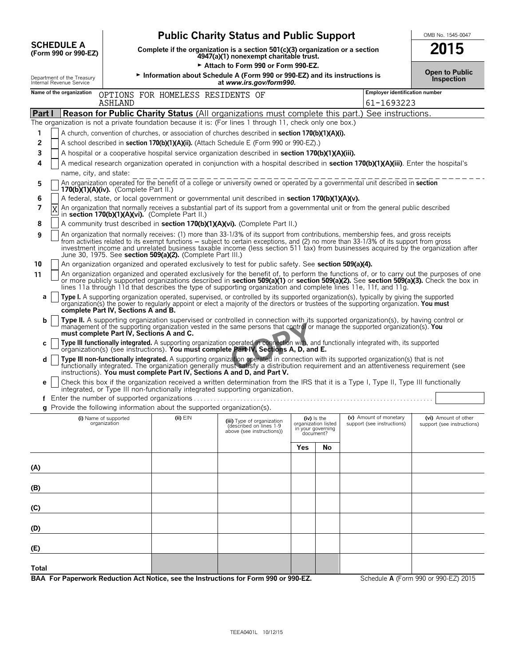|                                                        |                                          |                                                                                                                                                                 | <b>Public Charity Status and Public Support</b>                                                                                                                                                                                                                                                                                                                                                                      |                                               |                     |                                                      | OMB No. 1545-0047                                  |
|--------------------------------------------------------|------------------------------------------|-----------------------------------------------------------------------------------------------------------------------------------------------------------------|----------------------------------------------------------------------------------------------------------------------------------------------------------------------------------------------------------------------------------------------------------------------------------------------------------------------------------------------------------------------------------------------------------------------|-----------------------------------------------|---------------------|------------------------------------------------------|----------------------------------------------------|
| <b>SCHEDULE A</b><br>(Form 990 or 990-EZ)              |                                          | Complete if the organization is a section $501(c)(3)$ organization or a section<br>4947(a)(1) nonexempt charitable trust.<br>Attach to Form 990 or Form 990-EZ. |                                                                                                                                                                                                                                                                                                                                                                                                                      |                                               |                     |                                                      |                                                    |
| Department of the Treasury<br>Internal Revenue Service |                                          |                                                                                                                                                                 | Information about Schedule A (Form 990 or 990-EZ) and its instructions is<br>at www.irs.gov/form990.                                                                                                                                                                                                                                                                                                                 |                                               |                     |                                                      | <b>Open to Public</b><br>Inspection                |
| Name of the organization                               |                                          | OPTIONS FOR HOMELESS RESIDENTS OF                                                                                                                               |                                                                                                                                                                                                                                                                                                                                                                                                                      |                                               |                     | <b>Employer identification number</b>                |                                                    |
|                                                        | ASHLAND                                  |                                                                                                                                                                 |                                                                                                                                                                                                                                                                                                                                                                                                                      |                                               |                     | 61-1693223                                           |                                                    |
| Part I                                                 |                                          |                                                                                                                                                                 | <b>Reason for Public Charity Status</b> (All organizations must complete this part.) See instructions.<br>The organization is not a private foundation because it is: (For lines 1 through 11, check only one box.)                                                                                                                                                                                                  |                                               |                     |                                                      |                                                    |
| 1                                                      |                                          |                                                                                                                                                                 | A church, convention of churches, or association of churches described in section 170(b)(1)(A)(i).                                                                                                                                                                                                                                                                                                                   |                                               |                     |                                                      |                                                    |
| 2                                                      |                                          |                                                                                                                                                                 | A school described in section 170(b)(1)(A)(ii). (Attach Schedule E (Form 990 or 990-EZ).)                                                                                                                                                                                                                                                                                                                            |                                               |                     |                                                      |                                                    |
| 3                                                      |                                          |                                                                                                                                                                 | A hospital or a cooperative hospital service organization described in section 170(b)(1)(A)(iii).                                                                                                                                                                                                                                                                                                                    |                                               |                     |                                                      |                                                    |
| 4<br>name, city, and state:                            |                                          |                                                                                                                                                                 | A medical research organization operated in conjunction with a hospital described in section 170(b)(1)(A)(iii). Enter the hospital's                                                                                                                                                                                                                                                                                 |                                               |                     |                                                      |                                                    |
| 5                                                      | $170(b)(1)(A)(iv)$ . (Complete Part II.) |                                                                                                                                                                 | An organization operated for the benefit of a college or university owned or operated by a governmental unit described in section                                                                                                                                                                                                                                                                                    |                                               |                     |                                                      |                                                    |
| 6<br>7                                                 |                                          | in section 170(b)(1)(A)(vi). (Complete Part II.)                                                                                                                | A federal, state, or local government or governmental unit described in section 170(b)(1)(A)(v).<br>An organization that normally receives a substantial part of its support from a governmental unit or from the general public described                                                                                                                                                                           |                                               |                     |                                                      |                                                    |
| 8                                                      |                                          |                                                                                                                                                                 | A community trust described in section 170(b)(1)(A)(vi). (Complete Part II.)                                                                                                                                                                                                                                                                                                                                         |                                               |                     |                                                      |                                                    |
| 9                                                      |                                          | June 30, 1975. See section 509(a)(2). (Complete Part III.)                                                                                                      | An organization that normally receives: (1) more than 33-1/3% of its support from contributions, membership fees, and gross receipts<br>from activities related to its exempt functions – subject to certain exceptions, and (2) no more than 33-1/3% of its support from gross<br>investment income and unrelated business taxable income (less section 511 tax) from businesses acquired by the organization after |                                               |                     |                                                      |                                                    |
| 10                                                     |                                          |                                                                                                                                                                 | An organization organized and operated exclusively to test for public safety. See section 509(a)(4).                                                                                                                                                                                                                                                                                                                 |                                               |                     |                                                      |                                                    |
| 11                                                     |                                          |                                                                                                                                                                 | An organization organized and operated exclusively for the benefit of, to perform the functions of, or to carry out the purposes of one<br>or more publicly supported organizations described in section 509(a)(1) or section 509(a)(2). See section 509(a)(3). Check the box in<br>lines 11a through 11d that describes the type of supporting organization and complete lines 11e, 11f, and 11g.                   |                                               |                     |                                                      |                                                    |
| а                                                      | complete Part IV, Sections A and B.      |                                                                                                                                                                 | Type I. A supporting organization operated, supervised, or controlled by its supported organization(s), typically by giving the supported<br>organization(s) the power to regularly appoint or elect a majority of the directors or trustees of the supporting organization. You must                                                                                                                                |                                               |                     |                                                      |                                                    |
| b                                                      | must complete Part IV, Sections A and C. |                                                                                                                                                                 | Type II. A supporting organization supervised or controlled in connection with its supported organization(s), by having control or<br>management of the supporting organization vested in the same persons that control or manage the supported organization(s). You                                                                                                                                                 |                                               |                     |                                                      |                                                    |
| C                                                      |                                          |                                                                                                                                                                 | Type III functionally integrated. A supporting organization operated in connection with, and functionally integrated with, its supported organization(s) (see instructions). You must complete Part IV, Sections A, D, and E.                                                                                                                                                                                        |                                               |                     |                                                      |                                                    |
| d                                                      |                                          |                                                                                                                                                                 | Type III non-functionally integrated. A supporting organization operated in connection with its supported organization(s) that is not<br>functionally integrated. The organization generally must satisfy a distribution requirement and an attentiveness requirement (see<br>instructions). You must complete Part IV, Sections A and D, and Part V.                                                                |                                               |                     |                                                      |                                                    |
| е                                                      |                                          |                                                                                                                                                                 | Check this box if the organization received a written determination from the IRS that it is a Type I, Type II, Type III functionally<br>integrated, or Type III non-functionally integrated supporting organization.                                                                                                                                                                                                 |                                               |                     |                                                      |                                                    |
|                                                        |                                          | g Provide the following information about the supported organization(s).                                                                                        |                                                                                                                                                                                                                                                                                                                                                                                                                      |                                               |                     |                                                      |                                                    |
|                                                        | (i) Name of supported<br>organization    | $(ii)$ $EIN$                                                                                                                                                    | (iii) Type of organization<br>(described on lines 1-9<br>above (see instructions))                                                                                                                                                                                                                                                                                                                                   | (iv) is the<br>in your governing<br>document? | organization listed | (v) Amount of monetary<br>support (see instructions) | (vi) Amount of other<br>support (see instructions) |
|                                                        |                                          |                                                                                                                                                                 |                                                                                                                                                                                                                                                                                                                                                                                                                      | Yes                                           | No                  |                                                      |                                                    |
| (A)                                                    |                                          |                                                                                                                                                                 |                                                                                                                                                                                                                                                                                                                                                                                                                      |                                               |                     |                                                      |                                                    |
| (B)                                                    |                                          |                                                                                                                                                                 |                                                                                                                                                                                                                                                                                                                                                                                                                      |                                               |                     |                                                      |                                                    |
| (C)                                                    |                                          |                                                                                                                                                                 |                                                                                                                                                                                                                                                                                                                                                                                                                      |                                               |                     |                                                      |                                                    |
| (D)                                                    |                                          |                                                                                                                                                                 |                                                                                                                                                                                                                                                                                                                                                                                                                      |                                               |                     |                                                      |                                                    |
| (E)                                                    |                                          |                                                                                                                                                                 |                                                                                                                                                                                                                                                                                                                                                                                                                      |                                               |                     |                                                      |                                                    |
| <b>Total</b>                                           |                                          |                                                                                                                                                                 |                                                                                                                                                                                                                                                                                                                                                                                                                      |                                               |                     |                                                      |                                                    |
|                                                        |                                          |                                                                                                                                                                 | BAA For Paperwork Reduction Act Notice, see the Instructions for Form 990 or 990-EZ.                                                                                                                                                                                                                                                                                                                                 |                                               |                     |                                                      | Schedule A (Form 990 or 990-EZ) 2015               |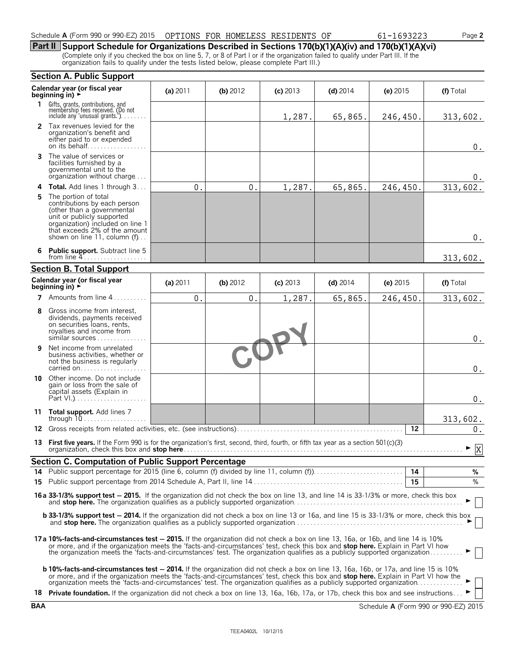| Schedule A (Form 990 or 990-EZ) 2015 | OPTIONS<br>FOR | HOMELESS | RESIDENTS | ΟF | 1693223 | $\overline{\phantom{a}}$ age $\overline{\phantom{a}}$ |
|--------------------------------------|----------------|----------|-----------|----|---------|-------------------------------------------------------|
|                                      |                |          |           |    |         |                                                       |

### **Part II Support Schedule for Organizations Described in Sections 170(b)(1)(A)(iv) and 170(b)(1)(A)(vi)**

(Complete only if you checked the box on line 5, 7, or 8 of Part I or if the organization failed to qualify under Part III. If the organization fails to qualify under the tests listed below, please complete Part III.)

|    | <b>Section A. Public Support</b>                                                                                                                                                                                                                                                                                                                                                                                                                                                                                                                         |            |               |            |            |            |                                      |  |
|----|----------------------------------------------------------------------------------------------------------------------------------------------------------------------------------------------------------------------------------------------------------------------------------------------------------------------------------------------------------------------------------------------------------------------------------------------------------------------------------------------------------------------------------------------------------|------------|---------------|------------|------------|------------|--------------------------------------|--|
|    | Calendar year (or fiscal year<br>beginning in) $\rightarrow$                                                                                                                                                                                                                                                                                                                                                                                                                                                                                             | (a) 2011   | (b) 2012      | $(c)$ 2013 | $(d)$ 2014 | (e) $2015$ | (f) Total                            |  |
| 1. | Gifts, grants, contributions, and<br>membership fees received. (Do not<br>include any 'unusual grants.')                                                                                                                                                                                                                                                                                                                                                                                                                                                 |            |               | 1,287.     | 65,865.    | 246,450.   | 313,602.                             |  |
|    | 2 Tax revenues levied for the<br>organization's benefit and<br>either paid to or expended<br>on its behalf                                                                                                                                                                                                                                                                                                                                                                                                                                               |            |               |            |            |            | $0$ .                                |  |
| 3  | The value of services or<br>facilities furnished by a<br>governmental unit to the<br>organization without charge                                                                                                                                                                                                                                                                                                                                                                                                                                         |            |               |            |            |            | 0.                                   |  |
| 4  | <b>Total.</b> Add lines 1 through 3                                                                                                                                                                                                                                                                                                                                                                                                                                                                                                                      | $\theta$ . | $\mathbf 0$ . | 1,287.     | 65,865.    | 246,450.   | 313,602.                             |  |
| 5  | The portion of total<br>contributions by each person<br>(other than a governmental<br>unit or publicly supported<br>organization) included on line 1<br>that exceeds 2% of the amount<br>shown on line 11, column (f)                                                                                                                                                                                                                                                                                                                                    |            |               |            |            |            | $0$ .                                |  |
|    | <b>Public support.</b> Subtract line 5<br>from line $4$                                                                                                                                                                                                                                                                                                                                                                                                                                                                                                  |            |               |            |            |            | 313,602.                             |  |
|    | <b>Section B. Total Support</b>                                                                                                                                                                                                                                                                                                                                                                                                                                                                                                                          |            |               |            |            |            |                                      |  |
|    | Calendar year (or fiscal year<br>beginning in) $\rightarrow$                                                                                                                                                                                                                                                                                                                                                                                                                                                                                             | (a) 2011   | (b) 2012      | $(c)$ 2013 | $(d)$ 2014 | (e) 2015   | (f) Total                            |  |
| 7  | Amounts from line 4                                                                                                                                                                                                                                                                                                                                                                                                                                                                                                                                      | $\Omega$ . | 0.            | 1,287.     | 65,865.    | 246,450.   | 313,602.                             |  |
| 8  | Gross income from interest,<br>dividends, payments received<br>on securities loans, rents,<br>royalties and income from<br>similar sources                                                                                                                                                                                                                                                                                                                                                                                                               |            |               |            |            |            | $0$ .                                |  |
| 9  | Net income from unrelated<br>business activities, whether or<br>not the business is regularly<br>carried on                                                                                                                                                                                                                                                                                                                                                                                                                                              |            |               |            |            |            | $0$ .                                |  |
|    | 10 Other income. Do not include<br>gain or loss from the sale of<br>capital assets (Explain in                                                                                                                                                                                                                                                                                                                                                                                                                                                           |            |               |            |            |            | $0$ .                                |  |
|    | 11 Total support. Add lines 7                                                                                                                                                                                                                                                                                                                                                                                                                                                                                                                            |            |               |            |            |            | 313,602.                             |  |
|    |                                                                                                                                                                                                                                                                                                                                                                                                                                                                                                                                                          |            |               |            |            | 12         | 0.                                   |  |
| 13 | First five years. If the Form 990 is for the organization's first, second, third, fourth, or fifth tax year as a section 501(c)(3)<br>organization, check this box and <b>stop here</b>                                                                                                                                                                                                                                                                                                                                                                  |            |               |            |            |            | $\blacktriangleright$ $\overline{X}$ |  |
|    | <b>Section C. Computation of Public Support Percentage</b>                                                                                                                                                                                                                                                                                                                                                                                                                                                                                               |            |               |            |            |            |                                      |  |
|    |                                                                                                                                                                                                                                                                                                                                                                                                                                                                                                                                                          |            |               |            |            |            | %                                    |  |
|    |                                                                                                                                                                                                                                                                                                                                                                                                                                                                                                                                                          |            |               |            |            | 15         | %                                    |  |
|    | 16a 33-1/3% support test - 2015. If the organization did not check the box on line 13, and line 14 is 33-1/3% or more, check this box                                                                                                                                                                                                                                                                                                                                                                                                                    |            |               |            |            |            |                                      |  |
|    | <b>b 33-1/3% support test - 2014.</b> If the organization did not check a box on line 13 or 16a, and line 15 is 33-1/3% or more, check this box                                                                                                                                                                                                                                                                                                                                                                                                          |            |               |            |            |            |                                      |  |
|    | 17a 10%-facts-and-circumstances test - 2015. If the organization did not check a box on line 13, 16a, or 16b, and line 14 is 10%<br>or more, and if the organization meets the 'facts-and-circumstances' test, check this box and stop here. Explain in Part VI how<br>the organization meets the 'facts-and-circumstances' test. The organization qualifies as a publicly supported organization                                                                                                                                                        |            |               |            |            |            |                                      |  |
|    | <b>b 10%-facts-and-circumstances test - 2014.</b> If the organization did not check a box on line 13, 16a, 16b, or 17a, and line 15 is 10%<br>or more, and if the organization meets the 'facts-and-circumstances' test, check this box and stop here. Explain in Part VI how the<br>organization meets the 'facts-and-circumstances' test. The organization qualifies as a publicly supported organization ▶<br>18 Private foundation. If the organization did not check a box on line 13, 16a, 16b, 17a, or 17b, check this box and see instructions ► |            |               |            |            |            |                                      |  |

**BAA** Schedule **A** (Form 990 or 990-EZ) 2015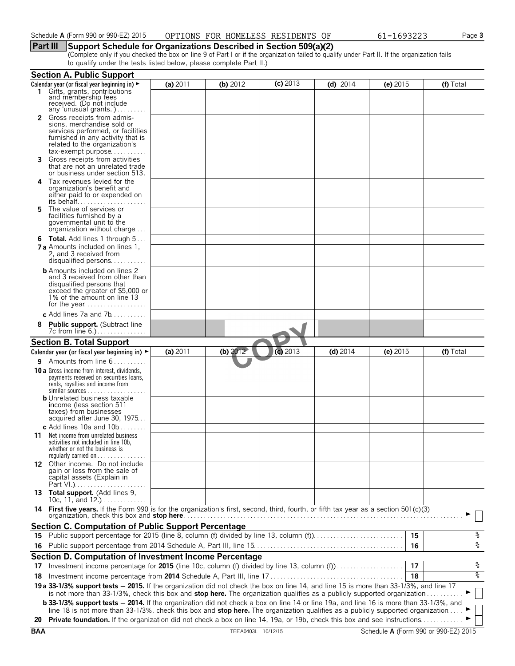### **Part III Support Schedule for Organizations Described in Section 509(a)(2)**

(Complete only if you checked the box on line 9 of Part I or if the organization failed to qualify under Part II. If the organization fails to qualify under the tests listed below, please complete Part II.)

|     | <b>Section A. Public Support</b>                                                                                                             |          |            |            |            |          |           |
|-----|----------------------------------------------------------------------------------------------------------------------------------------------|----------|------------|------------|------------|----------|-----------|
|     | Calendar year (or fiscal year beginning in) ►                                                                                                | (a) 2011 | (b) $2012$ | $(c)$ 2013 | $(d)$ 2014 | (e) 2015 | (f) Total |
| 1.  | Gifts, grants, contributions<br>and membership fees<br>received. (Do not include<br>any 'unusual grants.').                                  |          |            |            |            |          |           |
| 2   | Gross receipts from admis-                                                                                                                   |          |            |            |            |          |           |
|     | sions, merchandise sold or                                                                                                                   |          |            |            |            |          |           |
|     | services performed, or facilities                                                                                                            |          |            |            |            |          |           |
|     | furnished in any activity that is<br>related to the organization's                                                                           |          |            |            |            |          |           |
|     | tax-exempt purpose                                                                                                                           |          |            |            |            |          |           |
| 3.  | Gross receipts from activities                                                                                                               |          |            |            |            |          |           |
|     | that are not an unrelated trade                                                                                                              |          |            |            |            |          |           |
|     | or business under section 513.<br>Tax revenues levied for the                                                                                |          |            |            |            |          |           |
| 4   | organization's benefit and                                                                                                                   |          |            |            |            |          |           |
|     | either paid to or expended on                                                                                                                |          |            |            |            |          |           |
|     |                                                                                                                                              |          |            |            |            |          |           |
| 5   | The value of services or<br>facilities furnished by a                                                                                        |          |            |            |            |          |           |
|     | governmental unit to the                                                                                                                     |          |            |            |            |          |           |
|     | organization without charge                                                                                                                  |          |            |            |            |          |           |
|     | <b>6 Total.</b> Add lines 1 through 5                                                                                                        |          |            |            |            |          |           |
|     | <b>7 a</b> Amounts included on lines 1,                                                                                                      |          |            |            |            |          |           |
|     | 2, and 3 received from                                                                                                                       |          |            |            |            |          |           |
|     | <b>b</b> Amounts included on lines 2                                                                                                         |          |            |            |            |          |           |
|     | and 3 received from other than                                                                                                               |          |            |            |            |          |           |
|     | disqualified persons that                                                                                                                    |          |            |            |            |          |           |
|     | exceed the greater of \$5,000 or<br>1% of the amount on line 13                                                                              |          |            |            |            |          |           |
|     |                                                                                                                                              |          |            |            |            |          |           |
|     | c Add lines 7a and $7b$                                                                                                                      |          |            |            |            |          |           |
| 8   | Public support. (Subtract line                                                                                                               |          |            |            |            |          |           |
|     | 7c from line 6.)                                                                                                                             |          |            |            |            |          |           |
|     | <b>Section B. Total Support</b>                                                                                                              |          |            |            |            |          |           |
|     | Calendar year (or fiscal year beginning in) $\blacktriangleright$                                                                            | (a) 2011 | (b) $2012$ | $(c)$ 2013 | $(d)$ 2014 | (e) 2015 | (f) Total |
|     | <b>9</b> Amounts from line $6$                                                                                                               |          |            |            |            |          |           |
|     | <b>10 a</b> Gross income from interest, dividends,                                                                                           |          |            |            |            |          |           |
|     | payments received on securities loans,                                                                                                       |          |            |            |            |          |           |
|     | rents, royalties and income from<br>similar sources $\ldots$                                                                                 |          |            |            |            |          |           |
|     | <b>b</b> Unrelated business taxable                                                                                                          |          |            |            |            |          |           |
|     | income (less section 511                                                                                                                     |          |            |            |            |          |           |
|     | taxes) from businesses<br>acquired after June 30, 1975                                                                                       |          |            |            |            |          |           |
|     | c Add lines 10a and 10b $\dots\dots$                                                                                                         |          |            |            |            |          |           |
| 11. | Net income from unrelated business                                                                                                           |          |            |            |            |          |           |
|     | activities not included in line 10b,                                                                                                         |          |            |            |            |          |           |
|     | whether or not the business is                                                                                                               |          |            |            |            |          |           |
|     | regularly carried on $\dots\dots\dots\dots\dots$<br>12 Other income. Do not include                                                          |          |            |            |            |          |           |
|     | gain or loss from the sale of                                                                                                                |          |            |            |            |          |           |
|     | capital assets (Explain in                                                                                                                   |          |            |            |            |          |           |
|     |                                                                                                                                              |          |            |            |            |          |           |
|     | 13 Total support. (Add lines 9,<br>10c, 11, and 12.) $\ldots$                                                                                |          |            |            |            |          |           |
|     | 14 First five years. If the Form 990 is for the organization's first, second, third, fourth, or fifth tax year as a section 501(c)(3)        |          |            |            |            |          |           |
|     |                                                                                                                                              |          |            |            |            |          |           |
|     | <b>Section C. Computation of Public Support Percentage</b>                                                                                   |          |            |            |            |          |           |
|     | 15 Public support percentage for 2015 (line 8, column (f) divided by line 13, column (f)                                                     |          |            |            |            | 15       | %         |
| 16. |                                                                                                                                              |          |            |            |            | 16       | နွ        |
|     | Section D. Computation of Investment Income Percentage                                                                                       |          |            |            |            |          |           |
|     | 17 Investment income percentage for 2015 (line 10c, column (f) divided by line 13, column (f)                                                |          |            |            |            | 17       | %         |
| 18  |                                                                                                                                              |          |            |            |            | 18       | နွ        |
|     | 19 a 33-1/3% support tests - 2015. If the organization did not check the box on line 14, and line 15 is more than 33-1/3%, and line 17       |          |            |            |            |          |           |
|     | is not more than 33-1/3%, check this box and stop here. The organization qualifies as a publicly supported organization                      |          |            |            |            |          |           |
|     | <b>b 33-1/3% support tests - 2014.</b> If the organization did not check a box on line 14 or line 19a, and line 16 is more than 33-1/3%, and |          |            |            |            |          |           |
|     | line 18 is not more than 33-1/3%, check this box and stop here. The organization qualifies as a publicly supported organization              |          |            |            |            |          |           |
|     | 20 Private foundation. If the organization did not check a box on line 14, 19a, or 19b, check this box and see instructions                  |          |            |            |            |          |           |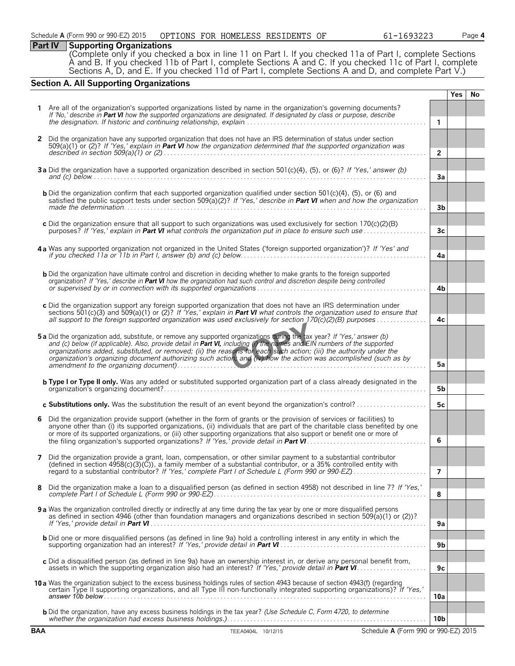### **Part IV Supporting Organizations**

(Complete only if you checked a box in line 11 on Part I. If you checked 11a of Part I, complete Sections A and B. If you checked 11b of Part I, complete Sections A and C. If you checked 11c of Part I, complete Sections A, D, and E. If you checked 11d of Part I, complete Sections A and D, and complete Part V.)

### **Section A. All Supporting Organizations**

|              |                                                                                                                                                                                                                                                                                 |                 | Yes | No. |
|--------------|---------------------------------------------------------------------------------------------------------------------------------------------------------------------------------------------------------------------------------------------------------------------------------|-----------------|-----|-----|
|              | Are all of the organization's supported organizations listed by name in the organization's governing documents?                                                                                                                                                                 |                 |     |     |
|              | If 'No,' describe in Part VI how the supported organizations are designated. If designated by class or purpose, describe                                                                                                                                                        | $\mathbf{1}$    |     |     |
|              |                                                                                                                                                                                                                                                                                 |                 |     |     |
| $\mathbf{2}$ | Did the organization have any supported organization that does not have an IRS determination of status under section<br>$509(a)(1)$ or (2)? If 'Yes,' explain in Part VI how the organization determined that the supported organization was                                    |                 |     |     |
|              |                                                                                                                                                                                                                                                                                 | $\overline{2}$  |     |     |
|              |                                                                                                                                                                                                                                                                                 |                 |     |     |
|              | 3a Did the organization have a supported organization described in section 501(c)(4), (5), or (6)? If 'Yes,' answer (b)<br>and (c) below $\ldots$ $\ldots$ $\ldots$ $\ldots$ $\ldots$ $\ldots$ $\ldots$ $\ldots$ $\ldots$ $\ldots$ $\ldots$ $\ldots$ $\ldots$ $\ldots$ $\ldots$ | 3a              |     |     |
|              | <b>b</b> Did the organization confirm that each supported organization qualified under section 501 $(c)(4)$ , $(5)$ , or $(6)$ and                                                                                                                                              |                 |     |     |
|              | satisfied the public support tests under section 509(a)(2)? If 'Yes,' describe in Part VI when and how the organization                                                                                                                                                         |                 |     |     |
|              |                                                                                                                                                                                                                                                                                 | 3b              |     |     |
|              | c Did the organization ensure that all support to such organizations was used exclusively for section 170(c)(2)(B)                                                                                                                                                              |                 |     |     |
|              |                                                                                                                                                                                                                                                                                 | 3 <sub>c</sub>  |     |     |
|              | 4a Was any supported organization not organized in the United States ('foreign supported organization')? If 'Yes' and                                                                                                                                                           |                 |     |     |
|              |                                                                                                                                                                                                                                                                                 | 4a              |     |     |
|              | <b>b</b> Did the organization have ultimate control and discretion in deciding whether to make grants to the foreign supported                                                                                                                                                  |                 |     |     |
|              | organization? If 'Yes,' describe in Part VI how the organization had such control and discretion despite being controlled                                                                                                                                                       |                 |     |     |
|              |                                                                                                                                                                                                                                                                                 | 4b              |     |     |
|              | c Did the organization support any foreign supported organization that does not have an IRS determination under                                                                                                                                                                 |                 |     |     |
|              | sections 501(c)(3) and 509(a)(1) or (2)? If 'Yes,' explain in <b>Part VI</b> what controls the organization used to ensure that<br>all support to the foreign supported organization was used exclusively for section $170(c)(2)(B)$ purposes                                   | 4c              |     |     |
|              |                                                                                                                                                                                                                                                                                 |                 |     |     |
|              | 5a Did the organization add, substitute, or remove any supported organizations during the tax year? If 'Yes,' answer (b)<br>and (c) below (if applicable). Also, provide detail in Part VI, including (i) the names and EIN numbers of the supported                            |                 |     |     |
|              | organizations added, substituted, or removed; (ii) the reasons for each such action; (iii) the authority under the                                                                                                                                                              |                 |     |     |
|              | organization's organizing document authorizing such action, and (iv) how the action was accomplished (such as by                                                                                                                                                                | 5а              |     |     |
|              |                                                                                                                                                                                                                                                                                 |                 |     |     |
|              | <b>b Type I or Type II only.</b> Was any added or substituted supported organization part of a class already designated in the                                                                                                                                                  | 5b              |     |     |
|              |                                                                                                                                                                                                                                                                                 |                 |     |     |
|              | c Substitutions only. Was the substitution the result of an event beyond the organization's control?                                                                                                                                                                            | 5c              |     |     |
| 6            | Did the organization provide support (whether in the form of grants or the provision of services or facilities) to<br>anyone other than (i) its supported organizations, (ii) individuals that are part of the charitable class benefited by one                                |                 |     |     |
|              | or more of its supported organizations, or (iii) other supporting organizations that also support or benefit one or more of                                                                                                                                                     |                 |     |     |
|              |                                                                                                                                                                                                                                                                                 | 6               |     |     |
| 7            | Did the organization provide a grant, loan, compensation, or other similar payment to a substantial contributor                                                                                                                                                                 |                 |     |     |
|              | (defined in section 4958(c)(3)(C)), a family member of a substantial contributor, or a 35% controlled entity with                                                                                                                                                               | 7               |     |     |
|              |                                                                                                                                                                                                                                                                                 |                 |     |     |
| 8            | Did the organization make a loan to a disqualified person (as defined in section 4958) not described in line 7? If 'Yes,'                                                                                                                                                       | 8               |     |     |
|              |                                                                                                                                                                                                                                                                                 |                 |     |     |
|              | <b>9 a</b> Was the organization controlled directly or indirectly at any time during the tax year by one or more disqualified persons<br>as defined in section 4946 (other than foundation managers and organizations described in section 509(a)(1) or (2))?                   |                 |     |     |
|              |                                                                                                                                                                                                                                                                                 | 9a              |     |     |
|              | <b>b</b> Did one or more disqualified persons (as defined in line 9a) hold a controlling interest in any entity in which the                                                                                                                                                    |                 |     |     |
|              |                                                                                                                                                                                                                                                                                 | 9 <sub>b</sub>  |     |     |
|              | c Did a disqualified person (as defined in line 9a) have an ownership interest in, or derive any personal benefit from,                                                                                                                                                         |                 |     |     |
|              |                                                                                                                                                                                                                                                                                 | 9с              |     |     |
|              | 10 a Was the organization subject to the excess business holdings rules of section 4943 because of section 4943(f) (regarding<br>certain Type II supporting organizations, and all Type III non-functionally integrated supporting organizations)? If 'Yes,'                    |                 |     |     |
|              |                                                                                                                                                                                                                                                                                 | 10a             |     |     |
|              | <b>b</b> Did the organization, have any excess business holdings in the tax year? (Use Schedule C, Form 4720, to determine                                                                                                                                                      |                 |     |     |
|              |                                                                                                                                                                                                                                                                                 | 10 <sub>b</sub> |     |     |
| <b>BAA</b>   | TEEA0404L 10/12/15<br>Schedule A (Form 990 or 990-EZ) 2015                                                                                                                                                                                                                      |                 |     |     |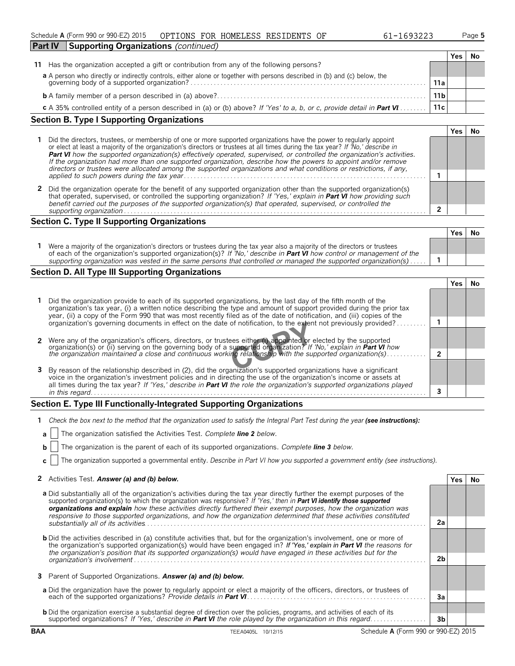| Schedule A (Form 990 or 990-EZ) 2015 | OPTIONS FOR HOMELESS RESIDENTS OF |  | 61-1693223 | Page 5 |
|--------------------------------------|-----------------------------------|--|------------|--------|
|--------------------------------------|-----------------------------------|--|------------|--------|

| 1-1693223، |  |
|------------|--|
|------------|--|

| <b>Part IV</b><br>Supporting Organizations (continued)                                                                                                                       |                 |     |    |
|------------------------------------------------------------------------------------------------------------------------------------------------------------------------------|-----------------|-----|----|
|                                                                                                                                                                              |                 | Yes | No |
| Has the organization accepted a gift or contribution from any of the following persons?<br>11                                                                                |                 |     |    |
|                                                                                                                                                                              |                 |     |    |
| a A person who directly or indirectly controls, either alone or together with persons described in (b) and (c) below, the governing body of a supported organization?<br>11a |                 |     |    |
|                                                                                                                                                                              | 11 <sub>b</sub> |     |    |
| 11c<br>c A 35% controlled entity of a person described in (a) or (b) above? If 'Yes' to a, b, or c, provide detail in <b>Part VI</b>                                         |                 |     |    |

### **Section B. Type I Supporting Organizations**

|   | Did the directors, trustees, or membership of one or more supported organizations have the power to regularly appoint<br>or elect at least a majority of the organization's directors or trustees at all times during the tax year? If 'No,' describe in<br>Part VI how the supported organization(s) effectively operated, supervised, or controlled the organization's activities.<br>If the organization had more than one supported organization, describe how the powers to appoint and/or remove<br>directors or trustees were allocated among the supported organizations and what conditions or restrictions, if any, |  |  |  |  |  |
|---|-------------------------------------------------------------------------------------------------------------------------------------------------------------------------------------------------------------------------------------------------------------------------------------------------------------------------------------------------------------------------------------------------------------------------------------------------------------------------------------------------------------------------------------------------------------------------------------------------------------------------------|--|--|--|--|--|
|   |                                                                                                                                                                                                                                                                                                                                                                                                                                                                                                                                                                                                                               |  |  |  |  |  |
| 2 | Did the organization operate for the benefit of any supported organization other than the supported organization(s)<br>that operated, supervised, or controlled the supporting organization? If 'Yes,' explain in Part VI how providing such<br>benefit carried out the purposes of the supported organization(s) that operated, supervised, or controlled the<br>supporting organization                                                                                                                                                                                                                                     |  |  |  |  |  |

### **Section C. Type II Supporting Organizations**

|                                                                                                                                                                                                                                                               | Yes | .No |
|---------------------------------------------------------------------------------------------------------------------------------------------------------------------------------------------------------------------------------------------------------------|-----|-----|
| Were a majority of the organization's directors or trustees during the tax year also a majority of the directors or trustees<br>of each of the organization's supported organization(s)? If 'No,' describe in <b>Part VI</b> how control or management of the |     |     |
| supporting organization was vested in the same persons that controlled or managed the supported organization(s)                                                                                                                                               |     |     |
|                                                                                                                                                                                                                                                               |     |     |

### **Section D. All Type III Supporting Organizations**

|                                                                                                                                                                                                                                                                                                                                                                             |  | 'es |  |
|-----------------------------------------------------------------------------------------------------------------------------------------------------------------------------------------------------------------------------------------------------------------------------------------------------------------------------------------------------------------------------|--|-----|--|
| Did the organization provide to each of its supported organizations, by the last day of the fifth month of the<br>organization's tax year, (i) a written notice describing the type and amount of support provided during the prior tax<br>year, (ii) a copy of the Form 990 that was most recently filed as of the date of notification, and (iii) copies of the           |  |     |  |
| organization's governing documents in effect on the date of notification, to the extent not previously provided?                                                                                                                                                                                                                                                            |  |     |  |
| 2 Were any of the organization's officers, directors, or trustees either (i) appointed or elected by the supported                                                                                                                                                                                                                                                          |  |     |  |
| organization(s) or (ii) serving on the governing body of a supported organization? If No, explain in <b>Part VI</b> how<br>the organization maintained a close and continuous working relationship with the supported organization(s).                                                                                                                                      |  |     |  |
| 3 By reason of the relationship described in (2), did the organization's supported organizations have a significant<br>voice in the organization's investment policies and in directing the use of the organization's income or assets at<br>all times during the tax year? If 'Yes,' describe in <b>Part VI</b> the role the organization's supported organizations played |  |     |  |
| in this regard.                                                                                                                                                                                                                                                                                                                                                             |  |     |  |

### **Section E. Type III Functionally-Integrated Supporting Organizations**

| 1 Check the box next to the method that the organization used to satisfy the Integral Part Test during the year (see instructions): |  |  |
|-------------------------------------------------------------------------------------------------------------------------------------|--|--|
|                                                                                                                                     |  |  |

|  | <b>a</b>     The organization satisfied the Activities Test. Complete line 2 below. |  |  |  |
|--|-------------------------------------------------------------------------------------|--|--|--|
|  |                                                                                     |  |  |  |

**b** The organization is the parent of each of its supported organizations. *Complete line 3 below.*

**c** The organization supported a governmental entity. *Describe in Part VI how you supported a government entity (see instructions).*

### **2** Activities Test. *Answer (a) and (b) below.* **Yes No**

| $\sim$ Activities rest. Answer (a) and (b) below.                                                                                                                                                                                                                                                                                                                                                                                                                                             |                | 152 | IV. |
|-----------------------------------------------------------------------------------------------------------------------------------------------------------------------------------------------------------------------------------------------------------------------------------------------------------------------------------------------------------------------------------------------------------------------------------------------------------------------------------------------|----------------|-----|-----|
| a Did substantially all of the organization's activities during the tax year directly further the exempt purposes of the<br>supported organization(s) to which the organization was responsive? If 'Yes,' then in Part VI identify those supported<br>organizations and explain how these activities directly furthered their exempt purposes, how the organization was<br>responsive to those supported organizations, and how the organization determined that these activities constituted |                |     |     |
| substantially all of its activities                                                                                                                                                                                                                                                                                                                                                                                                                                                           | 2a             |     |     |
| <b>b</b> Did the activities described in (a) constitute activities that, but for the organization's involvement, one or more of<br>the organization's supported organization(s) would have been engaged in? If 'Yes,' explain in Part VI the reasons for<br>the organization's position that its supported organization(s) would have engaged in these activities but for the                                                                                                                 |                |     |     |
| organization's involvement                                                                                                                                                                                                                                                                                                                                                                                                                                                                    | 2 <sub>b</sub> |     |     |
| <b>3</b> Parent of Supported Organizations. Answer (a) and (b) below.                                                                                                                                                                                                                                                                                                                                                                                                                         |                |     |     |
| a Did the organization have the power to regularly appoint or elect a majority of the officers, directors, or trustees of                                                                                                                                                                                                                                                                                                                                                                     | 3a             |     |     |
| <b>b</b> Did the organization exercise a substantial degree of direction over the policies, programs, and activities of each of its                                                                                                                                                                                                                                                                                                                                                           |                |     |     |
| supported organizations? If 'Yes,' describe in Part VI the role played by the organization in this regard                                                                                                                                                                                                                                                                                                                                                                                     | 3b             |     |     |

**BAA** TEEA0405L 10/12/15 Schedule **A** (Form 990 or 990-EZ) 2015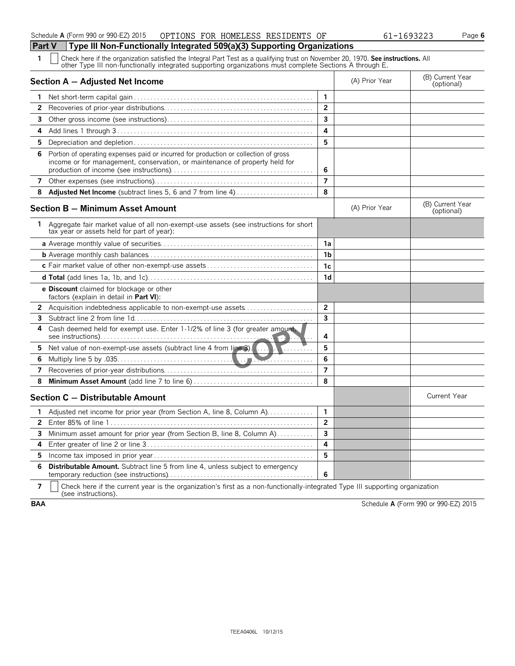**1** Check here if the organization satisfied the Integral Part Test as a qualifying trust on November 20, 1970. **See instructions.** All other Type III non-functionally integrated supporting organizations must complete Sections A through E.

|    | Section A - Adjusted Net Income                                                                                                                                     |                         | (A) Prior Year | (B) Current Year<br>(optional) |
|----|---------------------------------------------------------------------------------------------------------------------------------------------------------------------|-------------------------|----------------|--------------------------------|
| 1  |                                                                                                                                                                     | $\mathbf{1}$            |                |                                |
| 2  |                                                                                                                                                                     | $\overline{2}$          |                |                                |
| 3  |                                                                                                                                                                     | 3                       |                |                                |
| 4  |                                                                                                                                                                     | 4                       |                |                                |
| 5  |                                                                                                                                                                     | 5                       |                |                                |
| 6  | Portion of operating expenses paid or incurred for production or collection of gross<br>income or for management, conservation, or maintenance of property held for | 6                       |                |                                |
| 7  |                                                                                                                                                                     | $\overline{7}$          |                |                                |
| 8  | Adjusted Net Income (subtract lines 5, 6 and 7 from line 4)                                                                                                         | 8                       |                |                                |
|    | Section B - Minimum Asset Amount                                                                                                                                    |                         | (A) Prior Year | (B) Current Year<br>(optional) |
| 1. | Aggregate fair market value of all non-exempt-use assets (see instructions for short<br>tax year or assets held for part of year):                                  |                         |                |                                |
|    |                                                                                                                                                                     | 1a                      |                |                                |
|    |                                                                                                                                                                     | 1b                      |                |                                |
|    |                                                                                                                                                                     | 1c                      |                |                                |
|    |                                                                                                                                                                     | 1 <sub>d</sub>          |                |                                |
|    | <b>e Discount</b> claimed for blockage or other<br>factors (explain in detail in Part VI):                                                                          |                         |                |                                |
| 2  | Acquisition indebtedness applicable to non-exempt-use assets                                                                                                        | $\overline{2}$          |                |                                |
| 3  |                                                                                                                                                                     | $\overline{\mathbf{3}}$ |                |                                |
| 4  | Cash deemed held for exempt use. Enter 1-1/2% of line 3 (for greater amount,                                                                                        | 4                       |                |                                |
| 5  | Net value of non-exempt-use assets (subtract line 4 from line 3).<br>. <del>.</del>                                                                                 | 5                       |                |                                |
| 6  |                                                                                                                                                                     | 6                       |                |                                |
| 7  |                                                                                                                                                                     | $\overline{7}$          |                |                                |
| 8  |                                                                                                                                                                     | 8                       |                |                                |
|    | Section C - Distributable Amount                                                                                                                                    |                         |                | <b>Current Year</b>            |
| 1  | Adjusted net income for prior year (from Section A, line 8, Column A)                                                                                               | $\mathbf{1}$            |                |                                |
| 2  |                                                                                                                                                                     | $\overline{2}$          |                |                                |
| 3  | Minimum asset amount for prior year (from Section B, line 8, Column A)                                                                                              | $\overline{\mathbf{3}}$ |                |                                |
| 4  |                                                                                                                                                                     | 4                       |                |                                |
| 5  |                                                                                                                                                                     | 5                       |                |                                |
| 6  | <b>Distributable Amount.</b> Subtract line 5 from line 4, unless subject to emergency                                                                               | 6                       |                |                                |

**7**  $\mid$  Check here if the current year is the organization's first as a non-functionally-integrated Type III supporting organization (see instructions).

**BAA** Schedule **A** (Form 990 or 990-EZ) 2015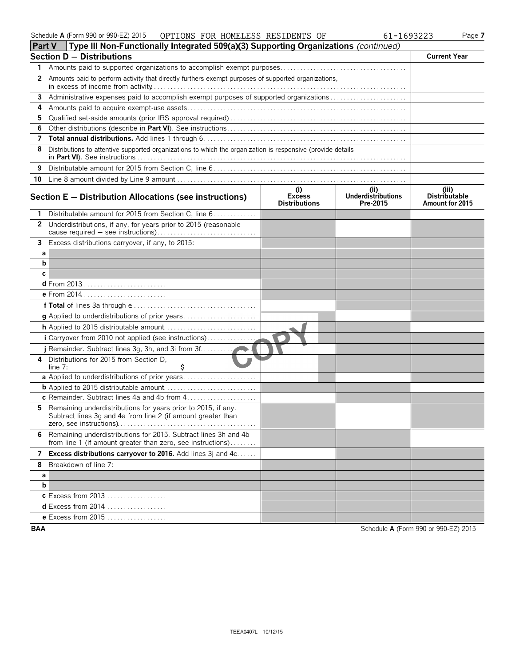| Schedule A (Form 990 or 990-EZ) 2015 | OPTIONS FOR HOMELESS RESIDENTS OF |  |  |  | 61-1693223 | $a$ aqe. |
|--------------------------------------|-----------------------------------|--|--|--|------------|----------|
|--------------------------------------|-----------------------------------|--|--|--|------------|----------|

|            | Part V            Type III Non-Functionally Integrated 509(a)(3) Supporting Organizations (continued)                          |                                      |                                               |                                                  |
|------------|--------------------------------------------------------------------------------------------------------------------------------|--------------------------------------|-----------------------------------------------|--------------------------------------------------|
|            | <b>Section D - Distributions</b>                                                                                               |                                      |                                               | <b>Current Year</b>                              |
| 1.         |                                                                                                                                |                                      |                                               |                                                  |
| 2          | Amounts paid to perform activity that directly furthers exempt purposes of supported organizations,                            |                                      |                                               |                                                  |
| 3          | Administrative expenses paid to accomplish exempt purposes of supported organizations                                          |                                      |                                               |                                                  |
| 4          |                                                                                                                                |                                      |                                               |                                                  |
| 5          |                                                                                                                                |                                      |                                               |                                                  |
| 6          |                                                                                                                                |                                      |                                               |                                                  |
| 7          |                                                                                                                                |                                      |                                               |                                                  |
| 8          | Distributions to attentive supported organizations to which the organization is responsive (provide details                    |                                      |                                               |                                                  |
| 9          |                                                                                                                                |                                      |                                               |                                                  |
|            |                                                                                                                                |                                      |                                               |                                                  |
|            | Section $E -$ Distribution Allocations (see instructions)                                                                      | i)<br>Excess<br><b>Distributions</b> | (ii)<br><b>Underdistributions</b><br>Pre-2015 | (iii)<br><b>Distributable</b><br>Amount for 2015 |
| 1          | Distributable amount for 2015 from Section C, line 6                                                                           |                                      |                                               |                                                  |
|            | 2 Underdistributions, if any, for years prior to 2015 (reasonable                                                              |                                      |                                               |                                                  |
|            |                                                                                                                                |                                      |                                               |                                                  |
|            | 3 Excess distributions carryover, if any, to 2015:                                                                             |                                      |                                               |                                                  |
| а          |                                                                                                                                |                                      |                                               |                                                  |
| b          |                                                                                                                                |                                      |                                               |                                                  |
| С          |                                                                                                                                |                                      |                                               |                                                  |
|            |                                                                                                                                |                                      |                                               |                                                  |
|            |                                                                                                                                |                                      |                                               |                                                  |
|            |                                                                                                                                |                                      |                                               |                                                  |
|            |                                                                                                                                |                                      |                                               |                                                  |
|            |                                                                                                                                |                                      |                                               |                                                  |
|            | i Carryover from 2010 not applied (see instructions)                                                                           |                                      |                                               |                                                  |
|            |                                                                                                                                |                                      |                                               |                                                  |
| 4          | Distributions for 2015 from Section D.<br>\$<br>line $7:$                                                                      |                                      |                                               |                                                  |
|            | a Applied to underdistributions of prior years                                                                                 |                                      |                                               |                                                  |
|            |                                                                                                                                |                                      |                                               |                                                  |
|            | c Remainder. Subtract lines 4a and 4b from 4                                                                                   |                                      |                                               |                                                  |
| 5          | Remaining underdistributions for years prior to 2015, if any.<br>Subtract lines 3g and 4a from line 2 (if amount greater than  |                                      |                                               |                                                  |
| 6          | Remaining underdistributions for 2015. Subtract lines 3h and 4b<br>from line 1 (if amount greater than zero, see instructions) |                                      |                                               |                                                  |
| 7          | Excess distributions carryover to 2016. Add lines 3j and 4c                                                                    |                                      |                                               |                                                  |
| 8          | Breakdown of line 7:                                                                                                           |                                      |                                               |                                                  |
| а          |                                                                                                                                |                                      |                                               |                                                  |
| b          |                                                                                                                                |                                      |                                               |                                                  |
|            | <b>c</b> Excess from 2013.                                                                                                     |                                      |                                               |                                                  |
|            | <b>d</b> Excess from 2014                                                                                                      |                                      |                                               |                                                  |
|            | <b>e</b> Excess from 2015                                                                                                      |                                      |                                               |                                                  |
| <b>BAA</b> |                                                                                                                                |                                      |                                               | Schedule A (Form 990 or 990-EZ) 2015             |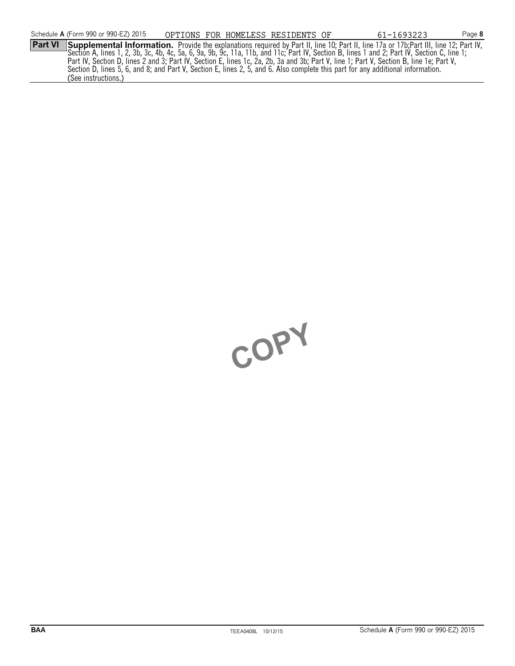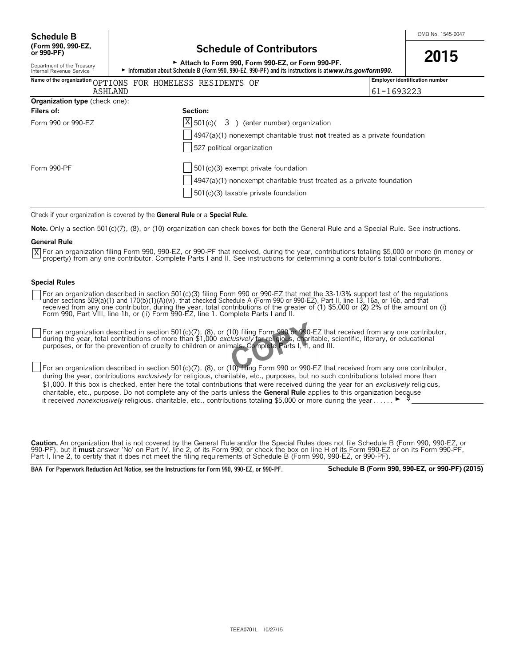Department of the Treasury<br>Internal Revenue Service

### **Schedule of Contributors**

<sup>G</sup>**Attach to Form 990, Form 990-EZ, or Form 990-PF. 2015**

► Information about Schedule B (Form 990, 990-EZ, 990-PF) and its instructions is at www.irs.gov/form990.

|                                | Name of the organization OPTIONS FOR HOMELESS RESIDENTS OF                        | <b>Employer identification number</b> |
|--------------------------------|-----------------------------------------------------------------------------------|---------------------------------------|
| ASHLAND                        |                                                                                   | 61-1693223                            |
| Organization type (check one): |                                                                                   |                                       |
| Filers of:                     | Section:                                                                          |                                       |
| Form 990 or 990-EZ             | $\overline{X}$ 501(c)( 3) (enter number) organization                             |                                       |
|                                | $\vert$ 4947(a)(1) nonexempt charitable trust not treated as a private foundation |                                       |
|                                | 527 political organization                                                        |                                       |
| Form 990-PF                    | $\frac{1}{2}$ 501(c)(3) exempt private foundation                                 |                                       |
|                                | $\vert$ 4947(a)(1) nonexempt charitable trust treated as a private foundation     |                                       |
|                                | $\frac{1}{2}$ 501(c)(3) taxable private foundation                                |                                       |

Check if your organization is covered by the **General Rule** or a **Special Rule.**

**Note.** Only a section 501(c)(7), (8), or (10) organization can check boxes for both the General Rule and a Special Rule. See instructions.

#### **General Rule**

For an organization filing Form 990, 990-EZ, or 990-PF that received, during the year, contributions totaling \$5,000 or more (in money or Xproperty) from any one contributor. Complete Parts I and II. See instructions for determining a contributor's total contributions.

#### **Special Rules**

For an organization described in section 501(c)(3) filing Form 990 or 990-EZ that met the 33-1/3% support test of the regulations<br>under sections 509(a)(1) and 170(b)(1)(A)(vi), that checked Schedule A (Form 990 or 990-EZ), Form 990, Part VIII, line 1h, or (ii) Form 990-EZ, line 1. Complete Parts I and II.

For an organization described in section 501(c)(7), (8), or (10) filing Form 990 or 990-EZ that received from any one contributor, during the year, total contributions of more than \$1,000 *exclusively* for religious, charitable, scientific, literary, or educational purposes, or for the prevention of cruelty to children or animals. Complete Parts I, II, and III.

For an organization described in section 501(c)(7), (8), or (10) filing Form 990 or 990-EZ that received from any one contributor, during the year, contributions *exclusively* for religious, charitable, etc., purposes, but no such contributions totaled more than \$1,000. If this box is checked, enter here the total contributions that were received during the year for an *exclusively* religious, charitable, etc., purpose. Do not complete any of the parts unless the **General Rule** applies to this organization because it received *nonexclusively* religious, charitable, etc., contributions totaling \$5,000 or more during the year ......

**Caution.** An organization that is not covered by the General Rule and/or the Special Rules does not file Schedule B (Form 990, 990-EZ, or 990-PF), but it **must** answer 'No' on Part IV, line 2, of its Form 990; or check the box on line H of its Form 990-EZ or on its Form 990-PF, Part I, line 2, to certify that it does not meet the filing requirements of Schedule B (Form 990, 990-EZ, or 990-PF).

**BAA For Paperwork Reduction Act Notice, see the Instructions for Form 990, 990-EZ, or 990-PF. Schedule B (Form 990, 990-EZ, or 990-PF) (2015)**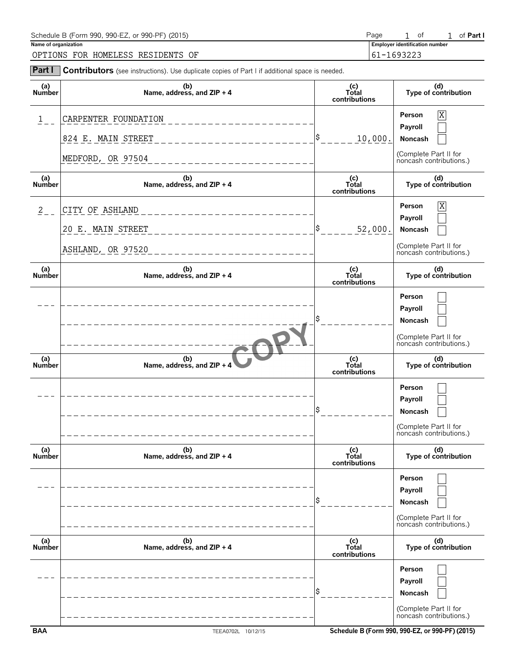| Schedule B (Form 990, 990-EZ, or 990-PF) (2015) | Page       |  | Ωt                                    |  | of <b>Part</b> I |
|-------------------------------------------------|------------|--|---------------------------------------|--|------------------|
| Name of organization                            |            |  | <b>Employer identification number</b> |  |                  |
| OPTIONS FOR HOMELESS RESIDENTS OF               | 61-1693223 |  |                                       |  |                  |

| Part I               | Contributors (see instructions). Use duplicate copies of Part I if additional space is needed. |                               |                                                                                  |
|----------------------|------------------------------------------------------------------------------------------------|-------------------------------|----------------------------------------------------------------------------------|
| (a)<br>Number        | (b)<br>Name, address, and ZIP + 4                                                              | (c)<br>Total<br>contributions | (d)<br>Type of contribution                                                      |
| 1                    | CARPENTER FOUNDATION                                                                           |                               | X<br>Person<br>Payroll                                                           |
|                      | 824 E. MAIN STREET                                                                             | l\$<br>10,000.                | Noncash                                                                          |
|                      | MEDFORD, OR 97504                                                                              |                               | (Complete Part II for<br>noncash contributions.)                                 |
| (a)<br>Number        | (b)<br>Name, address, and ZIP + 4                                                              | (c)<br>Total<br>contributions | (d)<br>Type of contribution                                                      |
| $\frac{2}{2}$        | CITY OF ASHLAND                                                                                |                               | X<br>Person<br>Payroll                                                           |
|                      | 20 E. MAIN STREET                                                                              | l\$<br>52,000.                | Noncash                                                                          |
|                      | ASHLAND, OR 97520                                                                              |                               | (Complete Part II for<br>noncash contributions.)                                 |
| (a)<br><b>Number</b> | (b)<br>Name, address, and ZIP + 4                                                              | (c)<br>Total<br>contributions | (d)<br>Type of contribution                                                      |
|                      |                                                                                                |                               | Person<br>Payroll<br>Noncash<br>(Complete Part II for<br>noncash contributions.) |
| (a)<br><b>Number</b> | (b)<br>Name, address, and ZIP + 4                                                              | (c)<br>Total<br>contributions | (d)<br>Type of contribution                                                      |
|                      |                                                                                                |                               | Person<br>Payroll<br>Noncash<br>(Complete Part II for<br>noncash contributions.) |
| (a)<br><b>Number</b> | (b)<br>Name, address, and ZIP + 4                                                              | (c)<br>Total<br>contributions | (d)<br>Type of contribution                                                      |
|                      |                                                                                                |                               | Person<br>Payroll<br>Noncash<br>(Complete Part II for<br>noncash contributions.) |
| (a)<br>Number        | (b)<br>Name, address, and ZIP + 4                                                              | (c)<br>Total<br>contributions | (d)<br>Type of contribution                                                      |
|                      |                                                                                                |                               | Person<br>Payroll<br>Noncash<br>(Complete Part II for<br>noncash contributions.) |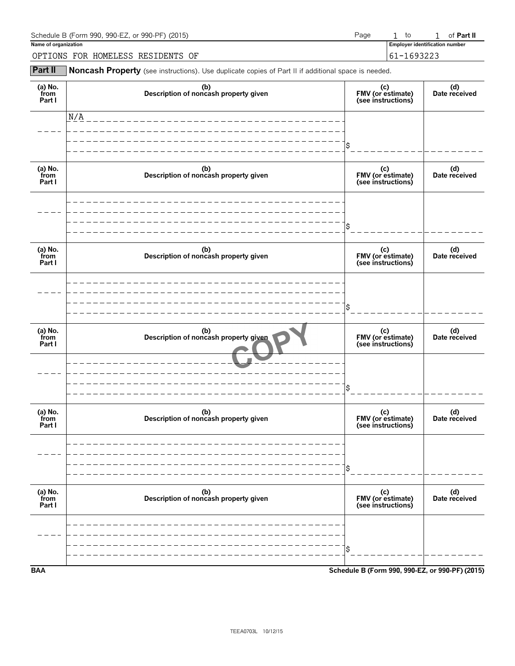| Schedule B (Form 990, 990-EZ, or 990-PF) (2015)<br>Page |            |  | to                                    |  | of <b>Part II</b> |
|---------------------------------------------------------|------------|--|---------------------------------------|--|-------------------|
| Name of organization                                    |            |  | <b>Employer identification number</b> |  |                   |
| OPTIONS FOR HOMELESS RESIDENTS OF                       | 61-1693223 |  |                                       |  |                   |

**Part II** Noncash Property (see instructions). Use duplicate copies of Part II if additional space is needed.

| (a) $No.$ from<br>Part I  | (b)<br>Description of noncash property given | (c)<br>FMV (or estimate)<br>(see instructions)  | (d)<br>Date received |
|---------------------------|----------------------------------------------|-------------------------------------------------|----------------------|
|                           | N/A                                          |                                                 |                      |
|                           |                                              |                                                 |                      |
| (a) No.<br>from<br>Part I | (b)<br>Description of noncash property given | (c)<br>FMV (or estimate)<br>(see instructions)  | (d)<br>Date received |
|                           |                                              |                                                 |                      |
| (a) No.<br>from<br>Part I | (b)<br>Description of noncash property given | (c)<br>FMV (or estimate)<br>(see instructions)  | (d)<br>Date received |
|                           |                                              |                                                 |                      |
| (a) No.<br>from<br>Part I | (b)<br>Description of noncash property given | (c)<br>FMV (or estimate)<br>(see instructions)  | (d)<br>Date received |
|                           |                                              | \$                                              |                      |
| (a) $No.$ from<br>Part I  | (b)<br>Description of noncash property given | (c)<br>FMV (or estimate)<br>(see instructions)  | (d)<br>Date received |
|                           |                                              | \$                                              |                      |
| (a) $No.$ from<br>Part I  | (b)<br>Description of noncash property given | (c)<br>FMV (or estimate)<br>(see instructions)  | (d)<br>Date received |
|                           |                                              |                                                 |                      |
|                           |                                              | \$                                              |                      |
| <b>BAA</b>                |                                              | Schedule B (Form 990, 990-EZ, or 990-PF) (2015) |                      |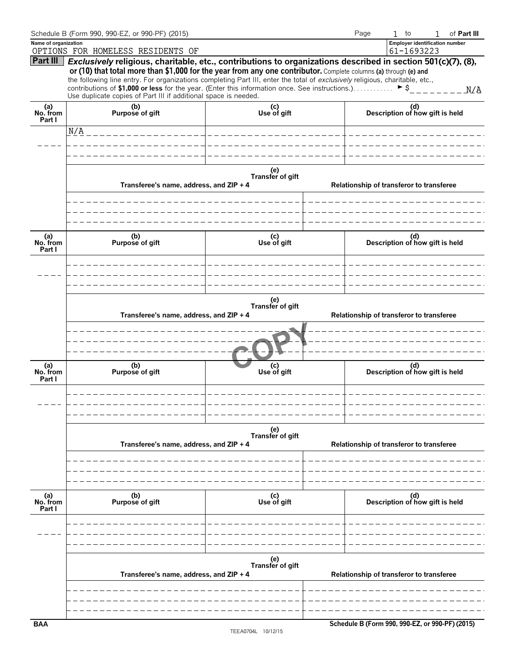|                           | Schedule B (Form 990, 990-EZ, or 990-PF) (2015)                                                                                                                                                                                                                                                                                                                                                                                                                                                                                                                     |                         | Page                                     | $1$ to<br>of Part III<br>$\mathbf{1}$               |  |  |  |
|---------------------------|---------------------------------------------------------------------------------------------------------------------------------------------------------------------------------------------------------------------------------------------------------------------------------------------------------------------------------------------------------------------------------------------------------------------------------------------------------------------------------------------------------------------------------------------------------------------|-------------------------|------------------------------------------|-----------------------------------------------------|--|--|--|
| Name of organization      | OPTIONS FOR HOMELESS RESIDENTS OF                                                                                                                                                                                                                                                                                                                                                                                                                                                                                                                                   |                         |                                          | <b>Employer identification number</b><br>61-1693223 |  |  |  |
|                           | Part III Exclusively religious, charitable, etc., contributions to organizations described in section 501(c)(7), (8),<br>or (10) that total more than \$1,000 for the year from any one contributor. Complete columns (a) through (e) and<br>the following line entry. For organizations completing Part III, enter the total of exclusively religious, charitable, etc.,<br>contributions of \$1,000 or less for the year. (Enter this information once. See instructions.) $\triangleright$ \$<br>Use duplicate copies of Part III if additional space is needed. |                         |                                          |                                                     |  |  |  |
| (a)<br>No. from<br>Part I | (b)<br>Purpose of gift                                                                                                                                                                                                                                                                                                                                                                                                                                                                                                                                              | (c)<br>Use of gift      |                                          | (d)<br>Description of how gift is held              |  |  |  |
|                           | N/A                                                                                                                                                                                                                                                                                                                                                                                                                                                                                                                                                                 |                         |                                          |                                                     |  |  |  |
|                           |                                                                                                                                                                                                                                                                                                                                                                                                                                                                                                                                                                     |                         |                                          |                                                     |  |  |  |
|                           |                                                                                                                                                                                                                                                                                                                                                                                                                                                                                                                                                                     |                         |                                          |                                                     |  |  |  |
|                           | Transferee's name, address, and ZIP + 4                                                                                                                                                                                                                                                                                                                                                                                                                                                                                                                             | (e)<br>Transfer of gift |                                          | Relationship of transferor to transferee            |  |  |  |
|                           |                                                                                                                                                                                                                                                                                                                                                                                                                                                                                                                                                                     |                         |                                          |                                                     |  |  |  |
| (a)<br>No. from<br>Part I | (b)<br>Purpose of gift                                                                                                                                                                                                                                                                                                                                                                                                                                                                                                                                              | (c)<br>Use of gift      |                                          | (d)<br>Description of how gift is held              |  |  |  |
|                           |                                                                                                                                                                                                                                                                                                                                                                                                                                                                                                                                                                     |                         |                                          |                                                     |  |  |  |
|                           | (e)<br>Transfer of gift<br>Transferee's name, address, and ZIP + 4<br>Relationship of transferor to transferee                                                                                                                                                                                                                                                                                                                                                                                                                                                      |                         |                                          |                                                     |  |  |  |
|                           |                                                                                                                                                                                                                                                                                                                                                                                                                                                                                                                                                                     |                         |                                          |                                                     |  |  |  |
| (a)<br>No. from<br>Part I | (b)<br>Purpose of gift                                                                                                                                                                                                                                                                                                                                                                                                                                                                                                                                              | (c)<br>Use of gift      |                                          | (d)<br>Description of how gift is held              |  |  |  |
|                           |                                                                                                                                                                                                                                                                                                                                                                                                                                                                                                                                                                     |                         |                                          |                                                     |  |  |  |
|                           | Transferee's name, address, and ZIP + 4                                                                                                                                                                                                                                                                                                                                                                                                                                                                                                                             |                         | Relationship of transferor to transferee |                                                     |  |  |  |
|                           |                                                                                                                                                                                                                                                                                                                                                                                                                                                                                                                                                                     |                         |                                          |                                                     |  |  |  |
|                           |                                                                                                                                                                                                                                                                                                                                                                                                                                                                                                                                                                     |                         |                                          |                                                     |  |  |  |
| (a)<br>No. from<br>Part I | (b)<br>Purpose of gift                                                                                                                                                                                                                                                                                                                                                                                                                                                                                                                                              | (c)<br>Use of gift      |                                          | (d)<br>Description of how gift is held              |  |  |  |
|                           |                                                                                                                                                                                                                                                                                                                                                                                                                                                                                                                                                                     |                         |                                          |                                                     |  |  |  |
|                           |                                                                                                                                                                                                                                                                                                                                                                                                                                                                                                                                                                     |                         |                                          |                                                     |  |  |  |
|                           | Transferee's name, address, and ZIP + 4                                                                                                                                                                                                                                                                                                                                                                                                                                                                                                                             |                         | Relationship of transferor to transferee |                                                     |  |  |  |
|                           |                                                                                                                                                                                                                                                                                                                                                                                                                                                                                                                                                                     |                         |                                          |                                                     |  |  |  |
|                           |                                                                                                                                                                                                                                                                                                                                                                                                                                                                                                                                                                     |                         |                                          |                                                     |  |  |  |
| <b>BAA</b>                |                                                                                                                                                                                                                                                                                                                                                                                                                                                                                                                                                                     |                         |                                          | Schedule B (Form 990, 990-EZ, or 990-PF) (2015)     |  |  |  |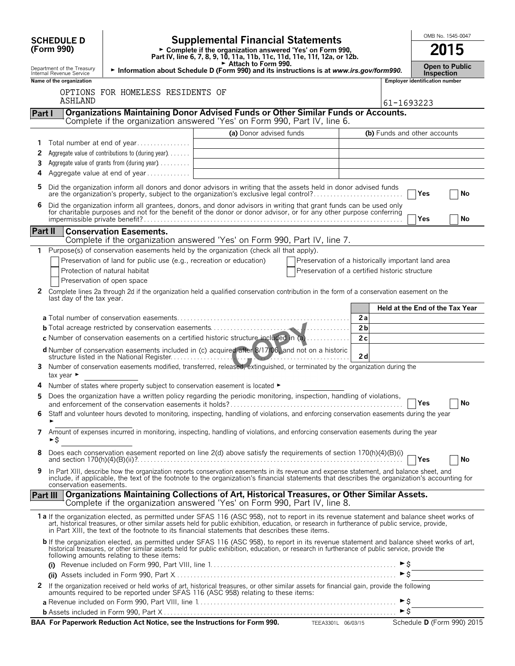|              |                                                        |                                                                               |                                                                                                                                                                                                                                                                                                                                                                                                |                                                    |                      |                          |                                       | OMB No. 1545-0047          |  |
|--------------|--------------------------------------------------------|-------------------------------------------------------------------------------|------------------------------------------------------------------------------------------------------------------------------------------------------------------------------------------------------------------------------------------------------------------------------------------------------------------------------------------------------------------------------------------------|----------------------------------------------------|----------------------|--------------------------|---------------------------------------|----------------------------|--|
|              | <b>SCHEDULE D</b><br>(Form 990)                        |                                                                               | <b>Supplemental Financial Statements</b><br>► Complete if the organization answered 'Yes' on Form 990,                                                                                                                                                                                                                                                                                         |                                                    |                      |                          |                                       | 2015                       |  |
|              |                                                        |                                                                               | Part IV, line 6, 7, 8, 9, 10, 11a, 11b, 11c, 11d, 11e, 11f, 12a, or 12b.<br>Attach to Form 990.                                                                                                                                                                                                                                                                                                |                                                    |                      |                          | <b>Open to Public</b>                 |                            |  |
|              | Department of the Treasury<br>Internal Revenue Service |                                                                               | Information about Schedule D (Form 990) and its instructions is at www.irs.gov/form990.                                                                                                                                                                                                                                                                                                        |                                                    |                      |                          | <b>Inspection</b>                     |                            |  |
|              | Name of the organization                               | OPTIONS FOR HOMELESS RESIDENTS OF                                             |                                                                                                                                                                                                                                                                                                                                                                                                |                                                    |                      |                          | <b>Employer identification number</b> |                            |  |
|              | ASHLAND                                                |                                                                               |                                                                                                                                                                                                                                                                                                                                                                                                |                                                    |                      | 61-1693223               |                                       |                            |  |
| Part I       |                                                        |                                                                               | Organizations Maintaining Donor Advised Funds or Other Similar Funds or Accounts.                                                                                                                                                                                                                                                                                                              |                                                    |                      |                          |                                       |                            |  |
|              |                                                        |                                                                               | Complete if the organization answered 'Yes' on Form 990, Part IV, line 6.                                                                                                                                                                                                                                                                                                                      |                                                    |                      |                          |                                       |                            |  |
| 1            |                                                        | Total number at end of year                                                   | (a) Donor advised funds                                                                                                                                                                                                                                                                                                                                                                        |                                                    |                      |                          | (b) Funds and other accounts          |                            |  |
| 2            |                                                        | Aggregate value of contributions to (during year)                             |                                                                                                                                                                                                                                                                                                                                                                                                |                                                    |                      |                          |                                       |                            |  |
| 3            |                                                        | Aggregate value of grants from (during year) $\ldots$                         |                                                                                                                                                                                                                                                                                                                                                                                                |                                                    |                      |                          |                                       |                            |  |
| 4            |                                                        | Aggregate value at end of year                                                |                                                                                                                                                                                                                                                                                                                                                                                                |                                                    |                      |                          |                                       |                            |  |
| 5            |                                                        |                                                                               | Did the organization inform all donors and donor advisors in writing that the assets held in donor advised funds<br>are the organization's property, subject to the organization's exclusive legal control?                                                                                                                                                                                    |                                                    |                      |                          | Yes                                   | No                         |  |
| 6            |                                                        |                                                                               | Did the organization inform all grantees, donors, and donor advisors in writing that grant funds can be used only<br>for charitable purposes and not for the benefit of the donor or donor advisor, or for any other purpose conferring                                                                                                                                                        |                                                    |                      |                          | Yes                                   | No                         |  |
|              | Part II                                                | <b>Conservation Easements.</b>                                                |                                                                                                                                                                                                                                                                                                                                                                                                |                                                    |                      |                          |                                       |                            |  |
|              |                                                        |                                                                               | Complete if the organization answered 'Yes' on Form 990, Part IV, line 7.                                                                                                                                                                                                                                                                                                                      |                                                    |                      |                          |                                       |                            |  |
|              |                                                        | Preservation of land for public use (e.g., recreation or education)           | Purpose(s) of conservation easements held by the organization (check all that apply).                                                                                                                                                                                                                                                                                                          | Preservation of a historically important land area |                      |                          |                                       |                            |  |
|              |                                                        | Protection of natural habitat                                                 |                                                                                                                                                                                                                                                                                                                                                                                                | Preservation of a certified historic structure     |                      |                          |                                       |                            |  |
|              |                                                        | Preservation of open space                                                    |                                                                                                                                                                                                                                                                                                                                                                                                |                                                    |                      |                          |                                       |                            |  |
| $\mathbf{2}$ | last day of the tax year.                              |                                                                               | Complete lines 2a through 2d if the organization held a qualified conservation contribution in the form of a conservation easement on the                                                                                                                                                                                                                                                      |                                                    |                      |                          |                                       |                            |  |
|              |                                                        |                                                                               |                                                                                                                                                                                                                                                                                                                                                                                                |                                                    |                      |                          | Held at the End of the Tax Year       |                            |  |
|              |                                                        |                                                                               |                                                                                                                                                                                                                                                                                                                                                                                                |                                                    | 2a<br>2 <sub>b</sub> |                          |                                       |                            |  |
|              |                                                        |                                                                               | c Number of conservation easements on a certified historic structure included in $(a)$                                                                                                                                                                                                                                                                                                         |                                                    | 2c                   |                          |                                       |                            |  |
|              |                                                        |                                                                               | d Number of conservation easements included in (c) acquired after 8/17/06, and not on a historic                                                                                                                                                                                                                                                                                               |                                                    | 2d                   |                          |                                       |                            |  |
| 3.           | tax year ►                                             |                                                                               | Number of conservation easements modified, transferred, released, extinguished, or terminated by the organization during the                                                                                                                                                                                                                                                                   |                                                    |                      |                          |                                       |                            |  |
|              |                                                        | Number of states where property subject to conservation easement is located ► |                                                                                                                                                                                                                                                                                                                                                                                                |                                                    |                      |                          |                                       |                            |  |
| 5            |                                                        |                                                                               | Does the organization have a written policy regarding the periodic monitoring, inspection, handling of violations,<br>and enforcement of the conservation easements it holds?                                                                                                                                                                                                                  |                                                    |                      |                          |                                       | No                         |  |
| 6            |                                                        |                                                                               | Staff and volunteer hours devoted to monitoring, inspecting, handling of violations, and enforcing conservation easements during the year                                                                                                                                                                                                                                                      |                                                    |                      |                          |                                       |                            |  |
| 7            | ►\$                                                    |                                                                               | Amount of expenses incurred in monitoring, inspecting, handling of violations, and enforcing conservation easements during the year                                                                                                                                                                                                                                                            |                                                    |                      |                          |                                       |                            |  |
| 8            |                                                        |                                                                               | Does each conservation easement reported on line 2(d) above satisfy the requirements of section 170(h)(4)(B)(i)                                                                                                                                                                                                                                                                                |                                                    |                      |                          | $\mathsf{T}$ Yes                      | No                         |  |
| 9            | conservation easements.                                |                                                                               | In Part XIII, describe how the organization reports conservation easements in its revenue and expense statement, and balance sheet, and<br>include, if applicable, the text of the footnote to the organization's financial statements that describes the organization's accounting for                                                                                                        |                                                    |                      |                          |                                       |                            |  |
|              | Part III                                               |                                                                               | Organizations Maintaining Collections of Art, Historical Treasures, or Other Similar Assets.<br>Complete if the organization answered 'Yes' on Form 990, Part IV, line 8.                                                                                                                                                                                                                      |                                                    |                      |                          |                                       |                            |  |
|              |                                                        |                                                                               | 1a If the organization elected, as permitted under SFAS 116 (ASC 958), not to report in its revenue statement and balance sheet works of<br>art, historical treasures, or other similar assets held for public exhibition, education, or research in furtherance of public service, provide,<br>in Part XIII, the text of the footnote to its financial statements that describes these items. |                                                    |                      |                          |                                       |                            |  |
|              |                                                        | following amounts relating to these items:                                    | b If the organization elected, as permitted under SFAS 116 (ASC 958), to report in its revenue statement and balance sheet works of art,<br>historical treasures, or other similar assets held for public exhibition, education, or research in furtherance of public service, provide the                                                                                                     |                                                    |                      |                          |                                       |                            |  |
|              |                                                        |                                                                               |                                                                                                                                                                                                                                                                                                                                                                                                |                                                    |                      | $\triangleright$ \$      |                                       |                            |  |
| 2            |                                                        |                                                                               | If the organization received or held works of art, historical treasures, or other similar assets for financial gain, provide the following                                                                                                                                                                                                                                                     |                                                    |                      |                          |                                       |                            |  |
|              |                                                        |                                                                               | amounts required to be reported under SFAS 116 (ASC 958) relating to these items:                                                                                                                                                                                                                                                                                                              |                                                    |                      | $\blacktriangleright$ \$ |                                       |                            |  |
|              |                                                        |                                                                               |                                                                                                                                                                                                                                                                                                                                                                                                |                                                    |                      | $\triangleright$ \$      |                                       |                            |  |
|              |                                                        |                                                                               | BAA For Paperwork Reduction Act Notice, see the Instructions for Form 990. TEEA3301L 06/03/15                                                                                                                                                                                                                                                                                                  |                                                    |                      |                          |                                       | Schedule D (Form 990) 2015 |  |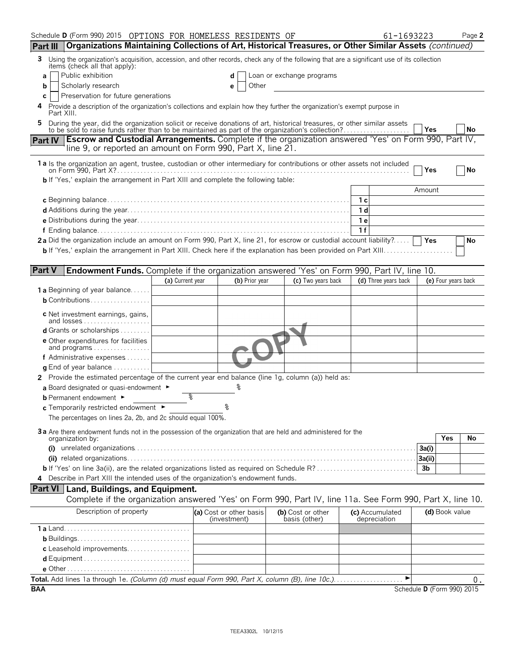|                 | Schedule D (Form 990) 2015 OPTIONS FOR HOMELESS RESIDENTS OF                                                                                                                                                              |                  |                                         |                                    | 61-1693223                      |                            | Page 2 |
|-----------------|---------------------------------------------------------------------------------------------------------------------------------------------------------------------------------------------------------------------------|------------------|-----------------------------------------|------------------------------------|---------------------------------|----------------------------|--------|
| Part III        | Organizations Maintaining Collections of Art, Historical Treasures, or Other Similar Assets (continued)                                                                                                                   |                  |                                         |                                    |                                 |                            |        |
| 3               | Using the organization's acquisition, accession, and other records, check any of the following that are a significant use of its collection                                                                               |                  |                                         |                                    |                                 |                            |        |
| a               | items (check all that apply):<br>Public exhibition                                                                                                                                                                        |                  |                                         | Loan or exchange programs          |                                 |                            |        |
| b               | Scholarly research                                                                                                                                                                                                        |                  | Other<br>е                              |                                    |                                 |                            |        |
| С               | Preservation for future generations                                                                                                                                                                                       |                  |                                         |                                    |                                 |                            |        |
| 4<br>Part XIII. | Provide a description of the organization's collections and explain how they further the organization's exempt purpose in                                                                                                 |                  |                                         |                                    |                                 |                            |        |
|                 | During the year, did the organization solicit or receive donations of art, historical treasures, or other similar assets to be sold to raise funds rather than to be maintained as part of the organization's collection? |                  |                                         |                                    |                                 |                            |        |
|                 |                                                                                                                                                                                                                           |                  |                                         |                                    |                                 | <b>Yes</b>                 | No     |
| Part IV         | <b>Escrow and Custodial Arrangements.</b> Complete if the organization answered 'Yes' on Form 990, Part IV,<br>line 9, or reported an amount on Form 990, Part X, line 21.                                                |                  |                                         |                                    |                                 |                            |        |
|                 | 1a Is the organization an agent, trustee, custodian or other intermediary for contributions or other assets not included                                                                                                  |                  |                                         |                                    |                                 |                            |        |
|                 |                                                                                                                                                                                                                           |                  |                                         |                                    |                                 | Yes                        | No     |
|                 | <b>b</b> If 'Yes,' explain the arrangement in Part XIII and complete the following table:                                                                                                                                 |                  |                                         |                                    |                                 |                            |        |
|                 |                                                                                                                                                                                                                           |                  |                                         |                                    |                                 | Amount                     |        |
|                 |                                                                                                                                                                                                                           |                  |                                         |                                    | 1 с<br>1 d                      |                            |        |
|                 |                                                                                                                                                                                                                           |                  |                                         |                                    | 1е                              |                            |        |
|                 |                                                                                                                                                                                                                           |                  |                                         |                                    | 1f                              |                            |        |
|                 | 2a Did the organization include an amount on Form 990, Part X, line 21, for escrow or custodial account liability?                                                                                                        |                  |                                         |                                    |                                 |                            | No     |
|                 |                                                                                                                                                                                                                           |                  |                                         |                                    |                                 |                            |        |
|                 |                                                                                                                                                                                                                           |                  |                                         |                                    |                                 |                            |        |
| <b>Part V</b>   | Endowment Funds. Complete if the organization answered 'Yes' on Form 990, Part IV, line 10.                                                                                                                               |                  |                                         |                                    |                                 |                            |        |
|                 |                                                                                                                                                                                                                           | (a) Current year | (b) Prior year                          | (c) Two years back                 | (d) Three years back            | (e) Four years back        |        |
|                 | <b>1 a</b> Beginning of year balance                                                                                                                                                                                      |                  |                                         |                                    |                                 |                            |        |
|                 | <b>b</b> Contributions                                                                                                                                                                                                    |                  |                                         |                                    |                                 |                            |        |
|                 | c Net investment earnings, gains,<br>and losses                                                                                                                                                                           |                  |                                         |                                    |                                 |                            |        |
|                 | <b>d</b> Grants or scholarships $\ldots \ldots \ldots$                                                                                                                                                                    |                  |                                         |                                    |                                 |                            |        |
|                 | <b>e</b> Other expenditures for facilities                                                                                                                                                                                |                  |                                         |                                    |                                 |                            |        |
|                 | and programs                                                                                                                                                                                                              |                  |                                         |                                    |                                 |                            |        |
|                 | f Administrative expenses                                                                                                                                                                                                 |                  |                                         |                                    |                                 |                            |        |
|                 | <b>q</b> End of year balance $\ldots \ldots \ldots$<br>2 Provide the estimated percentage of the current year end balance (line 1g, column (a)) held as:                                                                  |                  |                                         |                                    |                                 |                            |        |
|                 | a Board designated or quasi-endowment $\blacktriangleright$                                                                                                                                                               |                  |                                         |                                    |                                 |                            |        |
|                 | <b>b</b> Permanent endowment ►                                                                                                                                                                                            | နွ               |                                         |                                    |                                 |                            |        |
|                 | $c$ Temporarily restricted endowment $\blacktriangleright$                                                                                                                                                                |                  |                                         |                                    |                                 |                            |        |
|                 | The percentages on lines 2a, 2b, and 2c should equal 100%.                                                                                                                                                                |                  |                                         |                                    |                                 |                            |        |
|                 |                                                                                                                                                                                                                           |                  |                                         |                                    |                                 |                            |        |
|                 | 3a Are there endowment funds not in the possession of the organization that are held and administered for the<br>organization by:                                                                                         |                  |                                         |                                    |                                 | <b>Yes</b>                 | No     |
|                 |                                                                                                                                                                                                                           |                  |                                         |                                    |                                 | 3a(i)                      |        |
|                 |                                                                                                                                                                                                                           |                  |                                         |                                    |                                 | 3a(ii)                     |        |
|                 |                                                                                                                                                                                                                           |                  |                                         |                                    |                                 | 3b                         |        |
|                 | 4 Describe in Part XIII the intended uses of the organization's endowment funds.                                                                                                                                          |                  |                                         |                                    |                                 |                            |        |
|                 | <b>Part VI</b> Land, Buildings, and Equipment.                                                                                                                                                                            |                  |                                         |                                    |                                 |                            |        |
|                 | Complete if the organization answered 'Yes' on Form 990, Part IV, line 11a. See Form 990, Part X, line 10.                                                                                                                |                  |                                         |                                    |                                 |                            |        |
|                 | Description of property                                                                                                                                                                                                   |                  | (a) Cost or other basis<br>(investment) | (b) Cost or other<br>basis (other) | (c) Accumulated<br>depreciation | (d) Book value             |        |
|                 |                                                                                                                                                                                                                           |                  |                                         |                                    |                                 |                            |        |
|                 |                                                                                                                                                                                                                           |                  |                                         |                                    |                                 |                            |        |
|                 | c Leasehold improvements                                                                                                                                                                                                  |                  |                                         |                                    |                                 |                            |        |
|                 |                                                                                                                                                                                                                           |                  |                                         |                                    |                                 |                            |        |
|                 |                                                                                                                                                                                                                           |                  |                                         |                                    |                                 |                            |        |
|                 | Total. Add lines 1a through 1e. (Column (d) must equal Form 990, Part X, column (B), line 10c.)                                                                                                                           |                  |                                         |                                    | ▶                               |                            | О.     |
| <b>BAA</b>      |                                                                                                                                                                                                                           |                  |                                         |                                    |                                 | Schedule D (Form 990) 2015 |        |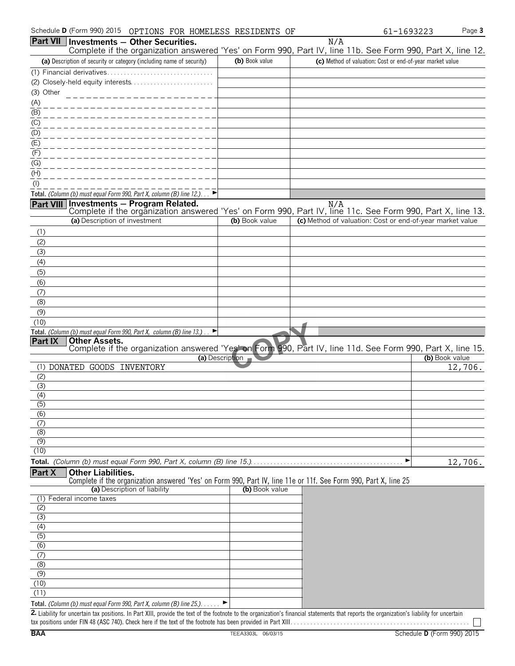|                         |                               | Part VII Investments - Other Securities.                                                                                 |                 | N/A                                                                                                                                                                                         |                |
|-------------------------|-------------------------------|--------------------------------------------------------------------------------------------------------------------------|-----------------|---------------------------------------------------------------------------------------------------------------------------------------------------------------------------------------------|----------------|
|                         |                               |                                                                                                                          |                 | Complete if the organization answered 'Yes' on Form 990, Part IV, line 11b. See Form 990, Part X, line 12.                                                                                  |                |
|                         |                               | (a) Description of security or category (including name of security)                                                     | (b) Book value  | (c) Method of valuation: Cost or end-of-year market value                                                                                                                                   |                |
|                         |                               |                                                                                                                          |                 |                                                                                                                                                                                             |                |
| (3) Other               |                               |                                                                                                                          |                 |                                                                                                                                                                                             |                |
| (A)                     |                               | ------------------                                                                                                       |                 |                                                                                                                                                                                             |                |
| (B)                     |                               |                                                                                                                          |                 |                                                                                                                                                                                             |                |
| (C)                     |                               |                                                                                                                          |                 |                                                                                                                                                                                             |                |
| (D)                     |                               |                                                                                                                          |                 |                                                                                                                                                                                             |                |
| (E)                     |                               |                                                                                                                          |                 |                                                                                                                                                                                             |                |
| (F)                     |                               |                                                                                                                          |                 |                                                                                                                                                                                             |                |
| (G)                     |                               |                                                                                                                          |                 |                                                                                                                                                                                             |                |
| (H)                     |                               |                                                                                                                          |                 |                                                                                                                                                                                             |                |
| $($ l $)$               |                               |                                                                                                                          |                 |                                                                                                                                                                                             |                |
|                         |                               | Total. (Column (b) must equal Form 990, Part X, column (B) line 12.). $\Box$<br>Part VIII Investments - Program Related. |                 | N/A                                                                                                                                                                                         |                |
|                         |                               |                                                                                                                          |                 | Complete if the organization answered 'Yes' on Form 990, Part IV, line 11c. See Form 990, Part X, line 13.                                                                                  |                |
|                         | (a) Description of investment |                                                                                                                          | (b) Book value  | (c) Method of valuation: Cost or end-of-year market value                                                                                                                                   |                |
| (1)                     |                               |                                                                                                                          |                 |                                                                                                                                                                                             |                |
| (2)                     |                               |                                                                                                                          |                 |                                                                                                                                                                                             |                |
| (3)                     |                               |                                                                                                                          |                 |                                                                                                                                                                                             |                |
| (4)                     |                               |                                                                                                                          |                 |                                                                                                                                                                                             |                |
| (5)<br>(6)              |                               |                                                                                                                          |                 |                                                                                                                                                                                             |                |
| (7)                     |                               |                                                                                                                          |                 |                                                                                                                                                                                             |                |
| (8)                     |                               |                                                                                                                          |                 |                                                                                                                                                                                             |                |
| (9)                     |                               |                                                                                                                          |                 |                                                                                                                                                                                             |                |
| (10)                    |                               |                                                                                                                          |                 |                                                                                                                                                                                             |                |
|                         |                               | Total. (Column (b) must equal Form 990, Part X, column (B) line 13.)<br>▶                                                |                 |                                                                                                                                                                                             |                |
| Part IX                 | <b>Other Assets.</b>          |                                                                                                                          |                 | Complete if the organization answered 'Yes' on Form 990, Part IV, line 11d. See Form 990, Part X, line 15.                                                                                  |                |
|                         |                               |                                                                                                                          | (a) Description |                                                                                                                                                                                             | (b) Book value |
|                         | (1) DONATED GOODS INVENTORY   |                                                                                                                          |                 |                                                                                                                                                                                             | 12,706.        |
| (2)                     |                               |                                                                                                                          |                 |                                                                                                                                                                                             |                |
| (3)<br>(4)              |                               |                                                                                                                          |                 |                                                                                                                                                                                             |                |
| $\overline{(5)}$        |                               |                                                                                                                          |                 |                                                                                                                                                                                             |                |
| $\overline{(6)}$        |                               |                                                                                                                          |                 |                                                                                                                                                                                             |                |
| (7)                     |                               |                                                                                                                          |                 |                                                                                                                                                                                             |                |
| (8)<br>$\overline{(9)}$ |                               |                                                                                                                          |                 |                                                                                                                                                                                             |                |
| (10)                    |                               |                                                                                                                          |                 |                                                                                                                                                                                             |                |
|                         |                               |                                                                                                                          |                 | ▶                                                                                                                                                                                           | 12,706.        |
| Part X                  | <b>Other Liabilities.</b>     |                                                                                                                          |                 |                                                                                                                                                                                             |                |
|                         |                               |                                                                                                                          |                 | Complete if the organization answered 'Yes' on Form 990, Part IV, line 11e or 11f. See Form 990, Part X, line 25                                                                            |                |
| (1)                     | Federal income taxes          | (a) Description of liability                                                                                             | (b) Book value  |                                                                                                                                                                                             |                |
| (2)                     |                               |                                                                                                                          |                 |                                                                                                                                                                                             |                |
| (3)                     |                               |                                                                                                                          |                 |                                                                                                                                                                                             |                |
| (4)                     |                               |                                                                                                                          |                 |                                                                                                                                                                                             |                |
| (5)                     |                               |                                                                                                                          |                 |                                                                                                                                                                                             |                |
| $\overline{(6)}$        |                               |                                                                                                                          |                 |                                                                                                                                                                                             |                |
| (7)<br>(8)              |                               |                                                                                                                          |                 |                                                                                                                                                                                             |                |
| (9)                     |                               |                                                                                                                          |                 |                                                                                                                                                                                             |                |
| (10)                    |                               |                                                                                                                          |                 |                                                                                                                                                                                             |                |
| (11)                    |                               |                                                                                                                          |                 |                                                                                                                                                                                             |                |
|                         |                               | Total. (Column (b) must equal Form 990, Part X, column (B) line 25.). $\blacktriangleright$                              |                 | 2. Liability for uncertain tax positions. In Part XIII, provide the text of the footnote to the organization's financial statements that reports the organization's liability for uncertain |                |
|                         |                               |                                                                                                                          |                 |                                                                                                                                                                                             |                |

tax positions under FIN 48 (ASC 740). Check here if the text of the footnote has been provided in Part XIII. . . . . . . . . . . . . . . . . . . . . . . . . . . . . . . . . . . . . . . . . . . . . . . . . . . . . .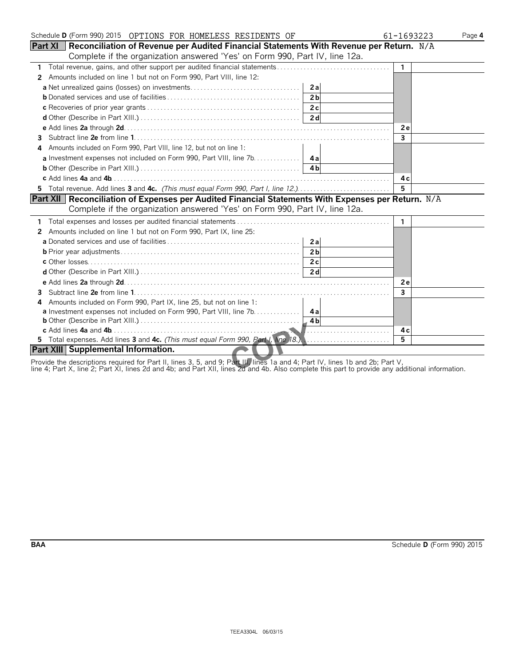| Schedule D (Form 990) 2015 OPTIONS FOR HOMELESS RESIDENTS OF                                                                         | 61-1693223     | Page 4 |
|--------------------------------------------------------------------------------------------------------------------------------------|----------------|--------|
| <b>Part XI</b> Reconciliation of Revenue per Audited Financial Statements With Revenue per Return. N/A                               |                |        |
| Complete if the organization answered 'Yes' on Form 990, Part IV, line 12a.                                                          |                |        |
| $\mathbf{1}$                                                                                                                         | $\mathbf{1}$   |        |
| Amounts included on line 1 but not on Form 990, Part VIII, line 12:<br>$\mathbf{2}^{\prime}$                                         |                |        |
|                                                                                                                                      |                |        |
|                                                                                                                                      |                |        |
|                                                                                                                                      |                |        |
|                                                                                                                                      |                |        |
|                                                                                                                                      | <b>2e</b>      |        |
| 3.                                                                                                                                   | $\overline{3}$ |        |
| Amounts included on Form 990, Part VIII, line 12, but not on line 1:<br>4                                                            |                |        |
| a Investment expenses not included on Form 990, Part VIII, line 7b. 4a                                                               |                |        |
| <b>b</b> Other (Describe in Part XIII.) $\ldots$ $\ldots$ $\ldots$ $\ldots$ $\ldots$ $\ldots$ $\ldots$ $\ldots$ $\ldots$ $\ldots$ 4b |                |        |
|                                                                                                                                      | 4 c            |        |
|                                                                                                                                      | 5              |        |
| Part XII   Reconciliation of Expenses per Audited Financial Statements With Expenses per Return. N/A                                 |                |        |
| Complete if the organization answered 'Yes' on Form 990, Part IV, line 12a.                                                          |                |        |
|                                                                                                                                      | 1              |        |
| Amounts included on line 1 but not on Form 990, Part IX, line 25:<br>2                                                               |                |        |
| 2a                                                                                                                                   |                |        |
| 2 <sub>b</sub>                                                                                                                       |                |        |
|                                                                                                                                      |                |        |
|                                                                                                                                      |                |        |
|                                                                                                                                      | 2 e            |        |
|                                                                                                                                      | 3              |        |
| Amounts included on Form 990, Part IX, line 25, but not on line 1:<br>4                                                              |                |        |
| <b>a</b> Investment expenses not included on Form 990, Part VIII, line 7b. 4a                                                        |                |        |
|                                                                                                                                      |                |        |
|                                                                                                                                      | 4 c            |        |
| 5 Total expenses. Add lines 3 and 4c. (This must equal Form 990, Part I, line 18.),                                                  | 5              |        |
| Part XIII Supplemental Information.                                                                                                  |                |        |

Provide the descriptions required for Part II, lines 3, 5, and 9; Part III, lines 1a and 4; Part IV, lines 1b and 2b; Part V,

line 4; Part X, line 2; Part XI, lines 2d and 4b; and Part XII, lines 2d and 4b. Also complete this part to provide any additional information.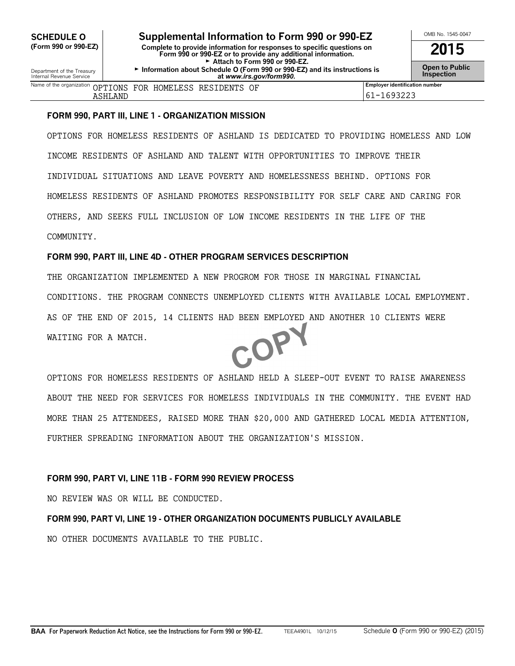#### **FORM 990, PART III, LINE 1 - ORGANIZATION MISSION**

OPTIONS FOR HOMELESS RESIDENTS OF ASHLAND IS DEDICATED TO PROVIDING HOMELESS AND LOW INCOME RESIDENTS OF ASHLAND AND TALENT WITH OPPORTUNITIES TO IMPROVE THEIR INDIVIDUAL SITUATIONS AND LEAVE POVERTY AND HOMELESSNESS BEHIND. OPTIONS FOR HOMELESS RESIDENTS OF ASHLAND PROMOTES RESPONSIBILITY FOR SELF CARE AND CARING FOR OTHERS, AND SEEKS FULL INCLUSION OF LOW INCOME RESIDENTS IN THE LIFE OF THE COMMUNITY.

#### **FORM 990, PART III, LINE 4D - OTHER PROGRAM SERVICES DESCRIPTION**

THE ORGANIZATION IMPLEMENTED A NEW PROGROM FOR THOSE IN MARGINAL FINANCIAL CONDITIONS. THE PROGRAM CONNECTS UNEMPLOYED CLIENTS WITH AVAILABLE LOCAL EMPLOYMENT. AS OF THE END OF 2015, 14 CLIENTS HAD BEEN EMPLOYED AND ANOTHER 10 CLIENTS WERE COP WAITING FOR A MATCH.

OPTIONS FOR HOMELESS RESIDENTS OF ASHLAND HELD A SLEEP-OUT EVENT TO RAISE AWARENESS ABOUT THE NEED FOR SERVICES FOR HOMELESS INDIVIDUALS IN THE COMMUNITY. THE EVENT HAD MORE THAN 25 ATTENDEES, RAISED MORE THAN \$20,000 AND GATHERED LOCAL MEDIA ATTENTION, FURTHER SPREADING INFORMATION ABOUT THE ORGANIZATION'S MISSION.

#### **FORM 990, PART VI, LINE 11B - FORM 990 REVIEW PROCESS**

NO REVIEW WAS OR WILL BE CONDUCTED.

### **FORM 990, PART VI, LINE 19 - OTHER ORGANIZATION DOCUMENTS PUBLICLY AVAILABLE**

NO OTHER DOCUMENTS AVAILABLE TO THE PUBLIC.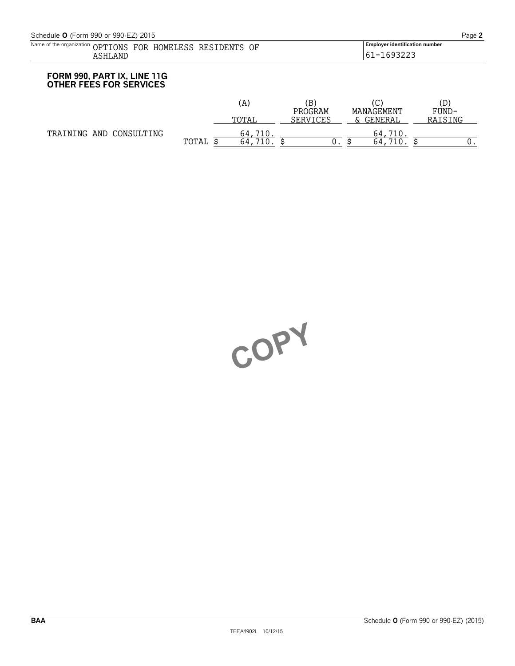| Name of the organization<br><b>IONS</b><br>JPT<br>. | OF<br>70R<br>LESS<br>HOMF<br>. N'T'<br>RE<br>)ŀ | <br><b>Employer identification number</b>                |
|-----------------------------------------------------|-------------------------------------------------|----------------------------------------------------------|
| ، NP<br>. .                                         | $\sim$                                          | $\overline{\phantom{0}}$<br>, J Z Z J<br>ــ ب<br>$\cdot$ |
|                                                     |                                                 |                                                          |

### **FORM 990, PART IX, LINE 11G OTHER FEES FOR SERVICES**

|                         |       | (A    | ΈB,<br>PROGRAM | C)<br>MANAGEMENT | D)<br>FUND- |
|-------------------------|-------|-------|----------------|------------------|-------------|
|                         |       | тотат | SERVICES       | GENERAL<br>∼     | RAISING     |
| TRAINING AND CONSULTING |       | 64,   |                | 64.              |             |
|                         | TOTAL | 64    | ັ              | 64               | ν.          |

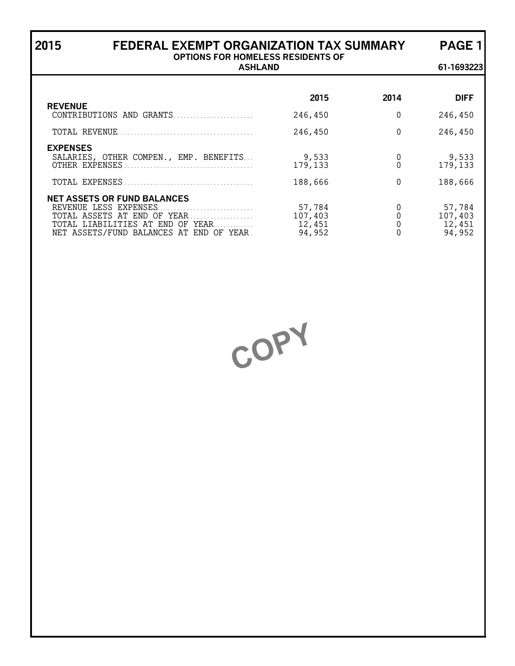| FEDERAL EXEMPT ORGANIZATION TAX SUMMARY<br>2015                                                                                                                               | <b>PAGE 1</b>                         |          |                                       |  |  |  |
|-------------------------------------------------------------------------------------------------------------------------------------------------------------------------------|---------------------------------------|----------|---------------------------------------|--|--|--|
| <b>OPTIONS FOR HOMELESS RESIDENTS OF</b><br><b>ASHLAND</b>                                                                                                                    |                                       |          |                                       |  |  |  |
|                                                                                                                                                                               | 2015                                  | 2014     | <b>DIFF</b>                           |  |  |  |
| <b>REVENUE</b><br>CONTRIBUTIONS AND GRANTS                                                                                                                                    | 246,450                               | $\Omega$ | 246,450                               |  |  |  |
|                                                                                                                                                                               | 246,450                               | $\Omega$ | 246,450                               |  |  |  |
| <b>EXPENSES</b><br>SALARIES, OTHER COMPEN., EMP. BENEFITS                                                                                                                     | 9,533<br>179,133                      | 0        | 9,533<br>179,133                      |  |  |  |
|                                                                                                                                                                               | 188,666                               | $\Omega$ | 188,666                               |  |  |  |
| <b>NET ASSETS OR FUND BALANCES</b><br>REVENUE LESS EXPENSES<br>TOTAL ASSETS AT END OF YEAR<br>TOTAL LIABILITIES AT END OF YEAR<br>NET ASSETS/FUND BALANCES AT<br>END OF YEAR. | 57,784<br>107,403<br>12,451<br>94,952 | $\Omega$ | 57,784<br>107,403<br>12,451<br>94,952 |  |  |  |

COPY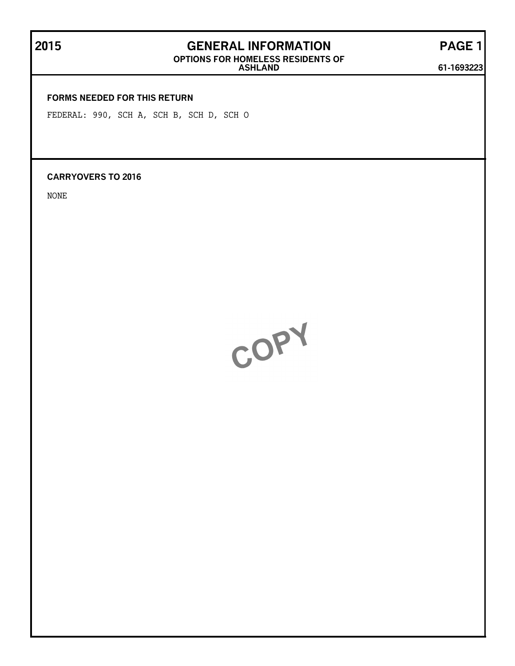# **2015 GENERAL INFORMATION PAGE 1**

**OPTIONS FOR HOMELESS RESIDENTS OF**

**ASHLAND 61-1693223**

### **FORMS NEEDED FOR THIS RETURN**

FEDERAL: 990, SCH A, SCH B, SCH D, SCH O

**CARRYOVERS TO 2016**

NONE

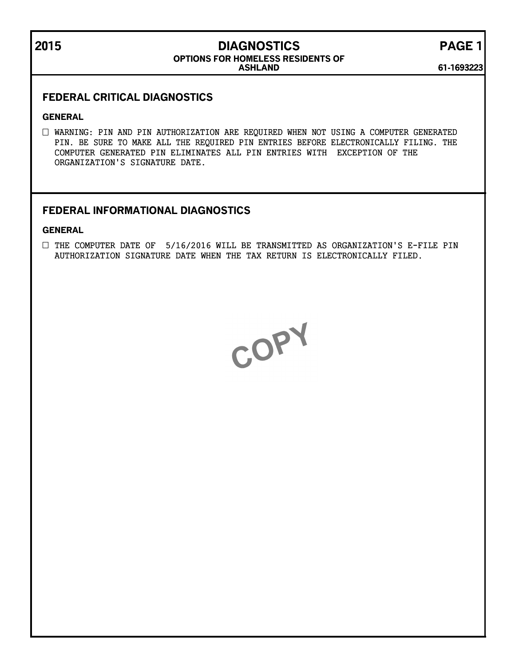## **2015 DIAGNOSTICS PAGE 1**

### **ASHLAND OPTIONS FOR HOMELESS RESIDENTS OF**

**61-1693223**

### **FEDERAL CRITICAL DIAGNOSTICS**

### **GENERAL**

WARNING: PIN AND PIN AUTHORIZATION ARE REQUIRED WHEN NOT USING A COMPUTER GENERATED PIN. BE SURE TO MAKE ALL THE REQUIRED PIN ENTRIES BEFORE ELECTRONICALLY FILING. THE COMPUTER GENERATED PIN ELIMINATES ALL PIN ENTRIES WITH EXCEPTION OF THE ORGANIZATION'S SIGNATURE DATE.

### **FEDERAL INFORMATIONAL DIAGNOSTICS**

### **GENERAL**

 $\Box$  THE COMPUTER DATE OF 5/16/2016 WILL BE TRANSMITTED AS ORGANIZATION'S E-FILE PIN AUTHORIZATION SIGNATURE DATE WHEN THE TAX RETURN IS ELECTRONICALLY FILED.